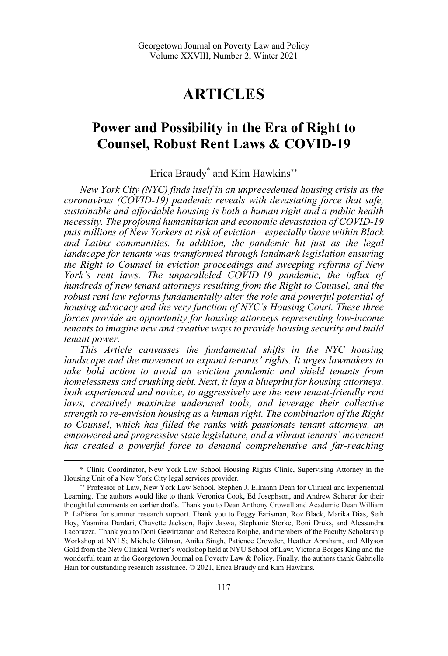# **ARTICLES**

## **Power and Possibility in the Era of Right to Counsel, Robust Rent Laws & COVID-19**

Erica Braudy<sup>\*</sup> and Kim Hawkins<sup>\*\*</sup>

*New York City (NYC) finds itself in an unprecedented housing crisis as the coronavirus (COVID-19) pandemic reveals with devastating force that safe, sustainable and affordable housing is both a human right and a public health necessity. The profound humanitarian and economic devastation of COVID-19 puts millions of New Yorkers at risk of eviction—especially those within Black and Latinx communities. In addition, the pandemic hit just as the legal landscape for tenants was transformed through landmark legislation ensuring the Right to Counsel in eviction proceedings and sweeping reforms of New York's rent laws. The unparalleled COVID-19 pandemic, the influx of hundreds of new tenant attorneys resulting from the Right to Counsel, and the robust rent law reforms fundamentally alter the role and powerful potential of housing advocacy and the very function of NYC's Housing Court. These three forces provide an opportunity for housing attorneys representing low-income tenants to imagine new and creative ways to provide housing security and build tenant power.* 

*This Article canvasses the fundamental shifts in the NYC housing landscape and the movement to expand tenants' rights. It urges lawmakers to take bold action to avoid an eviction pandemic and shield tenants from homelessness and crushing debt. Next, it lays a blueprint for housing attorneys, both experienced and novice, to aggressively use the new tenant-friendly rent laws, creatively maximize underused tools, and leverage their collective strength to re-envision housing as a human right. The combination of the Right to Counsel, which has filled the ranks with passionate tenant attorneys, an empowered and progressive state legislature, and a vibrant tenants' movement has created a powerful force to demand comprehensive and far-reaching* 

 <sup>\*</sup> Clinic Coordinator, New York Law School Housing Rights Clinic, Supervising Attorney in the Housing Unit of a New York City legal services provider.

Professor of Law, New York Law School, Stephen J. Ellmann Dean for Clinical and Experiential Learning. The authors would like to thank Veronica Cook, Ed Josephson, and Andrew Scherer for their thoughtful comments on earlier drafts. Thank you to Dean Anthony Crowell and Academic Dean William P. LaPiana for summer research support. Thank you to Peggy Earisman, Roz Black, Marika Dias, Seth Hoy, Yasmina Dardari, Chavette Jackson, Rajiv Jaswa, Stephanie Storke, Roni Druks, and Alessandra Lacorazza. Thank you to Doni Gewirtzman and Rebecca Roiphe, and members of the Faculty Scholarship Workshop at NYLS; Michele Gilman, Anika Singh, Patience Crowder, Heather Abraham, and Allyson Gold from the New Clinical Writer's workshop held at NYU School of Law; Victoria Borges King and the wonderful team at the Georgetown Journal on Poverty Law & Policy. Finally, the authors thank Gabrielle Hain for outstanding research assistance. © 2021, Erica Braudy and Kim Hawkins.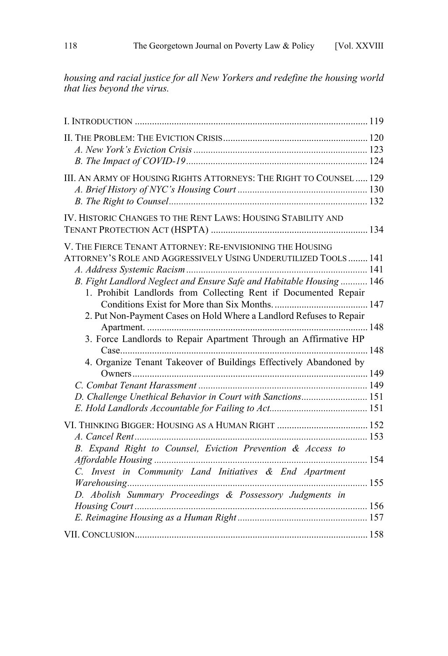*housing and racial justice for all New Yorkers and redefine the housing world that lies beyond the virus.* 

| III. AN ARMY OF HOUSING RIGHTS ATTORNEYS: THE RIGHT TO COUNSEL 129   |  |
|----------------------------------------------------------------------|--|
|                                                                      |  |
|                                                                      |  |
| IV. HISTORIC CHANGES TO THE RENT LAWS: HOUSING STABILITY AND         |  |
|                                                                      |  |
| V. THE FIERCE TENANT ATTORNEY: RE-ENVISIONING THE HOUSING            |  |
| ATTORNEY'S ROLE AND AGGRESSIVELY USING UNDERUTILIZED TOOLS  141      |  |
|                                                                      |  |
| B. Fight Landlord Neglect and Ensure Safe and Habitable Housing  146 |  |
| 1. Prohibit Landlords from Collecting Rent if Documented Repair      |  |
|                                                                      |  |
| 2. Put Non-Payment Cases on Hold Where a Landlord Refuses to Repair  |  |
|                                                                      |  |
| 3. Force Landlords to Repair Apartment Through an Affirmative HP     |  |
|                                                                      |  |
| 4. Organize Tenant Takeover of Buildings Effectively Abandoned by    |  |
|                                                                      |  |
|                                                                      |  |
| D. Challenge Unethical Behavior in Court with Sanctions 151          |  |
|                                                                      |  |
|                                                                      |  |
|                                                                      |  |
| B. Expand Right to Counsel, Eviction Prevention & Access to          |  |
|                                                                      |  |
| C. Invest in Community Land Initiatives & End Apartment              |  |
|                                                                      |  |
|                                                                      |  |
| D. Abolish Summary Proceedings & Possessory Judgments in             |  |
|                                                                      |  |
|                                                                      |  |
|                                                                      |  |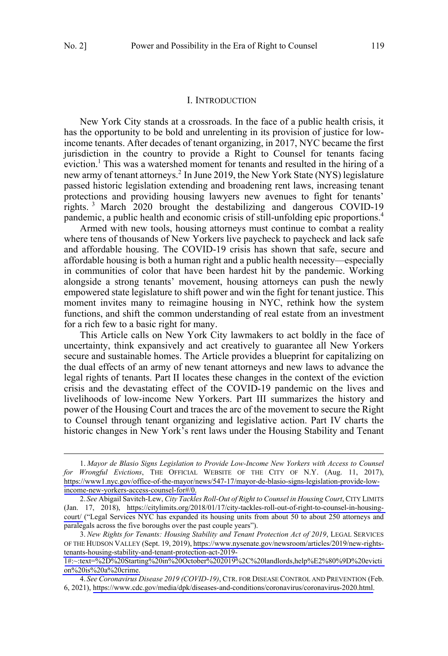#### I. INTRODUCTION

<span id="page-2-0"></span>New York City stands at a crossroads. In the face of a public health crisis, it has the opportunity to be bold and unrelenting in its provision of justice for lowincome tenants. After decades of tenant organizing, in 2017, NYC became the first jurisdiction in the country to provide a Right to Counsel for tenants facing eviction.<sup>1</sup> This was a watershed moment for tenants and resulted in the hiring of a new army of tenant attorneys.<sup>2</sup> In June 2019, the New York State (NYS) legislature passed historic legislation extending and broadening rent laws, increasing tenant protections and providing housing lawyers new avenues to fight for tenants' rights. <sup>3</sup> March 2020 brought the destabilizing and dangerous COVID-19 pandemic, a public health and economic crisis of still-unfolding epic proportions.<sup>4</sup>

Armed with new tools, housing attorneys must continue to combat a reality where tens of thousands of New Yorkers live paycheck to paycheck and lack safe and affordable housing. The COVID-19 crisis has shown that safe, secure and affordable housing is both a human right and a public health necessity—especially in communities of color that have been hardest hit by the pandemic. Working alongside a strong tenants' movement, housing attorneys can push the newly empowered state legislature to shift power and win the fight for tenant justice. This moment invites many to reimagine housing in NYC, rethink how the system functions, and shift the common understanding of real estate from an investment for a rich few to a basic right for many.

This Article calls on New York City lawmakers to act boldly in the face of uncertainty, think expansively and act creatively to guarantee all New Yorkers secure and sustainable homes. The Article provides a blueprint for capitalizing on the dual effects of an army of new tenant attorneys and new laws to advance the legal rights of tenants. Part II locates these changes in the context of the eviction crisis and the devastating effect of the COVID-19 pandemic on the lives and livelihoods of low-income New Yorkers. Part III summarizes the history and power of the Housing Court and traces the arc of the movement to secure the Right to Counsel through tenant organizing and legislative action. Part IV charts the historic changes in New York's rent laws under the Housing Stability and Tenant

*Mayor de Blasio Signs Legislation to Provide Low-Income New Yorkers with Access to Counsel*  1. *for Wrongful Evictions*, THE OFFICIAL WEBSITE OF THE CITY OF N.Y. (Aug. 11, 2017), [https://www1.nyc.gov/office-of-the-mayor/news/547-17/mayor-de-blasio-signs-legislation-provide-low](https://www1.nyc.gov/office-of-the-mayor/news/547-17/mayor-de-blasio-signs-legislation-provide-low-income-new-yorkers-access-counsel-for#/0)[income-new-yorkers-access-counsel-for#/0.](https://www1.nyc.gov/office-of-the-mayor/news/547-17/mayor-de-blasio-signs-legislation-provide-low-income-new-yorkers-access-counsel-for#/0)

*See* Abigail Savitch-Lew, *City Tackles Roll-Out of Right to Counsel in Housing Court*, CITY LIMITS 2. (Jan. 17, 2018), [https://citylimits.org/2018/01/17/city-tackles-roll-out-of-right-to-counsel-in-housing](https://citylimits.org/2018/01/17/city-tackles-roll-out-of-right-to-counsel-in-housing-court/)[court/](https://citylimits.org/2018/01/17/city-tackles-roll-out-of-right-to-counsel-in-housing-court/) ("Legal Services NYC has expanded its housing units from about 50 to about 250 attorneys and paralegals across the five boroughs over the past couple years").

*New Rights for Tenants: Housing Stability and Tenant Protection Act of 2019*, LEGAL SERVICES 3. OF THE HUDSON VALLEY (Sept. 19, 2019), [https://www.nysenate.gov/newsroom/articles/2019/new-rights](https://www.nysenate.gov/newsroom/articles/2019/new-rights-tenants-housing-stability-and-tenant-protection-act-2019-1#:~:text=%2D%20Starting%20in%20October%202019%2C%20landlords,help%E2%80%9D%20eviction%20is%20a%20crime)[tenants-housing-stability-and-tenant-protection-act-2019-](https://www.nysenate.gov/newsroom/articles/2019/new-rights-tenants-housing-stability-and-tenant-protection-act-2019-1#:~:text=%2D%20Starting%20in%20October%202019%2C%20landlords,help%E2%80%9D%20eviction%20is%20a%20crime)

[<sup>1#:~:</sup>text=%2D%20Starting%20in%20October%202019%2C%20landlords,help%E2%80%9D%20evicti](https://www.nysenate.gov/newsroom/articles/2019/new-rights-tenants-housing-stability-and-tenant-protection-act-2019-1#:~:text=%2D%20Starting%20in%20October%202019%2C%20landlords,help%E2%80%9D%20eviction%20is%20a%20crime) [on%20is%20a%20crime.](https://www.nysenate.gov/newsroom/articles/2019/new-rights-tenants-housing-stability-and-tenant-protection-act-2019-1#:~:text=%2D%20Starting%20in%20October%202019%2C%20landlords,help%E2%80%9D%20eviction%20is%20a%20crime)

*See Coronavirus Disease 2019 (COVID-19)*, CTR. FOR DISEASE CONTROL AND PREVENTION (Feb. 4. 6, 2021), [https://www.cdc.gov/media/dpk/diseases-and-conditions/coronavirus/coronavirus-2020.html.](https://www.cdc.gov/media/dpk/diseases-and-conditions/coronavirus/coronavirus-2020.html)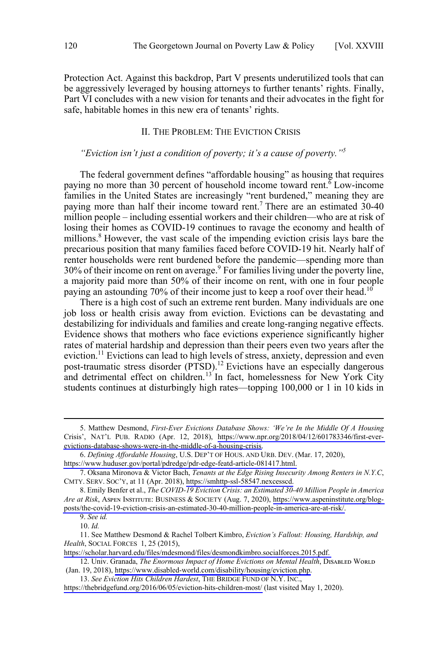<span id="page-3-0"></span>Protection Act. Against this backdrop, Part V presents underutilized tools that can be aggressively leveraged by housing attorneys to further tenants' rights. Finally, Part VI concludes with a new vision for tenants and their advocates in the fight for safe, habitable homes in this new era of tenants' rights.

### II. THE PROBLEM: THE EVICTION CRISIS

## *"Eviction isn't just a condition of poverty; it's a cause of poverty."5*

The federal government defines "affordable housing" as housing that requires paying no more than 30 percent of household income toward rent.  $\overline{6}$  Low-income families in the United States are increasingly "rent burdened," meaning they are paying more than half their income toward rent.<sup>7</sup> There are an estimated 30-40 million people – including essential workers and their children—who are at risk of losing their homes as COVID-19 continues to ravage the economy and health of millions.<sup>8</sup> However, the vast scale of the impending eviction crisis lays bare the precarious position that many families faced before COVID-19 hit. Nearly half of renter households were rent burdened before the pandemic—spending more than 30% of their income on rent on average.9 For families living under the poverty line, a majority paid more than 50% of their income on rent, with one in four people paying an astounding 70% of their income just to keep a roof over their head.<sup>10</sup>

There is a high cost of such an extreme rent burden. Many individuals are one job loss or health crisis away from eviction. Evictions can be devastating and destabilizing for individuals and families and create long-ranging negative effects. Evidence shows that mothers who face evictions experience significantly higher rates of material hardship and depression than their peers even two years after the eviction.<sup>11</sup> Evictions can lead to high levels of stress, anxiety, depression and even post-traumatic stress disorder (PTSD).<sup>12</sup> Evictions have an especially dangerous and detrimental effect on children.<sup>13</sup> In fact, homelessness for New York City students continues at disturbingly high rates—topping 100,000 or 1 in 10 kids in

<sup>5.</sup> Matthew Desmond, *First-Ever Evictions Database Shows: 'We're In the Middle Of A Housing* Crisis', NAT'L PUB. RADIO (Apr. 12, 2018), [https://www.npr.org/2018/04/12/601783346/first-ever](https://www.npr.org/2018/04/12/601783346/first-ever-evictions-database-shows-were-in-the-middle-of-a-housing-crisis)[evictions-database-shows-were-in-the-middle-of-a-housing-crisis](https://www.npr.org/2018/04/12/601783346/first-ever-evictions-database-shows-were-in-the-middle-of-a-housing-crisis).

*Defining Affordable Housing*, U.S. DEP'T OF HOUS. AND URB. DEV. (Mar. 17, 2020), 6.

[https://www.huduser.gov/portal/pdredge/pdr-edge-featd-article-081417.html.](https://www.huduser.gov/portal/pdredge/pdr-edge-featd-article-081417.html)

Oksana Mironova & Victor Bach, *Tenants at the Edge Rising Insecurity Among Renters in N.Y.C*, 7. CMTY. SERV. SOC'Y, at 11 (Apr. 2018), [https://smhttp-ssl-58547.nexcesscd.](https://smhttp-ssl-58547.nexcesscd)

Emily Benfer et al., *The COVID-19 Eviction Crisis: an Estimated 30-40 Million People in America*  8. *Are at Risk*, Aꜱᴘᴇɴ Iɴꜱᴛɪᴛᴜᴛᴇ: BUSINESS & SOCIETY (Aug. 7, 2020), [https://www.aspeninstitute.org/blog](https://www.aspeninstitute.org/blog-posts/the-covid-19-eviction-crisis-an-estimated-30-40-million-people-in-america-are-at-risk/)[posts/the-covid-19-eviction-crisis-an-estimated-30-40-million-people-in-america-are-at-risk/.](https://www.aspeninstitute.org/blog-posts/the-covid-19-eviction-crisis-an-estimated-30-40-million-people-in-america-are-at-risk/)

<sup>9.</sup> *See id.*

<sup>10.</sup> *Id.*

<sup>11.</sup> See Matthew Desmond & Rachel Tolbert Kimbro, *Eviction's Fallout: Housing, Hardship, and Health*, SOCIAL FORCES 1, 25 (2015),

[https://scholar.harvard.edu/files/mdesmond/files/desmondkimbro.socialforces.2015.pdf.](https://scholar.harvard.edu/files/mdesmond/files/desmondkimbro.socialforces.2015.pdf) 

<sup>12.</sup> Univ. Granada, *The Enormous Impact of Home Evictions on Mental Health*, DISABLED WORLD (Jan. 19, 2018), [https://www.disabled-world.com/disability/housing/eviction.php.](https://www.disabled-world.com/disability/housing/eviction.php)

*See Eviction Hits Children Hardest*, THE BRIDGE FUND OF N.Y. INC., 13.

<https://thebridgefund.org/2016/06/05/eviction-hits-children-most/>(last visited May 1, 2020).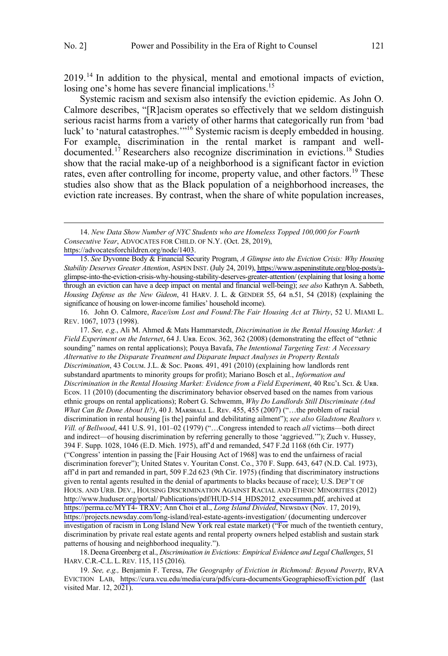2019.<sup>14</sup> In addition to the physical, mental and emotional impacts of eviction, losing one's home has severe financial implications.<sup>15</sup>

Systemic racism and sexism also intensify the eviction epidemic. As John O. Calmore describes, "[R]acism operates so effectively that we seldom distinguish serious racist harms from a variety of other harms that categorically run from 'bad luck' to 'natural catastrophes.'"<sup>16</sup> Systemic racism is deeply embedded in housing. For example, discrimination in the rental market is rampant and welldocumented.<sup>17</sup> Researchers also recognize discrimination in evictions.<sup>18</sup> Studies show that the racial make-up of a neighborhood is a significant factor in eviction rates, even after controlling for income, property value, and other factors.<sup>19</sup> These studies also show that as the Black population of a neighborhood increases, the eviction rate increases. By contrast, when the share of white population increases,

<https://advocatesforchildren.org/node/1403>.

 $\overline{a}$ 

*See, e.g.*, Ali M. Ahmed & Mats Hammarstedt, *Discrimination in the Rental Housing Market: A*  17. *Field Experiment on the Internet*, 64 J. Uʀʙ. Eᴄᴏɴ. 362, 362 (2008) (demonstrating the effect of "ethnic sounding" names on rental applications); Pouya Bavafa, *The Intentional Targeting Test: A Necessary Alternative to the Disparate Treatment and Disparate Impact Analyses in Property Rentals Discrimination*, 43 Cᴏʟᴜᴍ. J.L. & Sᴏᴄ. Pʀᴏʙꜱ. 491, 491 (2010) (explaining how landlords rent substandard apartments to minority groups for profit); Mariano Bosch et al., *Information and Discrimination in the Rental Housing Market: Evidence from a Field Experiment*, 40 Rᴇɢ'ʟ Sᴄɪ. & Uʀʙ. Econ. 11 (2010) (documenting the discriminatory behavior observed based on the names from various ethnic groups on rental applications); Robert G. Schwemm, *Why Do Landlords Still Discriminate (And What Can Be Done About It?*), 40 J. MARSHALL L. REV. 455, 455 (2007) ("...the problem of racial discrimination in rental housing [is the] painful and debilitating ailment"); *see also Gladstone Realtors v. Vill. of Bellwood*, 441 U.S. 91, 101–02 (1979) ("…Congress intended to reach *all* victims—both direct and indirect—of housing discrimination by referring generally to those 'aggrieved.'"); Zuch v. Hussey, 394 F. Supp. 1028, 1046 (E.D. Mich. 1975), aff'd and remanded, 547 F.2d 1168 (6th Cir. 1977) ("Congress' intention in passing the [Fair Housing Act of 1968] was to end the unfairness of racial discrimination forever"); United States v. Youritan Const. Co., 370 F. Supp. 643, 647 (N.D. Cal. 1973), aff'd in part and remanded in part, 509 F.2d 623 (9th Cir. 1975) (finding that discriminatory instructions given to rental agents resulted in the denial of apartments to blacks because of race); U.S. DEP'T OF HOUS. AND URB. DEV., HOUSING DISCRIMINATION AGAINST RACIAL AND ETHNIC MINORITIES (2012) [http://www.huduser.org/portal/ Publications/pdf/HUD-514\\_HDS2012\\_execsumm.pdf,](http://www.huduser.org/portal/Publications/pdf/HUD-514_HDS2012_execsumm.pdf) archived at [https://perma.cc/MYT4- TRXV](https://perma.cc/MYT4-TRXV); Ann Choi et al., *Long Island Divided*, NEwsDAY (Nov. 17, 2019), <https://projects.newsday.com/long-island/real-estate-agents-investigation/>(documenting undercover investigation of racism in Long Island New York real estate market) ("For much of the twentieth century, discrimination by private real estate agents and rental property owners helped establish and sustain stark patterns of housing and neighborhood inequality.").

18.Deena Greenberg et al., *Discrimination in Evictions: Empirical Evidence and Legal Challenges*, 51 HARV.C.R.-C.L. L.REV. 115, 115 (2016).

*See, e.g.,* Benjamin F. Teresa, *The Geography of Eviction in Richmond: Beyond Poverty*, RVA 19. EVICTION LAB, <https://cura.vcu.edu/media/cura/pdfs/cura-documents/GeographiesofEviction.pdf>(last visited Mar. 12, 2021).

*New Data Show Number of NYC Students who are Homeless Topped 100,000 for Fourth*  14. *Consecutive Year*, ADVOCATES FOR CHILD. OF N.Y. (Oct. 28, 2019),

*See* Dyvonne Body & Financial Security Program, *A Glimpse into the Eviction Crisis: Why Housing*  15. *Stability Deserves Greater Attention*, ASPEN INST. (July 24, 2019), [https://www.aspeninstitute.org/blog-posts/a](https://www.aspeninstitute.org/blog-posts/a-glimpse-into-the-eviction-crisis-why-housing-stability-deserves-greater-attention/)[glimpse-into-the-eviction-crisis-why-housing-stability-deserves-greater-attention/](https://www.aspeninstitute.org/blog-posts/a-glimpse-into-the-eviction-crisis-why-housing-stability-deserves-greater-attention/) (explaining that losing a home through an eviction can have a deep impact on mental and financial well-being); *see also* Kathryn A. Sabbeth, *Housing Defense as the New Gideon*, 41 HARV. J. L. & GENDER 55, 64 n.51, 54 (2018) (explaining the significance of housing on lower-income families' household income).

<sup>16.</sup> John O. Calmore, *Race/ism Lost and Found:The Fair Housing Act at Thirty*, 52 U. MIAMI L. REV. 1067, 1073 (1998).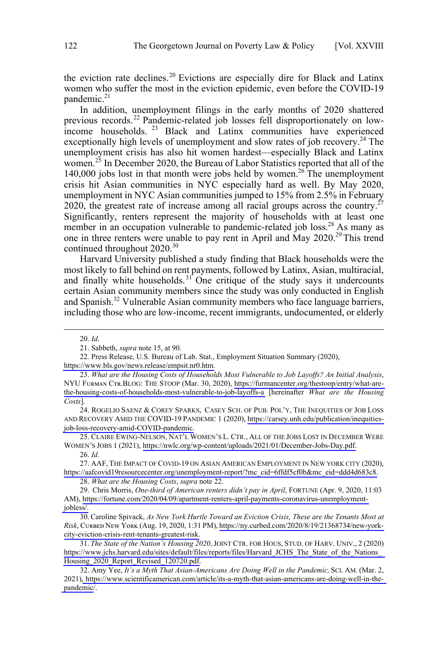the eviction rate declines.<sup>20</sup> Evictions are especially dire for Black and Latinx women who suffer the most in the eviction epidemic, even before the COVID-19 pandemic. $21$ 

In addition, unemployment filings in the early months of 2020 shattered previous records.<sup>22</sup> Pandemic-related job losses fell disproportionately on lowincome households.<sup>23</sup> Black and Latinx communities have experienced exceptionally high levels of unemployment and slow rates of job recovery.<sup>24</sup> The unemployment crisis has also hit women hardest—especially Black and Latinx women.<sup>25</sup> In December 2020, the Bureau of Labor Statistics reported that all of the 140,000 jobs lost in that month were jobs held by women.<sup>26</sup> The unemployment crisis hit Asian communities in NYC especially hard as well. By May 2020, unemployment in NYC Asian communities jumped to 15% from 2.5% in February 2020, the greatest rate of increase among all racial groups across the country.<sup>27</sup> Significantly, renters represent the majority of households with at least one member in an occupation vulnerable to pandemic-related job loss.<sup>28</sup> As many as one in three renters were unable to pay rent in April and May 2020.<sup>29</sup> This trend continued throughout 2020.<sup>30</sup>

Harvard University published a study finding that Black households were the most likely to fall behind on rent payments, followed by Latinx, Asian, multiracial, and finally white households.<sup>31</sup> One critique of the study says it undercounts certain Asian community members since the study was only conducted in English and Spanish.<sup>32</sup> Vulnerable Asian community members who face language barriers, including those who are low-income, recent immigrants, undocumented, or elderly

 $\overline{a}$ 

24. ROGELIO SAENZ & COREY SPARKS, CASEY SCH. OF PUB. POL'Y, THE INEQUITIES OF JOB LOSS AND RECOVERY AMID THE COVID-19 PANDEMIC 1 (2020), [https://carsey.unh.edu/publication/inequities](https://carsey.unh.edu/publication/inequities-job-loss-recovery-amid-COVID-pandemic)[job-loss-recovery-amid-COVID-pandemic.](https://carsey.unh.edu/publication/inequities-job-loss-recovery-amid-COVID-pandemic)

25. CLAIRE EWING-NELSON, NAT'L WOMEN'S L. CTR., ALL OF THE JOBS LOST IN DECEMBER WERE WOMEN'S JOBS 1 (2021), [https://nwlc.org/wp-content/uploads/2021/01/December-Jobs-Day.pdf.](https://nwlc.org/wp-content/uploads/2021/01/December-Jobs-Day.pdf)

27. AAF, THE IMPACT OF COVID-19 ON ASIAN AMERICAN EMPLOYMENT IN NEW YORK CITY (2020), [https://aafcovid19resourcecenter.org/unemployment-report/?mc\\_cid=6ffdf5cf0b&mc\\_eid=ddd4d683c8.](https://aafcovid19resourcecenter.org/unemployment-report/?mc_cid=6ffdf5cf0b&mc_eid=ddd4d683c8)

30. Caroline Spivack, As New York Hurtle Toward an Eviction Crisis, These are the Tenants Most at *Risk*, Cᴜʀʙᴇᴅ Nᴇᴡ Yᴏʀᴋ (Aug. 19, 2020, 1:31 PM), [https://ny.curbed.com/2020/8/19/21368734/new-york](https://ny.curbed.com/2020/8/19/21368734/new-york-city-eviction-crisis-rent-tenants-greatest-risk)[city-eviction-crisis-rent-tenants-greatest-risk.](https://ny.curbed.com/2020/8/19/21368734/new-york-city-eviction-crisis-rent-tenants-greatest-risk)

 <sup>20.</sup> *Id*.

<sup>21.</sup> Sabbeth, *supra* note 15, at 90.

<sup>22.</sup> Press Release, U.S. Bureau of Lab. Stat., Employment Situation Summary (2020), [https://www.bls.gov/news.release/empsit.nr0.htm.](https://www.bls.gov/news.release/empsit.nr0.htm)

*What are the Housing Costs of Households Most Vulnerable to Job Layoffs? An Initial Analysis*, 23. NYU FURMAN CTR.BLOG: THE STOOP (Mar. 30, 2020), [https://furmancenter.org/thestoop/entry/what-are](https://furmancenter.org/thestoop/entry/what-are-the-housing-costs-of-households-most-vulnerable-to-job-layoffs-a)[the-housing-costs-of-households-most-vulnerable-to-job-layoffs-a](https://furmancenter.org/thestoop/entry/what-are-the-housing-costs-of-households-most-vulnerable-to-job-layoffs-a) [hereinafter *What are the Housing Costs*].

<sup>26.</sup> *Id.*

<sup>28.</sup> *What are the Housing Costs*, *supra* note 22.

Chris Morris, *One-third of American renters didn't pay in April*, FORTUNE (Apr. 9, 2020, 11:03 29. AM), [https://fortune.com/2020/04/09/apartment-renters-april-payments-coronavirus-unemployment](https://fortune.com/2020/04/09/apartment-renters-april-payments-coronavirus-unemployment-jobless/)[jobless/.](https://fortune.com/2020/04/09/apartment-renters-april-payments-coronavirus-unemployment-jobless/)

*The State of the Nation's Housing 2020*, JOINT CTR. FOR HOUS, STUD. OF HARV. UNIV., 2 (2020) 31. [https://www.jchs.harvard.edu/sites/default/files/reports/files/Harvard\\_JCHS\\_The\\_State\\_of\\_the\\_Nations\\_](https://www.jchs.harvard.edu/sites/default/files/reports/files/Harvard_JCHS_The_State_of_the_Nations_Housing_2020_Report_Revised_120720.pdf) [Housing\\_2020\\_Report\\_Revised\\_120720.pdf.](https://www.jchs.harvard.edu/sites/default/files/reports/files/Harvard_JCHS_The_State_of_the_Nations_Housing_2020_Report_Revised_120720.pdf)

<sup>32.</sup> Amy Yee, *It's a Myth That Asian-Americans Are Doing Well in the Pandemic,* SCI. AM. (Mar. 2, 2021)[, https://www.scientificamerican.com/article/its-a-myth-that-asian-americans-are-doing-well-in-the](https://www.scientificamerican.com/article/its-a-myth-that-asian-americans-are-doing-well-in-the-pandemic/)[pandemic](https://www.scientificamerican.com/article/its-a-myth-that-asian-americans-are-doing-well-in-the-pandemic/)/.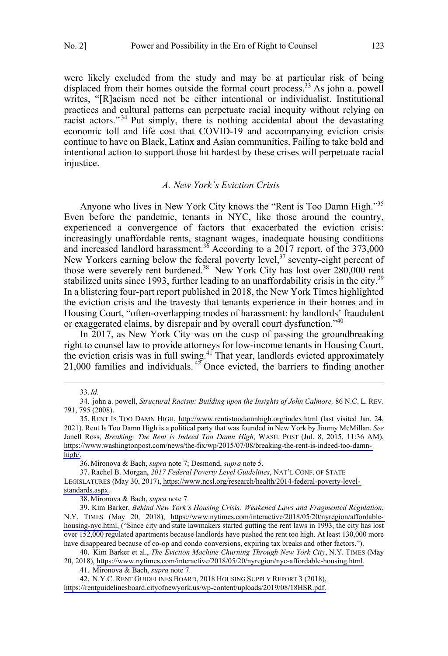<span id="page-6-0"></span>were likely excluded from the study and may be at particular risk of being displaced from their homes outside the formal court process.<sup>33</sup> As john a. powell writes, "[R]acism need not be either intentional or individualist. Institutional practices and cultural patterns can perpetuate racial inequity without relying on racist actors."<sup>34</sup> Put simply, there is nothing accidental about the devastating economic toll and life cost that COVID-19 and accompanying eviction crisis continue to have on Black, Latinx and Asian communities. Failing to take bold and intentional action to support those hit hardest by these crises will perpetuate racial injustice.

#### *A. New York's Eviction Crisis*

Anyone who lives in New York City knows the "Rent is Too Damn High."35 Even before the pandemic, tenants in NYC, like those around the country, experienced a convergence of factors that exacerbated the eviction crisis: increasingly unaffordable rents, stagnant wages, inadequate housing conditions and increased landlord harassment.<sup>36</sup> According to a 2017 report, of the 373,000 New Yorkers earning below the federal poverty level,<sup>37</sup> seventy-eight percent of those were severely rent burdened.<sup>38</sup> New York City has lost over 280,000 rent stabilized units since 1993, further leading to an unaffordability crisis in the city.<sup>39</sup> In a blistering four-part report published in 2018, the New York Times highlighted the eviction crisis and the travesty that tenants experience in their homes and in Housing Court, "often-overlapping modes of harassment: by landlords' fraudulent or exaggerated claims, by disrepair and by overall court dysfunction."40

In 2017, as New York City was on the cusp of passing the groundbreaking right to counsel law to provide attorneys for low-income tenants in Housing Court, the eviction crisis was in full swing.<sup>41</sup> That year, landlords evicted approximately 21,000 families and individuals.  $42^{\circ}$  Once evicted, the barriers to finding another

 $\overline{a}$ 

36. Mironova & Bach, *supra* note 7; Desmond, *supra* note 5.

37. Rachel B. Morgan, *2017 Federal Poverty Level Guidelines*, NAT'L CONF. OF STATE

LEGISLATURES (May 30, 2017), [https://www.ncsl.org/research/health/2014-federal-poverty-level](https://www.ncsl.org/research/health/2014-federal-poverty-level-standards.aspx)[standards.aspx.](https://www.ncsl.org/research/health/2014-federal-poverty-level-standards.aspx)

38. Mironova & Bach, *supra* note 7.

39. Kim Barker, Behind New York's Housing Crisis: Weakened Laws and Fragmented Regulation, N.Y. TIMES (May 20, 2018), [https://www.nytimes.com/interactive/2018/05/20/nyregion/affordable](https://www.nytimes.com/interactive/2018/05/20/nyregion/affordable-housing-nyc.html)[housing-nyc.html,](https://www.nytimes.com/interactive/2018/05/20/nyregion/affordable-housing-nyc.html) ("Since city and state lawmakers started gutting the rent laws in 1993, the city has lost over 152,000 regulated apartments because landlords have pushed the rent too high. At least 130,000 more have disappeared because of co-op and condo conversions, expiring tax breaks and other factors.").

40. Kim Barker et al., *The Eviction Machine Churning Through New York City*, N.Y. TIMES (May 20, 2018), <https://www.nytimes.com/interactive/2018/05/20/nyregion/nyc-affordable-housing.html>*.*

41. Mironova & Bach, *supra* note 7.

N.Y.C. RENT GUIDELINES BOARD, 2018 HOUSING SUPPLY REPORT 3 (2018), 42.

[https://rentguidelinesboard.cityofnewyork.us/wp-content/uploads/2019/08/18HSR.pdf.](https://rentguidelinesboard.cityofnewyork.us/wp-content/uploads/2019/08/18HSR.pdf)

 <sup>33.</sup>*Id.*

<sup>34.</sup> john a. powell, *Structural Racism: Building upon the Insights of John Calmore,* 86 N.C. L. REV. 791, 795 (2008).

<sup>35.</sup> RENT IS TOO DAMN HIGH, <http://www.rentistoodamnhigh.org/index.html>(last visited Jan. 24, 2021). Rent Is Too Damn High is a political party that was founded in New York by Jimmy McMillan. *See*  Janell Ross, *Breaking: The Rent is Indeed Too Damn High*, WASH. POST (Jul. 8, 2015, 11:36 AM), [https://www.washingtonpost.com/news/the-fix/wp/2015/07/08/breaking-the-rent-is-indeed-too-damn](https://www.washingtonpost.com/news/the-fix/wp/2015/07/08/breaking-the-rent-is-indeed-too-damn-high/)[high/.](https://www.washingtonpost.com/news/the-fix/wp/2015/07/08/breaking-the-rent-is-indeed-too-damn-high/)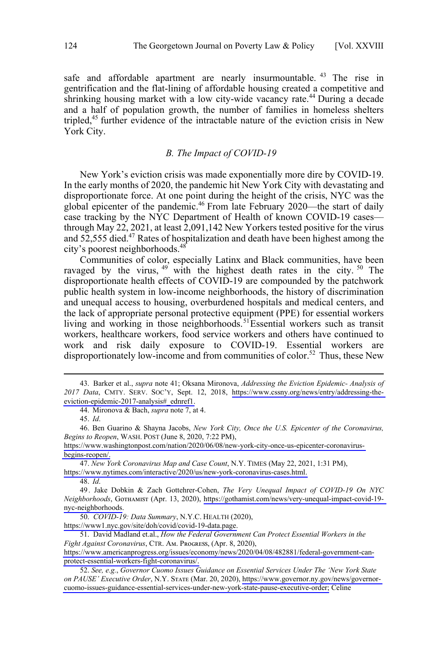<span id="page-7-0"></span>safe and affordable apartment are nearly insurmountable. <sup>43</sup> The rise in gentrification and the flat-lining of affordable housing created a competitive and shrinking housing market with a low city-wide vacancy rate.<sup>44</sup> During a decade and a half of population growth, the number of families in homeless shelters tripled,45 further evidence of the intractable nature of the eviction crisis in New York City.

### *B. The Impact of COVID-19*

New York's eviction crisis was made exponentially more dire by COVID-19. In the early months of 2020, the pandemic hit New York City with devastating and disproportionate force. At one point during the height of the crisis, NYC was the global epicenter of the pandemic.46 From late February 2020—the start of daily case tracking by the NYC Department of Health of known COVID-19 cases through May 22, 2021, at least 2,091,142 New Yorkers tested positive for the virus and  $52,555$  died.<sup>47</sup> Rates of hospitalization and death have been highest among the city's poorest neighborhoods.<sup>48</sup>

Communities of color, especially Latinx and Black communities, have been ravaged by the virus,  $49$  with the highest death rates in the city.  $50$  The disproportionate health effects of COVID-19 are compounded by the patchwork public health system in low-income neighborhoods, the history of discrimination and unequal access to housing, overburdened hospitals and medical centers, and the lack of appropriate personal protective equipment (PPE) for essential workers living and working in those neighborhoods.<sup>51</sup>Essential workers such as transit workers, healthcare workers, food service workers and others have continued to work and risk daily exposure to COVID-19. Essential workers are disproportionately low-income and from communities of color.<sup>52</sup> Thus, these New

 $\overline{a}$ 

*New York Coronavirus Map and Case Count*, N.Y. TIMES (May 22, 2021, 1:31 PM), 47.

[https://www.nytimes.com/interactive/2020/us/new-york-coronavirus-cases.html.](https://www.nytimes.com/interactive/2020/us/new-york-coronavirus-cases.html)

48. *Id*.

*COVID-19: Data Summary*, N.Y.C. HEALTH (2020), 50.

[https://www1.nyc.gov/site/doh/covid/covid-19-data.page.](https://www1.nyc.gov/site/doh/covid/covid-19-data.page)

51. David Madland et.al., *How the Federal Government Can Protect Essential Workers in the Fight Against Coronavirus*, CTR. AM. PROGRESS, (Apr. 8, 2020),

Barker et al., *supra* note 41; Oksana Mironova, *Addressing the Eviction Epidemic- Analysis of*  43. *2017 Data*, CMTY. SERV. SOC'Y, Sept. 12, 2018, [https://www.cssny.org/news/entry/addressing-the](https://www.cssny.org/news/entry/addressing-the-eviction-epidemic-2017-analysis#_ednref1)[eviction-epidemic-2017-analysis#\\_ednref1.](https://www.cssny.org/news/entry/addressing-the-eviction-epidemic-2017-analysis#_ednref1)

<sup>44.</sup> Mironova & Bach, *supra* note 7, at 4.

<sup>45.</sup> *Id*.

<sup>46.</sup> Ben Guarino & Shayna Jacobs, *New York City, Once the U.S. Epicenter of the Coronavirus*, *Begins to Reopen*, WASH. POST (June 8, 2020, 7:22 PM),

[https://www.washingtonpost.com/nation/2020/06/08/new-york-city-once-us-epicenter-coronavirus](https://www.washingtonpost.com/nation/2020/06/08/new-york-city-once-us-epicenter-coronavirus-begins-reopen/)[begins-reopen/.](https://www.washingtonpost.com/nation/2020/06/08/new-york-city-once-us-epicenter-coronavirus-begins-reopen/)

<sup>49.</sup> Jake Dobkin & Zach Gottehrer-Cohen, *The Very Unequal Impact of COVID-19 On NYC Neighborhoods*, Gᴏᴛʜᴀᴍɪꜱᴛ (Apr. 13, 2020), [https://gothamist.com/news/very-unequal-impact-covid-19](https://gothamist.com/news/very-unequal-impact-covid-19-nyc-neighborhoods) [nyc-neighborhoods.](https://gothamist.com/news/very-unequal-impact-covid-19-nyc-neighborhoods)

[https://www.americanprogress.org/issues/economy/news/2020/04/08/482881/federal-government-can](https://www.americanprogress.org/issues/economy/news/2020/04/08/482881/federal-government-can-protect-essential-workers-fight-coronavirus/)[protect-essential-workers-fight-coronavirus/.](https://www.americanprogress.org/issues/economy/news/2020/04/08/482881/federal-government-can-protect-essential-workers-fight-coronavirus/)

*See, e.g.*, *Governor Cuomo Issues Guidance on Essential Services Under The 'New York State*  52. *on PAUSE' Executive Order*, N.Y. Sᴛᴀᴛᴇ (Mar. 20, 2020), [https://www.governor.ny.gov/news/governor](https://www.governor.ny.gov/news/governor-cuomo-issues-guidance-essential-services-under-new-york-state-pause-executive-order)[cuomo-issues-guidance-essential-services-under-new-york-state-pause-executive-order;](https://www.governor.ny.gov/news/governor-cuomo-issues-guidance-essential-services-under-new-york-state-pause-executive-order) Celine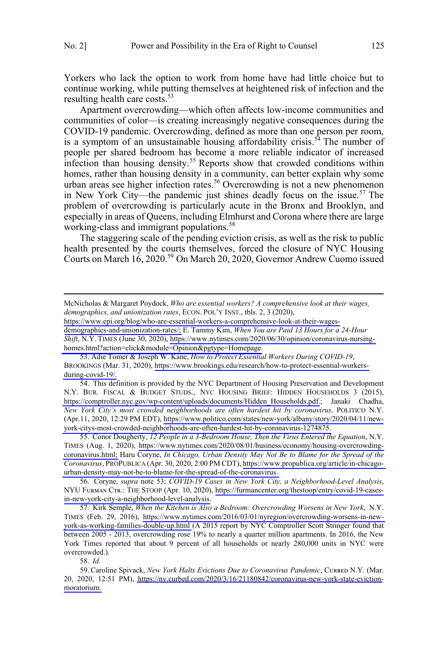Yorkers who lack the option to work from home have had little choice but to continue working, while putting themselves at heightened risk of infection and the resulting health care costs.<sup>53</sup>

Apartment overcrowding—which often affects low-income communities and communities of color—is creating increasingly negative consequences during the COVID-19 pandemic. Overcrowding, defined as more than one person per room, is a symptom of an unsustainable housing affordability crisis.<sup>54</sup> The number of people per shared bedroom has become a more reliable indicator of increased infection than housing density.<sup>55</sup> Reports show that crowded conditions within homes, rather than housing density in a community, can better explain why some urban areas see higher infection rates.<sup>56</sup> Overcrowding is not a new phenomenon in New York City—the pandemic just shines deadly focus on the issue.<sup>57</sup> The problem of overcrowding is particularly acute in the Bronx and Brooklyn, and especially in areas of Queens, including Elmhurst and Corona where there are large working-class and immigrant populations.<sup>58</sup>

The staggering scale of the pending eviction crisis, as well as the risk to public health presented by the courts themselves, forced the closure of NYC Housing Courts on March 16, 2020.<sup>59</sup> On March 20, 2020, Governor Andrew Cuomo issued

[https://www.epi.org/blog/who-are-essential-workers-a-comprehensive-look-at-their-wages-](https://www.epi.org/blog/who-are-essential-workers-a-comprehensive-look-at-their-wages-demographics-and-unionization-rates/)

[demographics-and-unionization-rates/;](https://www.epi.org/blog/who-are-essential-workers-a-comprehensive-look-at-their-wages-demographics-and-unionization-rates/) E. Tammy Kim, *When You are Paid 13 Hours for a 24-Hour Shift*, N.Y. TIMES (June 30, 2020), [https://www.nytimes.com/2020/06/30/opinion/coronavirus-nursing](https://www.nytimes.com/2020/06/30/opinion/coronavirus-nursing-homes.html?action=click&module=Opinion&pgtype=Homepage)[homes.html?action=click&module=Opinion&pgtype=Homepage.](https://www.nytimes.com/2020/06/30/opinion/coronavirus-nursing-homes.html?action=click&module=Opinion&pgtype=Homepage)

54. This definition is provided by the NYC Department of Housing Preservation and Development N.Y. BUR. FISCAL & BUDGET STUDS., NYC HOUSING BRIEF: HIDDEN HOUSEHOLDS 3 (2015), [https://comptroller.nyc.gov/wp-content/uploads/documents/Hidden\\_Households.pdf.](https://comptroller.nyc.gov/wp-content/uploads/documents/Hidden_Households.pdf); Janaki Chadha, *New York City's most crowded neighborhoods are often hardest hit by coronavirus,* POLITICO N.Y. (Apr.11, 2020, 12:29 PM EDT), [https://www.politico.com/states/new-york/albany/story/2020/04/11/new](https://www.politico.com/states/new-york/albany/story/2020/04/11/new-york-citys-most-crowded-neighborhoods-are-often-hardest-hit-by-coronavirus-1274875)[york-citys-most-crowded-neighborhoods-are-often-hardest-hit-by-coronavirus-1274875.](https://www.politico.com/states/new-york/albany/story/2020/04/11/new-york-citys-most-crowded-neighborhoods-are-often-hardest-hit-by-coronavirus-1274875) 

55. Conor Dougherty, 12 People in a 3-Bedroom House, Then the Virus Entered the Equation, N.Y. TIMES (Aug. 1, 2020), [https://www.nytimes.com/2020/08/01/business/economy/housing-overcrowding](https://www.nytimes.com/2020/08/01/business/economy/housing-overcrowding-coronavirus.html)[coronavirus.html;](https://www.nytimes.com/2020/08/01/business/economy/housing-overcrowding-coronavirus.html) Haru Coryne, *In Chicago, Urban Density May Not Be to Blame for the Spread of the Coronavirus*, PROPUBLICA (Apr. 30, 2020, 2:00 PM CDT), [https://www.propublica.org/article/in-chicago](https://www.propublica.org/article/in-chicago-urban-density-may-not-be-to-blame-for-the-spread-of-the-coronavirus)[urban-density-may-not-be-to-blame-for-the-spread-of-the-coronavirus.](https://www.propublica.org/article/in-chicago-urban-density-may-not-be-to-blame-for-the-spread-of-the-coronavirus)

56. Coryne, supra note 53; COVID-19 Cases in New York City, a Neighborhood-Level Analysis, NYU FURMAN CTR.: THE STOOP (Apr. 10, 2020), [https://furmancenter.org/thestoop/entry/covid-19-cases](https://furmancenter.org/thestoop/entry/covid-19-cases-in-new-york-city-a-neighborhood-level-analysis)[in-new-york-city-a-neighborhood-level-analysis.](https://furmancenter.org/thestoop/entry/covid-19-cases-in-new-york-city-a-neighborhood-level-analysis)

57. Kirk Semple, When the Kitchen is Also a Bedroom: Overcrowding Worsens in New York, N.Y. TIMES (Feb. 29, 2016), [https://www.nytimes.com/2016/03/01/nyregion/overcrowding-worsens-in-new](https://www.nytimes.com/2016/03/01/nyregion/overcrowding-worsens-in-new-york-as-working-families-double-up.html)[york-as-working-families-double-up.html](https://www.nytimes.com/2016/03/01/nyregion/overcrowding-worsens-in-new-york-as-working-families-double-up.html) (A 2015 report by NYC Comptroller Scott Stringer found that between 2005 - 2013, overcrowding rose 19% to nearly a quarter million apartments. In 2016, the New York Times reported that about 9 percent of all households or nearly 280,000 units in NYC were overcrowded.).

58. *Id*.

59. Caroline Spivack, *New York Halts Evictions Due to Coronavirus Pandemic*, CURBED N.Y. (Mar. 20, 2020, 12:51 PM), [https://ny.curbed.com/2020/3/16/21180842/coronavirus-new-york-state-eviction](https://ny.curbed.com/2020/3/16/21180842/coronavirus-new-york-state-eviction-moratorium)[moratorium.](https://ny.curbed.com/2020/3/16/21180842/coronavirus-new-york-state-eviction-moratorium)

McNicholas & Margaret Poydock, *Who are essential workers? A comprehensive look at their wages, demographics, and unionization rates*, ECON. POL'Y INST., tbls. 2, 3 (2020),

<sup>53.</sup> Adie Tomer & Joseph W. Kane, *How to Protect Essential Workers During COVID-19*, BROOKINGS (Mar. 31, 2020), [https://www.brookings.edu/research/how-to-protect-essential-workers](https://www.brookings.edu/research/how-to-protect-essential-workers-during-covid-19/)[during-covid-19/.](https://www.brookings.edu/research/how-to-protect-essential-workers-during-covid-19/)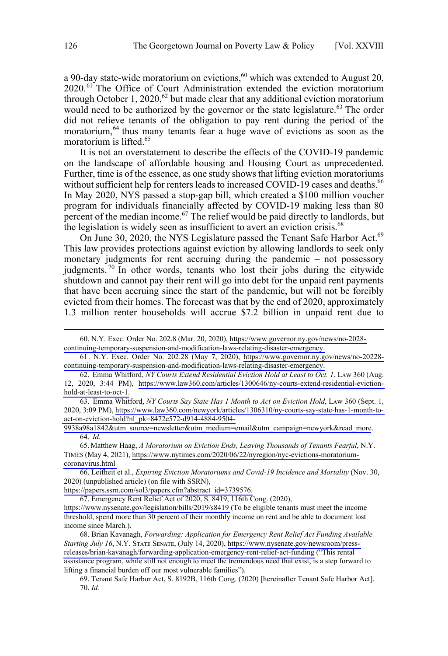a 90-day state-wide moratorium on evictions,  $60$  which was extended to August 20, 2020.<sup>61</sup> The Office of Court Administration extended the eviction moratorium through October 1, 2020,<sup>62</sup> but made clear that any additional eviction moratorium would need to be authorized by the governor or the state legislature.<sup>63</sup> The order did not relieve tenants of the obligation to pay rent during the period of the moratorium,  $64$  thus many tenants fear a huge wave of evictions as soon as the moratorium is lifted.<sup>65</sup>

It is not an overstatement to describe the effects of the COVID-19 pandemic on the landscape of affordable housing and Housing Court as unprecedented. Further, time is of the essence, as one study shows that lifting eviction moratoriums without sufficient help for renters leads to increased COVID-19 cases and deaths.<sup>66</sup> In May 2020, NYS passed a stop-gap bill, which created a \$100 million voucher program for individuals financially affected by COVID-19 making less than 80 percent of the median income.<sup>67</sup> The relief would be paid directly to landlords, but the legislation is widely seen as insufficient to avert an eviction crisis. $68$ 

On June 30, 2020, the NYS Legislature passed the Tenant Safe Harbor Act.<sup>69</sup> This law provides protections against eviction by allowing landlords to seek only monetary judgments for rent accruing during the pandemic – not possessory judgments.<sup>70</sup> In other words, tenants who lost their jobs during the citywide shutdown and cannot pay their rent will go into debt for the unpaid rent payments that have been accruing since the start of the pandemic, but will not be forcibly evicted from their homes. The forecast was that by the end of 2020, approximately 1.3 million renter households will accrue \$7.2 billion in unpaid rent due to

N.Y. Exec. Order No. 202.8 (Mar. 20, 2020), [https://www.governor.ny.gov/news/no-2028-](https://www.governor.ny.gov/news/no-2028-continuing-temporary-suspension-and-modification-laws-relating-disaster-emergency) 60. [continuing-temporary-suspension-and-modification-laws-relating-disaster-emergency.](https://www.governor.ny.gov/news/no-2028-continuing-temporary-suspension-and-modification-laws-relating-disaster-emergency)

<sup>61.</sup> N.Y. Exec. Order No. 202.28 (May 7, 2020), [https://www.governor.ny.gov/news/no-20228](https://www.governor.ny.gov/news/no-20228-continuing-temporary-suspension-and-modification-laws-relating-disaster-emergency) [continuing-temporary-suspension-and-modification-laws-relating-disaster-emergency.](https://www.governor.ny.gov/news/no-20228-continuing-temporary-suspension-and-modification-laws-relating-disaster-emergency)

<sup>62.</sup> Emma Whitford, NY Courts Extend Residential Eviction Hold at Least to Oct. 1, LAW 360 (Aug. 12, 2020, 3:44 PM), [https://www.law360.com/articles/1300646/ny-courts-extend-residential-eviction](https://www.law360.com/articles/1300646/ny-courts-extend-residential-eviction-hold-at-least-to-oct-1)[hold-at-least-to-oct-1.](https://www.law360.com/articles/1300646/ny-courts-extend-residential-eviction-hold-at-least-to-oct-1)

<sup>63.</sup> Emma Whitford, *NY Courts Say State Has 1 Month to Act on Eviction Hold*, LAw 360 (Sept. 1, 2020, 3:09 PM), [https://www.law360.com/newyork/articles/1306310/ny-courts-say-state-has-1-month-to](https://www.law360.com/newyork/articles/1306310/ny-courts-say-state-has-1-month-to-act-on-eviction-hold?nl_pk=8472e572-d914-4884-9504-9938a98a1842&utm_source=newsletter&utm_medium=email&utm_campaign=newyork&read_more)[act-on-eviction-hold?nl\\_pk=8472e572-d914-4884-9504-](https://www.law360.com/newyork/articles/1306310/ny-courts-say-state-has-1-month-to-act-on-eviction-hold?nl_pk=8472e572-d914-4884-9504-9938a98a1842&utm_source=newsletter&utm_medium=email&utm_campaign=newyork&read_more)

[<sup>9938</sup>a98a1842&utm\\_source=newsletter&utm\\_medium=email&utm\\_campaign=newyork&read\\_more](https://www.law360.com/newyork/articles/1306310/ny-courts-say-state-has-1-month-to-act-on-eviction-hold?nl_pk=8472e572-d914-4884-9504-9938a98a1842&utm_source=newsletter&utm_medium=email&utm_campaign=newyork&read_more). 64.. *Id.*

<sup>65.</sup> Matthew Haag, *A Moratorium on Eviction Ends, Leaving Thousands of Tenants Fearful*, N.Y. TIMES (May 4, 2021), [https://www.nytimes.com/2020/06/22/nyregion/nyc-evictions-moratorium](https://www.nytimes.com/2020/06/22/nyregion/nyc-evictions-moratorium-coronavirus.html)[coronavirus.html](https://www.nytimes.com/2020/06/22/nyregion/nyc-evictions-moratorium-coronavirus.html)

<sup>66.</sup> Leifheit et al., *Expiring Eviction Moratoriums and Covid-19 Incidence and Mortality* (Nov. 30, 2020) (unpublished article) (on file with SSRN),

[https://papers.ssrn.com/sol3/papers.cfm?abstract\\_id=3739576.](https://papers.ssrn.com/sol3/papers.cfm?abstract_id=3739576)

Emergency Rent Relief Act of 2020, S. 8419, 116th Cong. (2020), 67.

<https://www.nysenate.gov/legislation/bills/2019/s8419>(To be eligible tenants must meet the income threshold, spend more than 30 percent of their monthly income on rent and be able to document lost income since March.).

<sup>68.</sup> Brian Kavanagh, Forwarding: Application for Emergency Rent Relief Act Funding Available Starting July 16, N.Y. STATE SENATE, (July 14, 2020), [https://www.nysenate.gov/newsroom/press](https://www.nysenate.gov/newsroom/press-releases/brian-kavanagh/forwarding-application-emergency-rent-relief-act-funding)[releases/brian-kavanagh/forwarding-application-emergency-rent-relief-act-funding](https://www.nysenate.gov/newsroom/press-releases/brian-kavanagh/forwarding-application-emergency-rent-relief-act-funding) ("This rental assistance program, while still not enough to meet the tremendous need that exist, is a step forward to lifting a financial burden off our most vulnerable families").

<sup>69.</sup> Tenant Safe Harbor Act, S. 8192B, 116th Cong. (2020) [hereinafter Tenant Safe Harbor Act]. 70. *Id.*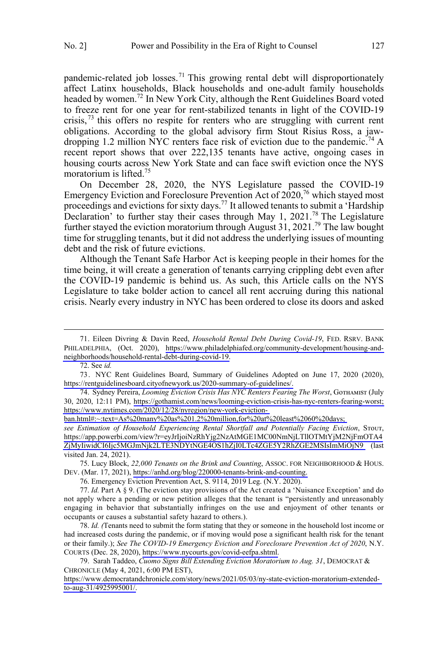pandemic-related job losses.<sup>71</sup> This growing rental debt will disproportionately affect Latinx households, Black households and one-adult family households headed by women.<sup>72</sup> In New York City, although the Rent Guidelines Board voted to freeze rent for one year for rent-stabilized tenants in light of the COVID-19 crisis,<sup>73</sup> this offers no respite for renters who are struggling with current rent obligations. According to the global advisory firm Stout Risius Ross, a jawdropping 1.2 million NYC renters face risk of eviction due to the pandemic.<sup>74</sup> A recent report shows that over 222,135 tenants have active, ongoing cases in housing courts across New York State and can face swift eviction once the NYS moratorium is lifted.<sup>75</sup>

On December 28, 2020, the NYS Legislature passed the COVID-19 Emergency Eviction and Foreclosure Prevention Act of  $2020$ ,<sup>76</sup> which stayed most proceedings and evictions for sixty days.77 It allowed tenants to submit a 'Hardship Declaration' to further stay their cases through May 1, 2021.<sup>78</sup> The Legislature further stayed the eviction moratorium through August 31, 2021.<sup>79</sup> The law bought time for struggling tenants, but it did not address the underlying issues of mounting debt and the risk of future evictions.

Although the Tenant Safe Harbor Act is keeping people in their homes for the time being, it will create a generation of tenants carrying crippling debt even after the COVID-19 pandemic is behind us. As such, this Article calls on the NYS Legislature to take bolder action to cancel all rent accruing during this national crisis. Nearly every industry in NYC has been ordered to close its doors and asked

 $\overline{a}$ 

72. See *id.* 

[ban.html#:~:text=As%20many%20as%201.2%20million,for%20at%20least%2060%20days;](https://www.nytimes.com/2020/12/28/nyregion/new-york-eviction-ban.html#:~:text=As%20many%20as%201.2%20million,for%20at%20least%2060%20days) 

see Estimation of Household Experiencing Rental Shortfall and Potentially Facing Eviction, STOUT, [https://app.powerbi.com/view?r=eyJrIjoiNzRhYjg2NzAtMGE1MC00NmNjLTllOTMtYjM2NjFmOTA4](https://app.powerbi.com/view?r=eyJrIjoiNzRhYjg2NzAtMGE1MC00NmNjLTllOTMtYjM2NjFmOTA4ZjMyIiwidCI6Ijc5MGJmNjk2LTE3NDYtNGE4OS1hZjI0LTc4ZGE5Y2RhZGE2MSIsImMiOjN9) [ZjMyIiwidCI6Ijc5MGJmNjk2LTE3NDYtNGE4OS1hZjI0LTc4ZGE5Y2RhZGE2MSIsImMiOjN9](https://app.powerbi.com/view?r=eyJrIjoiNzRhYjg2NzAtMGE1MC00NmNjLTllOTMtYjM2NjFmOTA4ZjMyIiwidCI6Ijc5MGJmNjk2LTE3NDYtNGE4OS1hZjI0LTc4ZGE5Y2RhZGE2MSIsImMiOjN9) (last visited Jan. 24, 2021).

75. Lucy Block, 22,000 Tenants on the Brink and Counting, ASSOC. FOR NEIGHBORHOOD & HOUS. DEV. (Mar. 17, 2021), [https://anhd.org/blog/220000-tenants-brink-and-counting.](https://anhd.org/blog/220000-tenants-brink-and-counting)

76. Emergency Eviction Prevention Act, S. 9114, 2019 Leg. (N.Y. 2020).

77. *Id.* Part A § 9. (The eviction stay provisions of the Act created a 'Nuisance Exception' and do not apply where a pending or new petition alleges that the tenant is "persistently and unreasonably engaging in behavior that substantially infringes on the use and enjoyment of other tenants or occupants or causes a substantial safety hazard to others.).

*Id. (*Tenants need to submit the form stating that they or someone in the household lost income or 78. had increased costs during the pandemic, or if moving would pose a significant health risk for the tenant or their family.); *See The COVID-19 Emergency Eviction and Foreclosure Prevention Act of 2020*, N.Y. COURTS (Dec. 28, 2020), [https://www.nycourts.gov/covid-eefpa.shtml.](https://www.nycourts.gov/covid-eefpa.shtml)

79. Sarah Taddeo, *Cuomo Signs Bill Extending Eviction Moratorium to Aug. 31*, DEMOCRAT & CHRONICLE (May 4, 2021, 6:00 PM EST),

[https://www.democratandchronicle.com/story/news/2021/05/03/ny-state-eviction-moratorium-extended](https://www.democratandchronicle.com/story/news/2021/05/03/ny-state-eviction-moratorium-extended-to-aug-31/4925995001/)[to-aug-31/4925995001/.](https://www.democratandchronicle.com/story/news/2021/05/03/ny-state-eviction-moratorium-extended-to-aug-31/4925995001/)

The Bileen Divring & Davin Reed, *Household Rental Debt During Covid-19*, FED. RSRV. BANK PHILADELPHIA, (Oct. 2020), [https://www.philadelphiafed.org/community-development/housing-and](https://www.philadelphiafed.org/community-development/housing-and-neighborhoods/household-rental-debt-during-covid-19)[neighborhoods/household-rental-debt-during-covid-19.](https://www.philadelphiafed.org/community-development/housing-and-neighborhoods/household-rental-debt-during-covid-19)

<sup>73.</sup> NYC Rent Guidelines Board, Summary of Guidelines Adopted on June 17, 2020 (2020), [https://rentguidelinesboard.cityofnewyork.us/2020-summary-of-guidelines/.](https://rentguidelinesboard.cityofnewyork.us/2020-summary-of-guidelines/)

<sup>74.</sup> Sydney Pereira, *Looming Eviction Crisis Has NYC Renters Fearing The Worst*, GorнAmist (July 30, 2020, 12:11 PM), [https://gothamist.com/news/looming-eviction-crisis-has-nyc-renters-fearing-worst;](https://gothamist.com/news/looming-eviction-crisis-has-nyc-renters-fearing-worst)  [https://www.nytimes.com/2020/12/28/nyregion/new-york-eviction-](https://www.nytimes.com/2020/12/28/nyregion/new-york-eviction-ban.html#:~:text=As%20many%20as%201.2%20million,for%20at%20least%2060%20days)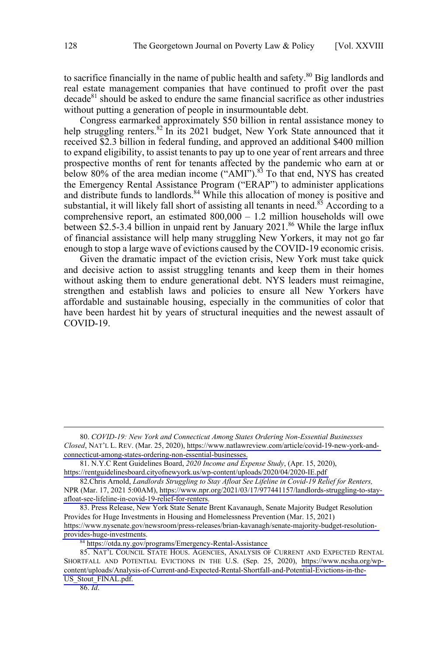to sacrifice financially in the name of public health and safety.<sup>80</sup> Big landlords and real estate management companies that have continued to profit over the past decade<sup>81</sup> should be asked to endure the same financial sacrifice as other industries without putting a generation of people in insurmountable debt.

Congress earmarked approximately \$50 billion in rental assistance money to help struggling renters.<sup>82</sup> In its 2021 budget, New York State announced that it received \$2.3 billion in federal funding, and approved an additional \$400 million to expand eligibility, to assist tenants to pay up to one year of rent arrears and three prospective months of rent for tenants affected by the pandemic who earn at or below 80% of the area median income ("AMI").<sup>83</sup> To that end, NYS has created the Emergency Rental Assistance Program ("ERAP") to administer applications and distribute funds to landlords.<sup>84</sup> While this allocation of money is positive and substantial, it will likely fall short of assisting all tenants in need.<sup>85</sup> According to a comprehensive report, an estimated  $800,000 - 1.2$  million households will owe between \$2.5-3.4 billion in unpaid rent by January 2021.<sup>86</sup> While the large influx of financial assistance will help many struggling New Yorkers, it may not go far enough to stop a large wave of evictions caused by the COVID-19 economic crisis.

Given the dramatic impact of the eviction crisis, New York must take quick and decisive action to assist struggling tenants and keep them in their homes without asking them to endure generational debt. NYS leaders must reimagine, strengthen and establish laws and policies to ensure all New Yorkers have affordable and sustainable housing, especially in the communities of color that have been hardest hit by years of structural inequities and the newest assault of COVID-19.

86. *Id*.

*COVID-19: New York and Connecticut Among States Ordering Non-Essential Businesses*  80. *Closed*, NAT'L L. REV. (Mar. 25, 2020), [https://www.natlawreview.com/article/covid-19-new-york-and](https://www.natlawreview.com/article/covid-19-new-york-and-connecticut-among-states-ordering-non-essential-businesses)[connecticut-among-states-ordering-non-essential-businesses.](https://www.natlawreview.com/article/covid-19-new-york-and-connecticut-among-states-ordering-non-essential-businesses)

N.Y.C Rent Guidelines Board, *2020 Income and Expense Study*, (Apr. 15, 2020), 81. <https://rentguidelinesboard.cityofnewyork.us/wp-content/uploads/2020/04/2020-IE.pdf>

<sup>82.</sup> Chris Arnold, *Landlords Struggling to Stay Afloat See Lifeline in Covid-19 Relief for Renters*, NPR (Mar. 17, 2021 5:00AM), [https://www.npr.org/2021/03/17/977441157/landlords-struggling-to-stay](https://www.npr.org/2021/03/17/977441157/landlords-struggling-to-stay-afloat-see-lifeline-in-covid-19-relief-for-renters)[afloat-see-lifeline-in-covid-19-relief-for-renters.](https://www.npr.org/2021/03/17/977441157/landlords-struggling-to-stay-afloat-see-lifeline-in-covid-19-relief-for-renters)

<sup>83.</sup> Press Release, New York State Senate Brent Kavanaugh, Senate Majority Budget Resolution Provides for Huge Investments in Housing and Homelessness Prevention (Mar. 15, 2021) [https://www.nysenate.gov/newsroom/press-releases/brian-kavanagh/senate-majority-budget-resolution](https://www.nysenate.gov/newsroom/press-releases/brian-kavanagh/senate-majority-budget-resolution-provides-huge-investments)[provides-huge-investments](https://www.nysenate.gov/newsroom/press-releases/brian-kavanagh/senate-majority-budget-resolution-provides-huge-investments).

<sup>84</sup> <https://otda.ny.gov/programs/Emergency-Rental-Assistance>

<sup>85.</sup> NAT'L COUNCIL STATE HOUS. AGENCIES, ANALYSIS OF CURRENT AND EXPECTED RENTAL SHORTFALL AND POTENTIAL EVICTIONS IN THE U.S. (Sep. 25, 2020), [https://www.ncsha.org/wp](https://www.ncsha.org/wp-content/uploads/Analysis-of-Current-and-Expected-Rental-Shortfall-and-Potential-Evictions-in-the-US_Stout_FINAL.pdf)[content/uploads/Analysis-of-Current-and-Expected-Rental-Shortfall-and-Potential-Evictions-in-the-](https://www.ncsha.org/wp-content/uploads/Analysis-of-Current-and-Expected-Rental-Shortfall-and-Potential-Evictions-in-the-US_Stout_FINAL.pdf)US Stout FINAL.pdf.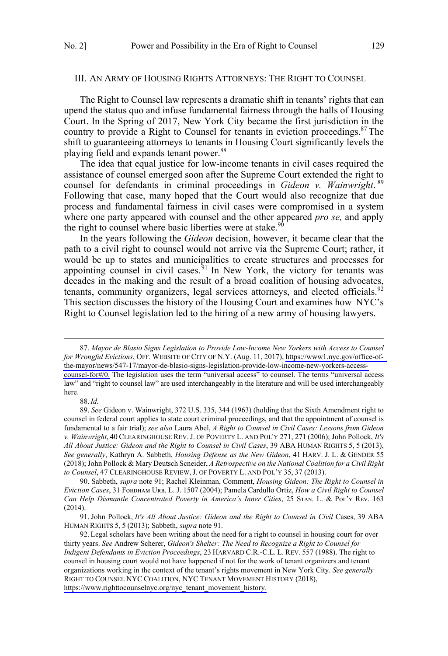### <span id="page-12-0"></span>III. AN ARMY OF HOUSING RIGHTS ATTORNEYS: THE RIGHT TO COUNSEL

The Right to Counsel law represents a dramatic shift in tenants' rights that can upend the status quo and infuse fundamental fairness through the halls of Housing Court. In the Spring of 2017, New York City became the first jurisdiction in the country to provide a Right to Counsel for tenants in eviction proceedings.<sup>87</sup> The shift to guaranteeing attorneys to tenants in Housing Court significantly levels the playing field and expands tenant power.<sup>88</sup>

The idea that equal justice for low-income tenants in civil cases required the assistance of counsel emerged soon after the Supreme Court extended the right to counsel for defendants in criminal proceedings in *Gideon v. Wainwright*. <sup>89</sup> Following that case, many hoped that the Court would also recognize that due process and fundamental fairness in civil cases were compromised in a system where one party appeared with counsel and the other appeared *pro se,* and apply the right to counsel where basic liberties were at stake.<sup>9</sup>

In the years following the *Gideon* decision, however, it became clear that the path to a civil right to counsel would not arrive via the Supreme Court; rather, it would be up to states and municipalities to create structures and processes for appointing counsel in civil cases.<sup> $91$ </sup> In New York, the victory for tenants was decades in the making and the result of a broad coalition of housing advocates, tenants, community organizers, legal services attorneys, and elected officials.<sup>92</sup> This section discusses the history of the Housing Court and examines how NYC's Right to Counsel legislation led to the hiring of a new army of housing lawyers.

 $\overline{a}$ 

#### 88.*Id.*

*Mayor de Blasio Signs Legislation to Provide Low-Income New Yorkers with Access to Counsel* 87. *for Wrongful Evictions*, OFF. WEBSITE OF CITY OF N.Y. (Aug. 11, 2017), [https://www1.nyc.gov/office-of](https://www1.nyc.gov/office-of-the-mayor/news/547-17/mayor-de-blasio-signs-legislation-provide-low-income-new-yorkers-access-counsel-for#/0)[the-mayor/news/547-17/mayor-de-blasio-signs-legislation-provide-low-income-new-yorkers-access](https://www1.nyc.gov/office-of-the-mayor/news/547-17/mayor-de-blasio-signs-legislation-provide-low-income-new-yorkers-access-counsel-for#/0)[counsel-for#/0.](https://www1.nyc.gov/office-of-the-mayor/news/547-17/mayor-de-blasio-signs-legislation-provide-low-income-new-yorkers-access-counsel-for#/0) The legislation uses the term "universal access" to counsel. The terms "universal access law" and "right to counsel law" are used interchangeably in the literature and will be used interchangeably here.

<sup>89.</sup> *See* Gideon v. Wainwright, 372 U.S. 335, 344 (1963) (holding that the Sixth Amendment right to counsel in federal court applies to state court criminal proceedings, and that the appointment of counsel is fundamental to a fair trial); *see also* Laura Abel, *A Right to Counsel in Civil Cases: Lessons from Gideon v. Wainwright*, 40 CLEARINGHOUSE REV.J. OF POVERTY L. AND POL'Y 271, 271 (2006); John Pollock, *It's All About Justice: Gideon and the Right to Counsel in Civil Cases*, 39 ABA HUMAN RIGHTS 5, 5 (2013), *See generally*, Kathryn A. Sabbeth, *Housing Defense as the New Gideon*, 41 HARV. J. L. & GENDER 55 (2018); John Pollock & Mary Deutsch Scneider, *A Retrospective on the National Coalition for a Civil Right to Counsel*, 47 CLEARINGHOUSE REVIEW, J. OF POVERTY L. AND POL'Y 35, 37 (2013).

<sup>90.</sup> Sabbeth, *supra* note 91; Rachel Kleinman, Comment, *Housing Gideon: The Right to Counsel in Eviction Cases*, 31 Fᴏʀᴅʜᴀᴍ Uʀʙ. L. J. 1507 (2004); Pamela Cardullo Ortiz, *How a Civil Right to Counsel Can Help Dismantle Concentrated Poverty in America's Inner Cities*, 25 Sᴛᴀɴ. L. & Pᴏʟ'ʏ Rᴇᴠ. 163 (2014).

<sup>91.</sup> John Pollock, It's All About Justice: Gideon and the Right to Counsel in Civil Cases, 39 ABA HUMAN RIGHTS 5, 5 (2013); Sabbeth, *supra* note 91.

<sup>92.</sup> Legal scholars have been writing about the need for a right to counsel in housing court for over thirty years. *See* Andrew Scherer, *Gideon's Shelter: The Need to Recognize a Right to Counsel for Indigent Defendants in Eviction Proceedings*, 23 HARVARD C.R.-C.L. L. REV. 557 (1988). The right to counsel in housing court would not have happened if not for the work of tenant organizers and tenant organizations working in the context of the tenant's rights movement in New York City. *See generally*  RIGHT TO COUNSEL NYC COALITION, NYC TENANT MOVEMENT HISTORY (2018), [https://www.righttocounselnyc.org/nyc\\_tenant\\_movement\\_history.](https://www.righttocounselnyc.org/nyc_tenant_movement_history)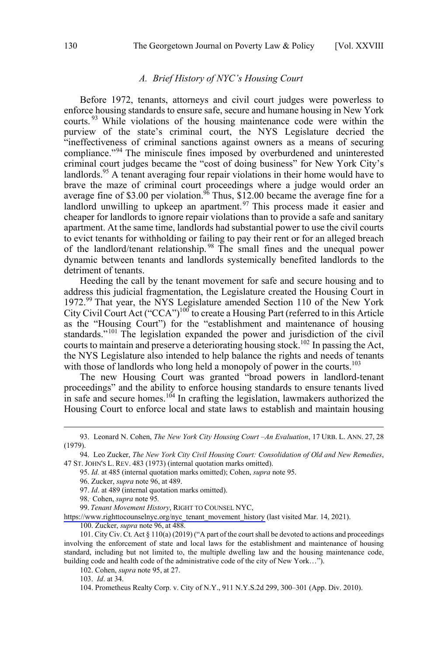### *A. Brief History of NYC's Housing Court*

<span id="page-13-0"></span>Before 1972, tenants, attorneys and civil court judges were powerless to enforce housing standards to ensure safe, secure and humane housing in New York courts.<sup>93</sup> While violations of the housing maintenance code were within the purview of the state's criminal court, the NYS Legislature decried the "ineffectiveness of criminal sanctions against owners as a means of securing compliance."<sup>94</sup> The miniscule fines imposed by overburdened and uninterested criminal court judges became the "cost of doing business" for New York City's landlords.<sup>95</sup> A tenant averaging four repair violations in their home would have to brave the maze of criminal court proceedings where a judge would order an average fine of \$3.00 per violation.<sup>96</sup> Thus,  $$12.00$  became the average fine for a landlord unwilling to upkeep an apartment.<sup>97</sup> This process made it easier and cheaper for landlords to ignore repair violations than to provide a safe and sanitary apartment. At the same time, landlords had substantial power to use the civil courts to evict tenants for withholding or failing to pay their rent or for an alleged breach of the landlord/tenant relationship. <sup>98</sup> The small fines and the unequal power dynamic between tenants and landlords systemically benefited landlords to the detriment of tenants.

Heeding the call by the tenant movement for safe and secure housing and to address this judicial fragmentation, the Legislature created the Housing Court in 1972.<sup>99</sup> That year, the NYS Legislature amended Section 110 of the New York City Civil Court Act ("CCA")<sup>100</sup> to create a Housing Part (referred to in this Article as the "Housing Court") for the "establishment and maintenance of housing standards."<sup>101</sup> The legislation expanded the power and jurisdiction of the civil courts to maintain and preserve a deteriorating housing stock.<sup>102</sup> In passing the Act, the NYS Legislature also intended to help balance the rights and needs of tenants with those of landlords who long held a monopoly of power in the courts.<sup>103</sup>

The new Housing Court was granted "broad powers in landlord-tenant proceedings" and the ability to enforce housing standards to ensure tenants lived in safe and secure homes.<sup>104</sup> In crafting the legislation, lawmakers authorized the Housing Court to enforce local and state laws to establish and maintain housing

 $\overline{a}$ 

98.. Cohen, *supra* note 95*.*

[https://www.righttocounselnyc.org/nyc\\_tenant\\_movement\\_history](https://www.righttocounselnyc.org/nyc_tenant_movement_history) (last visited Mar. 14, 2021).

100. Zucker, *supra* note 96, at 488.

102. Cohen, *supra* note 95, at 27.

103. *Id*. at 34.

 <sup>93.</sup> Leonard N. Cohen, *The New York City Housing Court –An Evaluation*, 17 URB. L. ANN. 27, <sup>28</sup> (1979).

<sup>94.</sup> Leo Zucker, *The New York City Civil Housing Court: Consolidation of Old and New Remedies*, 47 ST. JOHN'S L. REV. 483 (1973) (internal quotation marks omitted).

<sup>95.</sup> *Id.* at 485 (internal quotation marks omitted); Cohen, *supra* note 95.

<sup>96.</sup> Zucker, *supra* note 96, at 489.

<sup>97.</sup> *Id*. at 489 (internal quotation marks omitted).

<sup>99.</sup> Tenant Movement History, RIGHT TO COUNSEL NYC,

<sup>101.</sup> City Civ. Ct. Act § 110(a) (2019) ("A part of the court shall be devoted to actions and proceedings involving the enforcement of state and local laws for the establishment and maintenance of housing standard, including but not limited to, the multiple dwelling law and the housing maintenance code, building code and health code of the administrative code of the city of New York…").

<sup>104.</sup> Prometheus Realty Corp. v. City of N.Y., 911 N.Y.S.2d 299, 300–301 (App. Div. 2010).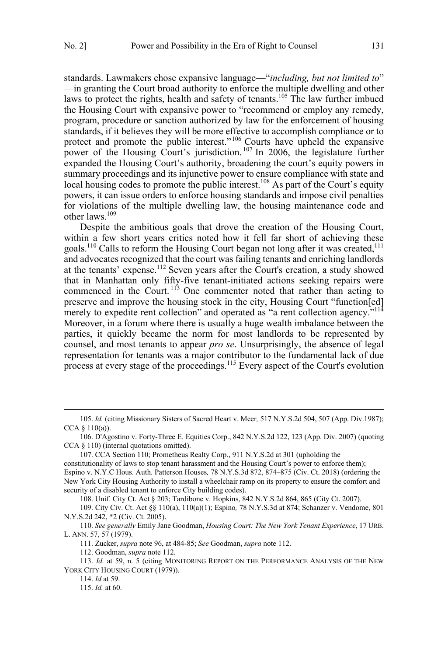standards. Lawmakers chose expansive language—"*including, but not limited to*" —in granting the Court broad authority to enforce the multiple dwelling and other laws to protect the rights, health and safety of tenants.<sup>105</sup> The law further imbued the Housing Court with expansive power to "recommend or employ any remedy, program, procedure or sanction authorized by law for the enforcement of housing standards, if it believes they will be more effective to accomplish compliance or to protect and promote the public interest."<sup>106</sup> Courts have upheld the expansive power of the Housing Court's jurisdiction.<sup>107</sup> In 2006, the legislature further expanded the Housing Court's authority, broadening the court's equity powers in summary proceedings and its injunctive power to ensure compliance with state and local housing codes to promote the public interest.<sup>108</sup> As part of the Court's equity powers, it can issue orders to enforce housing standards and impose civil penalties for violations of the multiple dwelling law, the housing maintenance code and other laws.<sup>109</sup>

Despite the ambitious goals that drove the creation of the Housing Court, within a few short years critics noted how it fell far short of achieving these goals.<sup>110</sup> Calls to reform the Housing Court began not long after it was created,<sup>111</sup> and advocates recognized that the court was failing tenants and enriching landlords at the tenants' expense.<sup>112</sup> Seven years after the Court's creation, a study showed that in Manhattan only fifty-five tenant-initiated actions seeking repairs were commenced in the Court.<sup> $113$ </sup> One commenter noted that rather than acting to preserve and improve the housing stock in the city, Housing Court "function[ed] merely to expedite rent collection" and operated as "a rent collection agency."<sup>114</sup> Moreover, in a forum where there is usually a huge wealth imbalance between the parties, it quickly became the norm for most landlords to be represented by counsel, and most tenants to appear *pro se*. Unsurprisingly, the absence of legal representation for tenants was a major contributor to the fundamental lack of due process at every stage of the proceedings.<sup>115</sup> Every aspect of the Court's evolution

 $\overline{a}$ 

108. Unif. City Ct. Act § 203; Tardibone v. Hopkins, 842 N.Y.S.2d 864, 865 (City Ct. 2007).

 <sup>105.</sup> *Id.* (citing Missionary Sisters of Sacred Heart v. Meer*,* 517 N.Y.S.2d 504, 507 (App. Div.1987); CCA  $§$  110(a)).

<sup>106.</sup> D'Agostino v. Forty-Three E. Equities Corp., 842 N.Y.S.2d 122, 123 (App. Div. 2007) (quoting CCA § 110) (internal quotations omitted).

<sup>107.</sup> CCA Section 110; Prometheus Realty Corp., 911 N.Y.S.2d at 301 (upholding the constitutionality of laws to stop tenant harassment and the Housing Court's power to enforce them); Espino v. N.Y.C Hous. Auth. Patterson Houses*,* 78 N.Y.S.3d 872, 874–875 (Civ. Ct. 2018) (ordering the New York City Housing Authority to install a wheelchair ramp on its property to ensure the comfort and security of a disabled tenant to enforce City building codes).

<sup>109.</sup> City Civ. Ct. Act §§ 110(a), 110(a)(1); Espino*,* 78 N.Y.S.3d at 874; Schanzer v. Vendome, 801 N.Y.S.2d 242, \*2 (Civ. Ct. 2005).

<sup>110.</sup> *See generally* Emily Jane Goodman, *Housing Court: The New York Tenant Experience*, 17 URB. L. ANN. 57, 57 (1979).

<sup>111.</sup> Zucker, *supra* note 96, at 484-85; *See* Goodman, *supra* note 112.

<sup>112.</sup> Goodman, *supra* note 112*.* 

<sup>113.</sup> *Id.* at 59, n. 5 (citing MONITORING REPORT ON THE PERFORMANCE ANALYSIS OF THE NEW YORK CITY HOUSING COURT (1979)).

<sup>114.</sup> *Id.*at 59.

<sup>115.</sup> *Id.* at 60.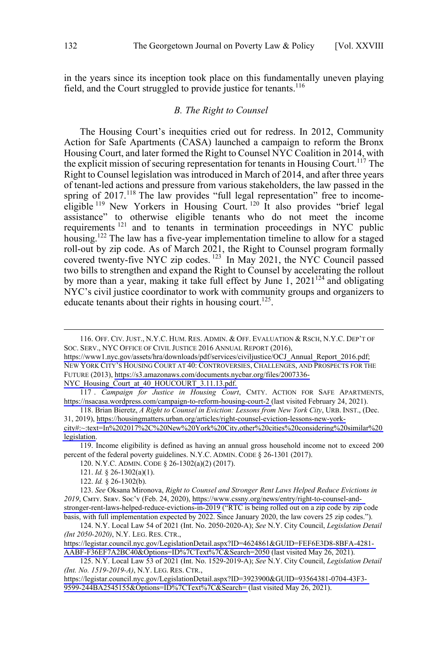<span id="page-15-0"></span>in the years since its inception took place on this fundamentally uneven playing field, and the Court struggled to provide justice for tenants.<sup>116</sup>

### *B. The Right to Counsel*

The Housing Court's inequities cried out for redress. In 2012, Community Action for Safe Apartments (CASA) launched a campaign to reform the Bronx Housing Court, and later formed the Right to Counsel NYC Coalition in 2014, with the explicit mission of securing representation for tenants in Housing Court.<sup>117</sup> The Right to Counsel legislation was introduced in March of 2014, and after three years of tenant-led actions and pressure from various stakeholders, the law passed in the spring of 2017.<sup>118</sup> The law provides "full legal representation" free to incomeeligible <sup>119</sup> New Yorkers in Housing Court.<sup>120</sup> It also provides "brief legal assistance" to otherwise eligible tenants who do not meet the income requirements <sup>121</sup> and to tenants in termination proceedings in NYC public housing.<sup>122</sup> The law has a five-year implementation timeline to allow for a staged roll-out by zip code. As of March 2021, the Right to Counsel program formally covered twenty-five NYC zip codes.<sup>123</sup> In May 2021, the NYC Council passed two bills to strengthen and expand the Right to Counsel by accelerating the rollout by more than a year, making it take full effect by June  $1, 2021^{124}$  and obligating NYC's civil justice coordinator to work with community groups and organizers to educate tenants about their rights in housing court.<sup>125</sup>.

 $\overline{a}$ 

NYC Housing Court at 40 HOUCOURT 3.11.13.pdf.

119. Income eligibility is defined as having an annual gross household income not to exceed 200 percent of the federal poverty guidelines. N.Y.C. ADMIN. CODE § 26-1301 (2017).

120. N.Y.C. ADMIN. CODE § 26-1302(a)(2) (2017).

[https://legistar.council.nyc.gov/LegislationDetail.aspx?ID=4624861&GUID=FEF6E3D8-8BFA-4281-](https://legistar.council.nyc.gov/LegislationDetail.aspx?ID=4624861&GUID=FEF6E3D8-8BFA-4281-AABF-F36EF7A2BC40&Options=ID%7CText%7C&Search=2050) [AABF-F36EF7A2BC40&Options=ID%7CText%7C&Search=2050](https://legistar.council.nyc.gov/LegislationDetail.aspx?ID=4624861&GUID=FEF6E3D8-8BFA-4281-AABF-F36EF7A2BC40&Options=ID%7CText%7C&Search=2050) (last visited May 26, 2021).

N.Y. Local Law 53 of 2021 (Int. No. 1529-2019-A); *See* N.Y. City Council, *Legislation Detail*  125. *(Int. No. 1519-2019-A)*, N.Y. LEG. RES. CTR.,

[https://legistar.council.nyc.gov/LegislationDetail.aspx?ID=3923900&GUID=93564381-0704-43F3-](https://legistar.council.nyc.gov/LegislationDetail.aspx?ID=3923900&GUID=93564381-0704-43F3-9599-244BA2545155&Options=ID%7CText%7C&Search=) [9599-244BA2545155&Options=ID%7CText%7C&Search=](https://legistar.council.nyc.gov/LegislationDetail.aspx?ID=3923900&GUID=93564381-0704-43F3-9599-244BA2545155&Options=ID%7CText%7C&Search=) (last visited May 26, 2021).

<sup>116.</sup> OFF. CIV. JUST., N.Y.C. HUM. RES. ADMIN. & OFF. EVALUATION & RSCH, N.Y.C. DEP'T OF SOC. SERV., NYC OFFICE OF CIVIL JUSTICE 2016 ANNUAL REPORT (2016),

[https://www1.nyc.gov/assets/hra/downloads/pdf/services/civiljustice/OCJ\\_Annual\\_Report\\_2016.pdf;](https://www1.nyc.gov/assets/hra/downloads/pdf/services/civiljustice/OCJ_Annual_Report_2016.pdf) NEW YORK CITY'S HOUSING COURT AT 40: CONTROVERSIES, CHALLENGES, AND PROSPECTS FOR THE FUTURE (2013), [https://s3.amazonaws.com/documents.nycbar.org/files/2007336-](https://s3.amazonaws.com/documents.nycbar.org/files/2007336-NYC_Housing_Court_at_40_HOUCOURT_3.11.13.pdf)

*Campaign for Justice in Housing Court*, CMTY. ACTION FOR SAFE APARTMENTS, 117 . [https://nsacasa.wordpress.com/campaign-to-reform-housing-court-2 \(](https://nsacasa.wordpress.com/campaign-to-reform-housing-court-2)last visited February 24, 2021).

<sup>118.</sup> Brian Bieretz, A Right to Counsel in Eviction: Lessons from New York City, URB. INST., (Dec. 31, 2019), [https://housingmatters.urban.org/articles/right-counsel-eviction-lessons-new-york](https://housingmatters.urban.org/articles/right-counsel-eviction-lessons-new-york-city#:~:text=In%202017%2C%20New%20York%20City,other%20cities%20considering%20similar%20legislation.)[city#:~:text=In%202017%2C%20New%20York%20City,other%20cities%20considering%20similar%20](https://housingmatters.urban.org/articles/right-counsel-eviction-lessons-new-york-city#:~:text=In%202017%2C%20New%20York%20City,other%20cities%20considering%20similar%20legislation.) [legislation.](https://housingmatters.urban.org/articles/right-counsel-eviction-lessons-new-york-city#:~:text=In%202017%2C%20New%20York%20City,other%20cities%20considering%20similar%20legislation.)

<sup>121.</sup> *Id.* § 26-1302(a)(1).

<sup>122.</sup> *Id.* § 26-1302(b).

*See* Oksana Mironova, *Right to Counsel and Stronger Rent Laws Helped Reduce Evictions in*  123. 2019, CMTY. SERV. Soc'Y (Feb. 24, 2020), [https://www.cssny.org/news/entry/right-to-counsel-and](https://www.cssny.org/news/entry/right-to-counsel-and-stronger-rent-laws-helped-reduce-evictions-in-2019)[stronger-rent-laws-helped-reduce-evictions-in-2019](https://www.cssny.org/news/entry/right-to-counsel-and-stronger-rent-laws-helped-reduce-evictions-in-2019) ("RTC is being rolled out on a zip code by zip code basis, with full implementation expected by 2022. Since January 2020, the law covers 25 zip codes.").

N.Y. Local Law 54 of 2021 (Int. No. 2050-2020-A); *See* N.Y. City Council, *Legislation Detail*  124. *(Int 2050-2020)*, N.Y. LEG. RES. CTR.,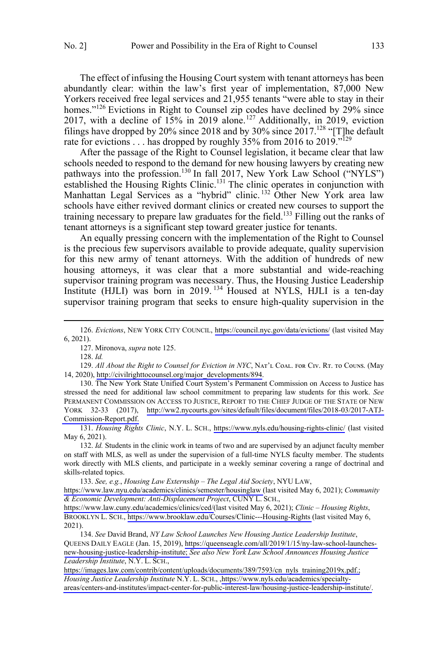The effect of infusing the Housing Court system with tenant attorneys has been abundantly clear: within the law's first year of implementation, 87,000 New Yorkers received free legal services and 21,955 tenants "were able to stay in their homes."<sup>126</sup> Evictions in Right to Counsel zip codes have declined by 29% since 2017, with a decline of  $15\%$  in 2019 alone.<sup>127</sup> Additionally, in 2019, eviction filings have dropped by 20% since 2018 and by 30% since  $2017$ .<sup>128</sup> "[T]he default rate for evictions . . . has dropped by roughly  $35\%$  from 2016 to 2019.<sup> $n^{129}$ </sup>

After the passage of the Right to Counsel legislation, it became clear that law schools needed to respond to the demand for new housing lawyers by creating new pathways into the profession.<sup>130</sup> In fall 2017, New York Law School ("NYLS") established the Housing Rights Clinic.<sup>131</sup> The clinic operates in conjunction with Manhattan Legal Services as a "hybrid" clinic. <sup>132</sup> Other New York area law schools have either revived dormant clinics or created new courses to support the training necessary to prepare law graduates for the field.<sup>133</sup> Filling out the ranks of tenant attorneys is a significant step toward greater justice for tenants.

An equally pressing concern with the implementation of the Right to Counsel is the precious few supervisors available to provide adequate, quality supervision for this new army of tenant attorneys. With the addition of hundreds of new housing attorneys, it was clear that a more substantial and wide-reaching supervisor training program was necessary. Thus, the Housing Justice Leadership Institute (HJLI) was born in 2019.<sup>134</sup> Housed at NYLS, HJLI is a ten-day supervisor training program that seeks to ensure high-quality supervision in the

 $\overline{a}$ 

130. The New York State Unified Court System's Permanent Commission on Access to Justice has stressed the need for additional law school commitment to preparing law students for this work. *See* PERMANENT COMMISSION ON ACCESS TO JUSTICE, REPORT TO THE CHIEF JUDGE OF THE STATE OF NEW YORK 32-33 (2017), [http://ww2.nycourts.gov/sites/default/files/document/files/2018-03/2017-ATJ-](http://ww2.nycourts.gov/sites/default/files/document/files/2018-03/2017-ATJ-Commission-Report.pdf)[Commission-Report.pdf.](http://ww2.nycourts.gov/sites/default/files/document/files/2018-03/2017-ATJ-Commission-Report.pdf)

*Housing Rights Clinic*, N.Y. L. SCH., <https://www.nyls.edu/housing-rights-clinic/> (last visited 131. May 6, 2021).

132. *Id.* Students in the clinic work in teams of two and are supervised by an adjunct faculty member on staff with MLS, as well as under the supervision of a full-time NYLS faculty member. The students work directly with MLS clients, and participate in a weekly seminar covering a range of doctrinal and skills-related topics.

*See, e.g.*, *Housing Law Externship – The Legal Aid Society*, NYU LAW, 133.

[https://www.law.nyu.edu/academics/clinics/semester/housinglaw \(](https://www.law.nyu.edu/academics/clinics/semester/housinglaw)last visited May 6, 2021); *Community & Economic Development: Anti-Displacement Project*, CUNY L. SCH.,

[https://www.law.cuny.edu/academics/clinics/ced/\(](https://www.law.cuny.edu/academics/clinics/ced/)last visited May 6, 2021); *Clinic – Housing Rights*, BROOKLYN L. SCH., <https://www.brooklaw.edu/Courses/Clinic---Housing-Rights>(last visited May 6, 2021).

*See* David Brand, *NY Law School Launches New Housing Justice Leadership Institute*, 134. QUEENS DAILY EAGLE (Jan. 15, 2019), [https://queenseagle.com/all/2019/1/15/ny-law-school-launches](https://queenseagle.com/all/2019/1/15/ny-law-school-launches-new-housing-justice-leadership-institute)[new-housing-justice-leadership-institute;](https://queenseagle.com/all/2019/1/15/ny-law-school-launches-new-housing-justice-leadership-institute) *See also New York Law School Announces Housing Justice Leadership Institute*, N.Y. L. SCH.,

[https://images.law.com/contrib/content/uploads/documents/389/7593/cn\\_nyls\\_training2019x.pdf.;](https://images.law.com/contrib/content/uploads/documents/389/7593/cn_nyls_training2019x.pdf) *Housing Justice Leadership Institute* N.Y. L. SCH., [,https://www.nyls.edu/academics/specialty](https://www.nyls.edu/academics/specialty-areas/centers-and-institutes/impact-center-for-public-interest-law/housing-justice-leadership-institute/)[areas/centers-and-institutes/impact-center-for-public-interest-law/housing-justice-leadership-institute/.](https://www.nyls.edu/academics/specialty-areas/centers-and-institutes/impact-center-for-public-interest-law/housing-justice-leadership-institute/)

*Evictions*, NEW YORK CITY COUNCIL, <https://council.nyc.gov/data/evictions/> (last visited May 126. 6, 2021).

<sup>127.</sup> Mironova, *supra* note 125.

<sup>128.</sup> *Id.* 

<sup>129.</sup> All About the Right to Counsel for Eviction in NYC, NAT'L COAL. FOR CIV. RT. TO COUNS. (May 14, 2020), [http://civilrighttocounsel.org/major\\_developments/894](http://civilrighttocounsel.org/major_developments/894).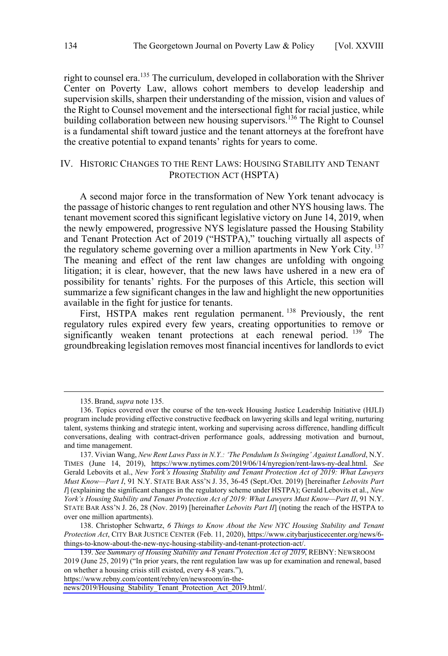<span id="page-17-0"></span>right to counsel era.<sup>135</sup> The curriculum, developed in collaboration with the Shriver Center on Poverty Law, allows cohort members to develop leadership and supervision skills, sharpen their understanding of the mission, vision and values of the Right to Counsel movement and the intersectional fight for racial justice, while building collaboration between new housing supervisors.<sup>136</sup> The Right to Counsel is a fundamental shift toward justice and the tenant attorneys at the forefront have the creative potential to expand tenants' rights for years to come.

### IV. HISTORIC CHANGES TO THE RENT LAWS: HOUSING STABILITY AND TENANT PROTECTION ACT (HSPTA)

A second major force in the transformation of New York tenant advocacy is the passage of historic changes to rent regulation and other NYS housing laws. The tenant movement scored this significant legislative victory on June 14, 2019, when the newly empowered, progressive NYS legislature passed the Housing Stability and Tenant Protection Act of 2019 ("HSTPA)," touching virtually all aspects of the regulatory scheme governing over a million apartments in New York City.<sup>137</sup> The meaning and effect of the rent law changes are unfolding with ongoing litigation; it is clear, however, that the new laws have ushered in a new era of possibility for tenants' rights. For the purposes of this Article, this section will summarize a few significant changes in the law and highlight the new opportunities available in the fight for justice for tenants.

First, HSTPA makes rent regulation permanent.<sup>138</sup> Previously, the rent regulatory rules expired every few years, creating opportunities to remove or significantly weaken tenant protections at each renewal period.<sup>139</sup> The groundbreaking legislation removes most financial incentives for landlords to evict

 $\overline{a}$ 

[https://www.rebny.com/content/rebny/en/newsroom/in-the-](https://www.rebny.com/content/rebny/en/newsroom/in-the-news/2019/Housing_Stability_Tenant_Protection_Act_2019.html/)

 <sup>135.</sup>Brand, *supra* note 135.

<sup>136.</sup> Topics covered over the course of the ten-week Housing Justice Leadership Initiative (HJLI) program include providing effective constructive feedback on lawyering skills and legal writing, nurturing talent, systems thinking and strategic intent, working and supervising across difference, handling difficult conversations, dealing with contract-driven performance goals, addressing motivation and burnout, and time management.

<sup>137.</sup> Vivian Wang, New Rent Laws Pass in N.Y.: 'The Pendulum Is Swinging' Against Landlord, N.Y. TIMES (June 14, 2019), [https://www.nytimes.com/2019/06/14/nyregion/rent-laws-ny-deal.html.](https://www.nytimes.com/2019/06/14/nyregion/rent-laws-ny-deal.html) *See*  Gerald Lebovits et al., *New York's Housing Stability and Tenant Protection Act of 2019: What Lawyers Must Know—Part I*, 91 N.Y. STATE BAR ASS'N J. 35, 36-45 (Sept./Oct. 2019) [hereinafter *Lebovits Part I*] (explaining the significant changes in the regulatory scheme under HSTPA); Gerald Lebovits et al., *New York's Housing Stability and Tenant Protection Act of 2019: What Lawyers Must Know—Part II*, 91 N.Y. STATE BAR ASS'N J. 26, 28 (Nov. 2019) [hereinafter *Lebovits Part II*] (noting the reach of the HSTPA to over one million apartments).

<sup>138.</sup> Christopher Schwartz, 6 Things to Know About the New NYC Housing Stability and Tenant *Protection Act*, CITY BAR JUSTICE CENTER (Feb. 11, 2020), [https://www.citybarjusticecenter.org/news/6](https://www.citybarjusticecenter.org/news/6-things-to-know-about-the-new-nyc-housing-stability-and-tenant-protection-act/) [things-to-know-about-the-new-nyc-housing-stability-and-tenant-protection-act/.](https://www.citybarjusticecenter.org/news/6-things-to-know-about-the-new-nyc-housing-stability-and-tenant-protection-act/)

<sup>139.</sup> See Summary of Housing Stability and Tenant Protection Act of 2019, REBNY: NEWSROOM 2019 (June 25, 2019) ("In prior years, the rent regulation law was up for examination and renewal, based on whether a housing crisis still existed, every 4-8 years."),

[news/2019/Housing\\_Stability\\_Tenant\\_Protection\\_Act\\_2019.html/](https://www.rebny.com/content/rebny/en/newsroom/in-the-news/2019/Housing_Stability_Tenant_Protection_Act_2019.html/).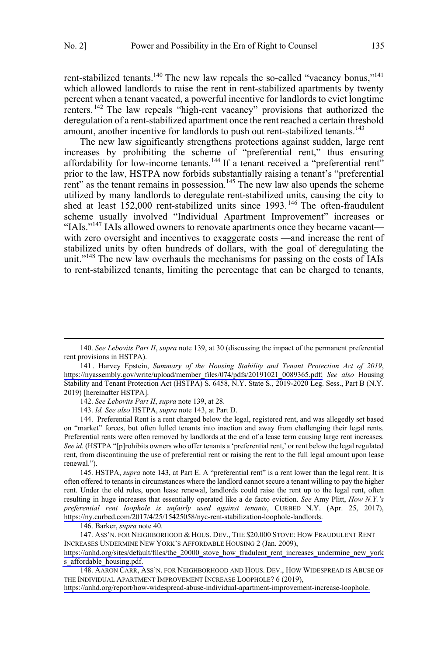rent-stabilized tenants.<sup>140</sup> The new law repeals the so-called "vacancy bonus,"<sup>141</sup> which allowed landlords to raise the rent in rent-stabilized apartments by twenty percent when a tenant vacated, a powerful incentive for landlords to evict longtime renters. <sup>142</sup> The law repeals "high-rent vacancy" provisions that authorized the deregulation of a rent-stabilized apartment once the rent reached a certain threshold amount, another incentive for landlords to push out rent-stabilized tenants.<sup>143</sup>

The new law significantly strengthens protections against sudden, large rent increases by prohibiting the scheme of "preferential rent," thus ensuring affordability for low-income tenants.<sup>144</sup> If a tenant received a "preferential rent" prior to the law, HSTPA now forbids substantially raising a tenant's "preferential rent" as the tenant remains in possession.<sup>145</sup> The new law also upends the scheme utilized by many landlords to deregulate rent-stabilized units, causing the city to shed at least  $152,000$  rent-stabilized units since  $1993$ .<sup>146</sup> The often-fraudulent scheme usually involved "Individual Apartment Improvement" increases or "IAIs."<sup>147</sup> IAIs allowed owners to renovate apartments once they became vacant with zero oversight and incentives to exaggerate costs —and increase the rent of stabilized units by often hundreds of dollars, with the goal of deregulating the unit."<sup>148</sup> The new law overhauls the mechanisms for passing on the costs of IAIs to rent-stabilized tenants, limiting the percentage that can be charged to tenants,

 $\overline{a}$ 

143. *Id. See also* HSTPA, *supra* note 143, at Part D.

144. Preferential Rent is a rent charged below the legal, registered rent, and was allegedly set based on "market" forces, but often lulled tenants into inaction and away from challenging their legal rents. Preferential rents were often removed by landlords at the end of a lease term causing large rent increases. *See id.* (HSTPA "[p]rohibits owners who offer tenants a 'preferential rent,' or rent below the legal regulated rent, from discontinuing the use of preferential rent or raising the rent to the full legal amount upon lease renewal.").

145. HSTPA, *supra* note 143, at Part E. A "preferential rent" is a rent lower than the legal rent. It is often offered to tenants in circumstances where the landlord cannot secure a tenant willing to pay the higher rent. Under the old rules, upon lease renewal, landlords could raise the rent up to the legal rent, often resulting in huge increases that essentially operated like a de facto eviction. *See* Amy Plitt, *How N.Y.'s preferential rent loophole is unfairly used against tenants*, CURBED N.Y. (Apr. 25, 2017), [https://ny.curbed.com/2017/4/25/15425058/nyc-rent-stabilization-loophole-landlords.](https://ny.curbed.com/2017/4/25/15425058/nyc-rent-stabilization-loophole-landlords)

146. Barker, *supra* note 40.

147. ASS'N. FOR NEIGHBORHOOD & HOUS. DEV., THE \$20,000 STOVE: HOW FRAUDULENT RENT INCREASES UNDERMINE NEW YORK'S AFFORDABLE HOUSING 2 (Jan. 2009),

[https://anhd.org/sites/default/files/the\\_20000\\_stove\\_how\\_fradulent\\_rent\\_increases\\_undermine\\_new\\_york](https://anhd.org/sites/default/files/the_20000_stove_how_fradulent_rent_increases_undermine_new_yorks_affordable_housing.pdf) s affordable housing.pdf.

 <sup>140.</sup> *See Lebovits Part II*, *supra* note 139, at 30 (discussing the impact of the permanent preferential rent provisions in HSTPA).

<sup>141.</sup> Harvey Epstein, Summary of the Housing Stability and Tenant Protection Act of 2019, [https://nyassembly.gov/write/upload/member\\_files/074/pdfs/20191021\\_0089365.pdf;](https://nyassembly.gov/write/upload/member_files/074/pdfs/20191021_0089365.pdf) *See also* Housing Stability and Tenant Protection Act (HSTPA) S. 6458, N.Y. State S., 2019-2020 Leg. Sess., Part B (N.Y. 2019) [hereinafter HSTPA].

<sup>142.</sup> *See Lebovits Part II*, *supra* note 139, at 28.

<sup>148.</sup> AARON CARR, ASS'N. FOR NEIGHBORHOOD AND HOUS. DEV., HOW WIDESPREAD IS ABUSE OF THE INDIVIDUAL APARTMENT IMPROVEMENT INCREASE LOOPHOLE? 6 (2019),

[https://anhd.org/report/how-widespread-abuse-individual-apartment-improvement-increase-loophole.](https://anhd.org/report/how-widespread-abuse-individual-apartment-improvement-increase-loophole)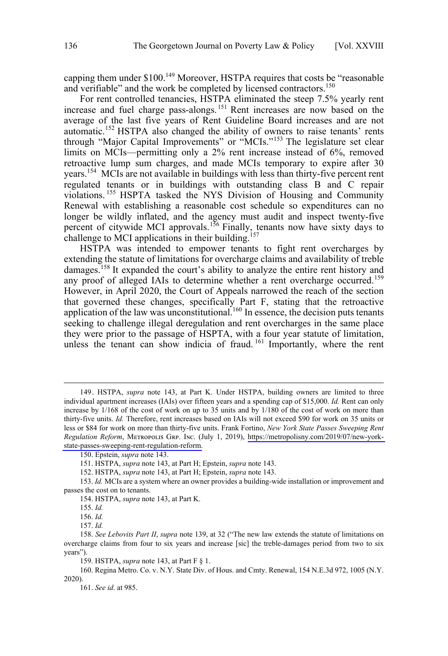capping them under \$100.<sup>149</sup> Moreover, HSTPA requires that costs be "reasonable and verifiable" and the work be completed by licensed contractors.<sup>150</sup>

For rent controlled tenancies, HSTPA eliminated the steep 7.5% yearly rent increase and fuel charge pass-alongs.<sup>151</sup> Rent increases are now based on the average of the last five years of Rent Guideline Board increases and are not automatic.<sup>152</sup> HSTPA also changed the ability of owners to raise tenants' rents through "Major Capital Improvements" or "MCIs."<sup>153</sup> The legislature set clear limits on MCIs—permitting only a 2% rent increase instead of 6%, removed retroactive lump sum charges, and made MCIs temporary to expire after 30 years.154 MCIs are not available in buildings with less than thirty-five percent rent regulated tenants or in buildings with outstanding class B and C repair violations. <sup>155</sup> HSPTA tasked the NYS Division of Housing and Community Renewal with establishing a reasonable cost schedule so expenditures can no longer be wildly inflated, and the agency must audit and inspect twenty-five percent of citywide MCI approvals.<sup>156</sup> Finally, tenants now have sixty days to challenge to MCI applications in their building.<sup>157</sup>

HSTPA was intended to empower tenants to fight rent overcharges by extending the statute of limitations for overcharge claims and availability of treble damages.<sup>158</sup> It expanded the court's ability to analyze the entire rent history and any proof of alleged IAIs to determine whether a rent overcharge occurred.<sup>159</sup> However, in April 2020, the Court of Appeals narrowed the reach of the section that governed these changes, specifically Part F, stating that the retroactive application of the law was unconstitutional.<sup>160</sup> In essence, the decision puts tenants seeking to challenge illegal deregulation and rent overcharges in the same place they were prior to the passage of HSPTA, with a four year statute of limitation, unless the tenant can show indicia of fraud. <sup>161</sup> Importantly, where the rent

 $\overline{a}$ 

161. *See id*. at 985.

<sup>149.</sup> HSTPA, *supra* note 143, at Part K. Under HSTPA, building owners are limited to three individual apartment increases (IAIs) over fifteen years and a spending cap of \$15,000. *Id.* Rent can only increase by 1/168 of the cost of work on up to 35 units and by 1/180 of the cost of work on more than thirty-five units. *Id.* Therefore, rent increases based on IAIs will not exceed \$90 for work on 35 units or less or \$84 for work on more than thirty-five units. Frank Fortino, *New York State Passes Sweeping Rent Regulation Reform*, METROPOLIS GRP. INC. (July 1, 2019), [https://metropolisny.com/2019/07/new-york](https://metropolisny.com/2019/07/new-york-state-passes-sweeping-rent-regulation-reform)[state-passes-sweeping-rent-regulation-reform.](https://metropolisny.com/2019/07/new-york-state-passes-sweeping-rent-regulation-reform)

<sup>150.</sup> Epstein, *supra* note 143.

<sup>151.</sup> HSTPA, *supra* note 143, at Part H; Epstein, *supra* note 143.

<sup>152.</sup> HSTPA, *supra* note 143, at Part H; Epstein, *supra* note 143.

<sup>153.</sup> *Id.* MCIs are a system where an owner provides a building-wide installation or improvement and passes the cost on to tenants.

<sup>154.</sup> HSTPA, *supra* note 143, at Part K.

<sup>155.</sup> *Id.*

<sup>156.</sup> *Id.*

<sup>157.</sup> *Id.*

<sup>158.</sup> *See Lebovits Part II*, *supra* note 139, at 32 ("The new law extends the statute of limitations on overcharge claims from four to six years and increase [sic] the treble-damages period from two to six years").

<sup>159.</sup> HSTPA, *supra* note 143, at Part F § 1.

<sup>160.</sup> Regina Metro. Co. v. N.Y. State Div. of Hous. and Cmty. Renewal, 154 N.E.3d 972, 1005 (N.Y. 2020).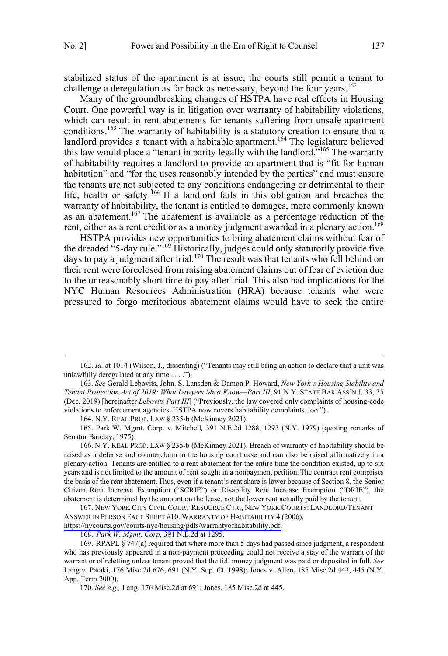stabilized status of the apartment is at issue, the courts still permit a tenant to challenge a deregulation as far back as necessary, beyond the four years.<sup>162</sup>

Many of the groundbreaking changes of HSTPA have real effects in Housing Court. One powerful way is in litigation over warranty of habitability violations, which can result in rent abatements for tenants suffering from unsafe apartment conditions.<sup>163</sup> The warranty of habitability is a statutory creation to ensure that a landlord provides a tenant with a habitable apartment.<sup>164</sup> The legislature believed this law would place a "tenant in parity legally with the landlord."<sup>165</sup> The warranty of habitability requires a landlord to provide an apartment that is "fit for human habitation" and "for the uses reasonably intended by the parties" and must ensure the tenants are not subjected to any conditions endangering or detrimental to their life, health or safety.<sup>166</sup> If a landlord fails in this obligation and breaches the warranty of habitability, the tenant is entitled to damages, more commonly known as an abatement.<sup>167</sup> The abatement is available as a percentage reduction of the rent, either as a rent credit or as a money judgment awarded in a plenary action.<sup>168</sup>

HSTPA provides new opportunities to bring abatement claims without fear of the dreaded "5-day rule."<sup>169</sup> Historically, judges could only statutorily provide five days to pay a judgment after trial.<sup>170</sup> The result was that tenants who fell behind on their rent were foreclosed from raising abatement claims out of fear of eviction due to the unreasonably short time to pay after trial. This also had implications for the NYC Human Resources Administration (HRA) because tenants who were pressured to forgo meritorious abatement claims would have to seek the entire

 $\overline{a}$ 

164. N.Y. REAL PROP. LAW § 235-b (McKinney 2021).

165. Park W. Mgmt. Corp. v. Mitchell*,* 391 N.E.2d 1288, 1293 (N.Y. 1979) (quoting remarks of Senator Barclay, 1975).

166. N.Y. REAL PROP. LAW § 235-b (McKinney 2021). Breach of warranty of habitability should be raised as a defense and counterclaim in the housing court case and can also be raised affirmatively in a plenary action. Tenants are entitled to a rent abatement for the entire time the condition existed, up to six years and is not limited to the amount of rent sought in a nonpayment petition.The contract rent comprises the basis of the rent abatement.Thus, even if a tenant's rent share is lower because of Section 8, the Senior Citizen Rent Increase Exemption ("SCRIE") or Disability Rent Increase Exemption ("DRIE"), the abatement is determined by the amount on the lease, not the lower rent actually paid by the tenant.

167. NEW YORK CITY CIVIL COURT RESOURCE CTR., NEW YORK COURTS: LANDLORD/TENANT ANSWER IN PERSON FACT SHEET #10: WARRANTY OF HABITABILITY 4 (2006), [https://nycourts.gov/courts/nyc/housing/pdfs/warrantyofhabitability.pdf.](https://nycourts.gov/courts/nyc/housing/pdfs/warrantyofhabitability.pdf)

168. *Park W. Mgmt. Corp*, 391 N.E.2d at 1295.

 <sup>162.</sup> *Id.* at 1014 (Wilson, J., dissenting) ("Tenants may still bring an action to declare that a unit was unlawfully deregulated at any time . . . .").

<sup>163.</sup> *See* Gerald Lebovits, John. S. Lansden & Damon P. Howard, *New York's Housing Stability and Tenant Protection Act of 2019: What Lawyers Must Know—Part III*, 91 N.Y. STATE BAR ASS'N J. 33, 35 (Dec. 2019) [hereinafter *Lebovits Part III*] ("Previously, the law covered only complaints of housing-code violations to enforcement agencies. HSTPA now covers habitability complaints, too.").

<sup>169.</sup> RPAPL § 747(a) required that where more than 5 days had passed since judgment, a respondent who has previously appeared in a non-payment proceeding could not receive a stay of the warrant of the warrant or of reletting unless tenant proved that the full money judgment was paid or deposited in full. *See*  Lang v. Pataki, 176 Misc.2d 676, 691 (N.Y. Sup. Ct. 1998); Jones v. Allen, 185 Misc.2d 443, 445 (N.Y. App. Term 2000).

<sup>170.</sup> *See e.g.,* Lang, 176 Misc.2d at 691; Jones, 185 Misc.2d at 445.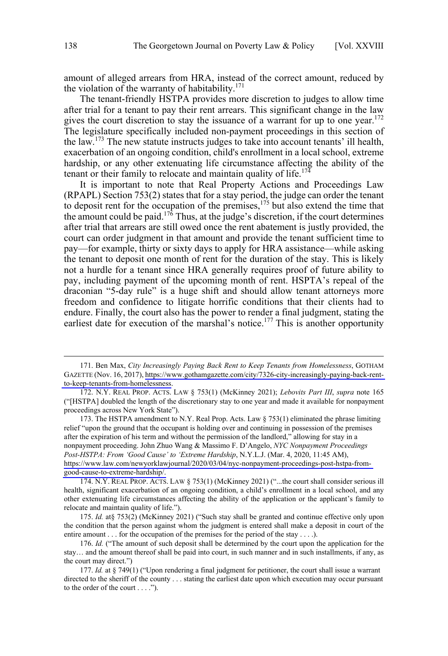amount of alleged arrears from HRA, instead of the correct amount, reduced by the violation of the warranty of habitability. $171$ 

The tenant-friendly HSTPA provides more discretion to judges to allow time after trial for a tenant to pay their rent arrears. This significant change in the law gives the court discretion to stay the issuance of a warrant for up to one year.<sup>172</sup> The legislature specifically included non-payment proceedings in this section of the law.<sup>173</sup> The new statute instructs judges to take into account tenants' ill health, exacerbation of an ongoing condition, child's enrollment in a local school, extreme hardship, or any other extenuating life circumstance affecting the ability of the tenant or their family to relocate and maintain quality of life.<sup>174</sup>

It is important to note that Real Property Actions and Proceedings Law (RPAPL) Section 753(2) states that for a stay period, the judge can order the tenant to deposit rent for the occupation of the premises, $1^{75}$  but also extend the time that the amount could be paid.<sup>176</sup> Thus, at the judge's discretion, if the court determines after trial that arrears are still owed once the rent abatement is justly provided, the court can order judgment in that amount and provide the tenant sufficient time to pay—for example, thirty or sixty days to apply for HRA assistance—while asking the tenant to deposit one month of rent for the duration of the stay. This is likely not a hurdle for a tenant since HRA generally requires proof of future ability to pay, including payment of the upcoming month of rent. HSPTA's repeal of the draconian "5-day rule" is a huge shift and should allow tenant attorneys more freedom and confidence to litigate horrific conditions that their clients had to endure. Finally, the court also has the power to render a final judgment, stating the earliest date for execution of the marshal's notice.<sup>177</sup> This is another opportunity

 $\overline{a}$ 

173. The HSTPA amendment to N.Y. Real Prop. Acts. Law  $\S$  753(1) eliminated the phrase limiting relief "upon the ground that the occupant is holding over and continuing in possession of the premises after the expiration of his term and without the permission of the landlord," allowing for stay in a nonpayment proceeding. John Zhuo Wang & Massimo F. D'Angelo, *NYC Nonpayment Proceedings Post-HSTPA: From 'Good Cause' to 'Extreme Hardship*, N.Y.L.J. (Mar. 4, 2020, 11:45 AM), [https://www.law.com/newyorklawjournal/2020/03/04/nyc-nonpayment-proceedings-post-hstpa-from](https://www.law.com/newyorklawjournal/2020/03/04/nyc-nonpayment-proceedings-post-hstpa-from-good-cause-to-extreme-hardship/)[good-cause-to-extreme-hardship/.](https://www.law.com/newyorklawjournal/2020/03/04/nyc-nonpayment-proceedings-post-hstpa-from-good-cause-to-extreme-hardship/) 

174. N.Y. REAL PROP. ACTS. LAW § 753(1) (McKinney 2021) ("...the court shall consider serious ill health, significant exacerbation of an ongoing condition, a child's enrollment in a local school, and any other extenuating life circumstances affecting the ability of the application or the applicant's family to relocate and maintain quality of life.").

175. *Id.* at§ 753(2) (McKinney 2021) ("Such stay shall be granted and continue effective only upon the condition that the person against whom the judgment is entered shall make a deposit in court of the entire amount . . . for the occupation of the premises for the period of the stay . . . .).

Ben Max, *City Increasingly Paying Back Rent to Keep Tenants from Homelessness*, GOTHAM 171. GAZETTE (Nov. 16, 2017), [https://www.gothamgazette.com/city/7326-city-increasingly-paying-back-rent](https://www.gothamgazette.com/city/7326-city-increasingly-paying-back-rent-to-keep-tenants-from-homelessness)[to-keep-tenants-from-homelessness.](https://www.gothamgazette.com/city/7326-city-increasingly-paying-back-rent-to-keep-tenants-from-homelessness)

<sup>172.</sup> N.Y. REAL PROP. ACTS. LAW § 753(1) (McKinney 2021); *Lebovits Part III*, *supra* note 165 ("[HSTPA] doubled the length of the discretionary stay to one year and made it available for nonpayment proceedings across New York State").

<sup>176.</sup> *Id.* ("The amount of such deposit shall be determined by the court upon the application for the stay… and the amount thereof shall be paid into court, in such manner and in such installments, if any, as the court may direct.")

<sup>177.</sup> *Id.* at § 749(1) ("Upon rendering a final judgment for petitioner, the court shall issue a warrant directed to the sheriff of the county . . . stating the earliest date upon which execution may occur pursuant to the order of the court . . . .").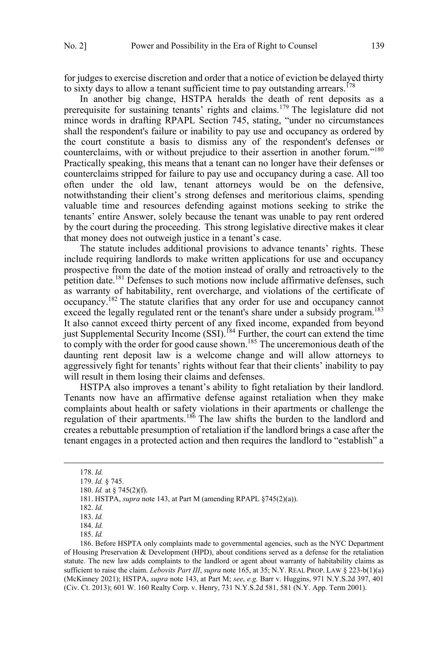for judges to exercise discretion and order that a notice of eviction be delayed thirty to sixty days to allow a tenant sufficient time to pay outstanding arrears.<sup>178</sup>

In another big change, HSTPA heralds the death of rent deposits as a prerequisite for sustaining tenants' rights and claims.<sup>179</sup> The legislature did not mince words in drafting RPAPL Section 745, stating, "under no circumstances shall the respondent's failure or inability to pay use and occupancy as ordered by the court constitute a basis to dismiss any of the respondent's defenses or counterclaims, with or without prejudice to their assertion in another forum."180 Practically speaking, this means that a tenant can no longer have their defenses or counterclaims stripped for failure to pay use and occupancy during a case. All too often under the old law, tenant attorneys would be on the defensive, notwithstanding their client's strong defenses and meritorious claims, spending valuable time and resources defending against motions seeking to strike the tenants' entire Answer, solely because the tenant was unable to pay rent ordered by the court during the proceeding. This strong legislative directive makes it clear that money does not outweigh justice in a tenant's case.

The statute includes additional provisions to advance tenants' rights. These include requiring landlords to make written applications for use and occupancy prospective from the date of the motion instead of orally and retroactively to the petition date.<sup>181</sup> Defenses to such motions now include affirmative defenses, such as warranty of habitability, rent overcharge, and violations of the certificate of occupancy.182 The statute clarifies that any order for use and occupancy cannot exceed the legally regulated rent or the tenant's share under a subsidy program.<sup>183</sup> It also cannot exceed thirty percent of any fixed income, expanded from beyond just Supplemental Security Income  $(SSI)$ .<sup>184</sup> Further, the court can extend the time to comply with the order for good cause shown.<sup>185</sup> The unceremonious death of the daunting rent deposit law is a welcome change and will allow attorneys to aggressively fight for tenants' rights without fear that their clients' inability to pay will result in them losing their claims and defenses.

HSTPA also improves a tenant's ability to fight retaliation by their landlord. Tenants now have an affirmative defense against retaliation when they make complaints about health or safety violations in their apartments or challenge the regulation of their apartments.<sup>186</sup> The law shifts the burden to the landlord and creates a rebuttable presumption of retaliation if the landlord brings a case after the tenant engages in a protected action and then requires the landlord to "establish" a

 $\overline{a}$ 

186. Before HSPTA only complaints made to governmental agencies, such as the NYC Department of Housing Preservation & Development (HPD), about conditions served as a defense for the retaliation statute. The new law adds complaints to the landlord or agent about warranty of habitability claims as sufficient to raise the claim. *Lebovits Part III*, *supra* note 165, at 35; N.Y. REAL PROP. LAW § 223-b(1)(a) (McKinney 2021); HSTPA, *supra* note 143, at Part M; *see*, *e.g.* Barr v. Huggins, 971 N.Y.S.2d 397, 401 (Civ. Ct. 2013); 601 W. 160 Realty Corp. v. Henry, 731 N.Y.S.2d 581, 581 (N.Y. App. Term 2001).

 <sup>178.</sup> *Id.*

<sup>179.</sup> *Id.* § 745.

<sup>180.</sup> *Id.* at § 745(2)(f).

<sup>181.</sup> HSTPA, *supra* note 143, at Part M (amending RPAPL §745(2)(a)).

<sup>182.</sup> *Id.*

<sup>183.</sup> *Id.*

<sup>184.</sup> *Id.*

<sup>185.</sup> *Id.*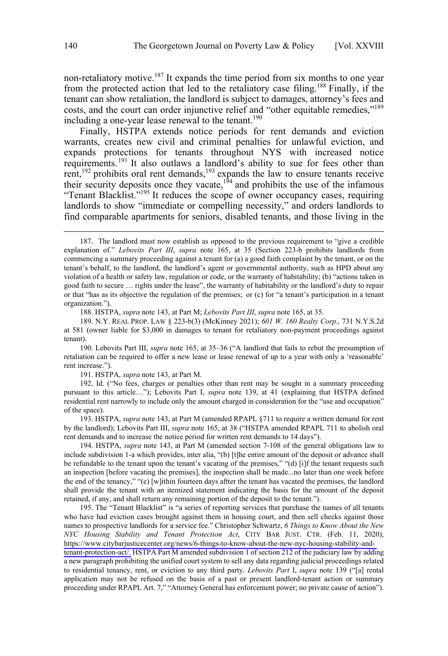non-retaliatory motive.<sup>187</sup> It expands the time period from six months to one year from the protected action that led to the retaliatory case filing.<sup>188</sup> Finally, if the tenant can show retaliation, the landlord is subject to damages, attorney's fees and costs, and the court can order injunctive relief and "other equitable remedies,"189 including a one-year lease renewal to the tenant.<sup>190</sup>

Finally, HSTPA extends notice periods for rent demands and eviction warrants, creates new civil and criminal penalties for unlawful eviction, and expands protections for tenants throughout NYS with increased notice requirements.<sup>191</sup> It also outlaws a landlord's ability to sue for fees other than rent,<sup>192</sup> prohibits oral rent demands,<sup>193</sup> expands the law to ensure tenants receive their security deposits once they vacate, $1^{94}$  and prohibits the use of the infamous "Tenant Blacklist."<sup>195</sup> It reduces the scope of owner occupancy cases, requiring landlords to show "immediate or compelling necessity," and orders landlords to find comparable apartments for seniors, disabled tenants, and those living in the

 $\overline{a}$ 

188. HSTPA, *supra* note 143, at Part M; *Lebovits Part III*, *supra* note 165, at 35.

190. Lebovits Part III, *supra* note 165, at 35–36 ("A landlord that fails to rebut the presumption of retaliation can be required to offer a new lease or lease renewal of up to a year with only a 'reasonable' rent increase.").

191. HSTPA, *supra* note 143, at Part M.

192. Id. ("No fees, charges or penalties other than rent may be sought in a summary proceeding pursuant to this article…"); Lebovits Part I, *supra* note 139, at 41 (explaining that HSTPA defined residential rent narrowly to include only the amount charged in consideration for the "use and occupation" of the space).

193. HSTPA, *supra* note 143, at Part M (amended RPAPL §711 to require a written demand for rent by the landlord); Lebovits Part III, *supra* note 165, at 38 ("HSTPA amended RPAPL 711 to abolish oral rent demands and to increase the notice period for written rent demands to 14 days").

194. HSTPA, *supra* note 143, at Part M (amended section 7-108 of the general obligations law to include subdivision 1-a which provides, inter alia, "(b) [t]he entire amount of the deposit or advance shall be refundable to the tenant upon the tenant's vacating of the premises," "(d) [i]f the tenant requests such an inspection [before vacating the premises], the inspection shall be made...no later than one week before the end of the tenancy," "(e) [w]ithin fourteen days aftter the tenant has vacated the premises, the landlord shall provide the tenant with an itemized statement indicating the basis for the amount of the deposit retained, if any, and shall return any remaining portion of the deposit to the tenant.").

195. The "Tenant Blacklist" is "a series of reporting services that purchase the names of all tenants who have had eviction cases brought against them in housing court, and then sell checks against those names to prospective landlords for a service fee." Christopher Schwartz, *6 Things to Know About the New NYC Housing Stability and Tenant Protection Act*, CITY BAR JUST. CTR. (Feb. 11, 2020), [https://www.citybarjusticecenter.org/news/6-things-to-know-about-the-new-nyc-housing-stability-and](https://www.citybarjusticecenter.org/news/6-things-to-know-about-the-new-nyc-housing-stability-and-tenant-protection-act/)[tenant-protection-act/.](https://www.citybarjusticecenter.org/news/6-things-to-know-about-the-new-nyc-housing-stability-and-tenant-protection-act/) HSTPA Part M amended subdivision 1 of section 212 of the judiciary law by adding a new paragraph prohibiting the unified court system to sell any data regarding judicial proceedings related to residential tenancy, rent, or eviction to any third party. *Lebovits Part* I, *supra* note 139 ("[a] rental application may not be refused on the basis of a past or present landlord-tenant action or summary proceeding under RPAPL Art. 7," "Attorney General has enforcement power; no private cause of action").

 <sup>187.</sup> The landlord must now establish as opposed to the previous requirement to "give a credible explanation of." *Lebovits Part III*, *supra* note 165, at 35 (Section 223-b prohibits landlords from commencing a summary proceeding against a tenant for (a) a good faith complaint by the tenant, or on the tenant's behalf, to the landlord, the landlord's agent or governmental authority, such as HPD about any violation of a health or safety law, regulation or code, or the warranty of habitability; (b) "actions taken in good faith to secure … rights under the lease", the warranty of habitability or the landlord's duty to repair or that "has as its objective the regulation of the premises; or (c) for "a tenant's participation in a tenant organization.").

<sup>189.</sup> N.Y. REAL PROP. LAW § 223-b(3) (McKinney 2021); *601 W. 160 Realty Corp.*, 731 N.Y.S.2d at 581 (owner liable for \$3,000 in damages to tenant for retaliatory non-payment proceedings against tenant).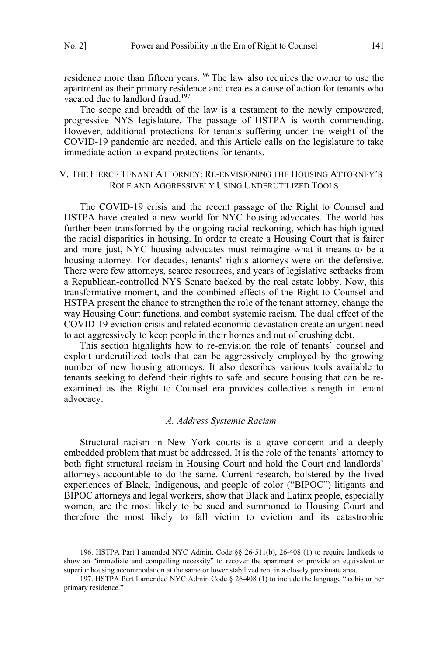<span id="page-24-0"></span>residence more than fifteen years.<sup>196</sup> The law also requires the owner to use the apartment as their primary residence and creates a cause of action for tenants who vacated due to landlord fraud.<sup>197</sup>

The scope and breadth of the law is a testament to the newly empowered, progressive NYS legislature. The passage of HSTPA is worth commending. However, additional protections for tenants suffering under the weight of the COVID-19 pandemic are needed, and this Article calls on the legislature to take immediate action to expand protections for tenants.

### V. THE FIERCE TENANT ATTORNEY: RE-ENVISIONING THE HOUSING ATTORNEY'S ROLE AND AGGRESSIVELY USING UNDERUTILIZED TOOLS

The COVID-19 crisis and the recent passage of the Right to Counsel and HSTPA have created a new world for NYC housing advocates. The world has further been transformed by the ongoing racial reckoning, which has highlighted the racial disparities in housing. In order to create a Housing Court that is fairer and more just, NYC housing advocates must reimagine what it means to be a housing attorney. For decades, tenants' rights attorneys were on the defensive. There were few attorneys, scarce resources, and years of legislative setbacks from a Republican-controlled NYS Senate backed by the real estate lobby. Now, this transformative moment, and the combined effects of the Right to Counsel and HSTPA present the chance to strengthen the role of the tenant attorney, change the way Housing Court functions, and combat systemic racism. The dual effect of the COVID-19 eviction crisis and related economic devastation create an urgent need to act aggressively to keep people in their homes and out of crushing debt.

This section highlights how to re-envision the role of tenants' counsel and exploit underutilized tools that can be aggressively employed by the growing number of new housing attorneys. It also describes various tools available to tenants seeking to defend their rights to safe and secure housing that can be reexamined as the Right to Counsel era provides collective strength in tenant advocacy.

### *A. Address Systemic Racism*

Structural racism in New York courts is a grave concern and a deeply embedded problem that must be addressed. It is the role of the tenants' attorney to both fight structural racism in Housing Court and hold the Court and landlords' attorneys accountable to do the same. Current research, bolstered by the lived experiences of Black, Indigenous, and people of color ("BIPOC") litigants and BIPOC attorneys and legal workers, show that Black and Latinx people, especially women, are the most likely to be sued and summoned to Housing Court and therefore the most likely to fall victim to eviction and its catastrophic

 <sup>196.</sup> HSTPA Part I amended NYC Admin. Code §§ 26-511(b), 26-408 (1) to require landlords to show an "immediate and compelling necessity" to recover the apartment or provide an equivalent or superior housing accommodation at the same or lower stabilized rent in a closely proximate area.

<sup>197.</sup> HSTPA Part I amended NYC Admin Code § 26-408 (1) to include the language "as his or her primary residence."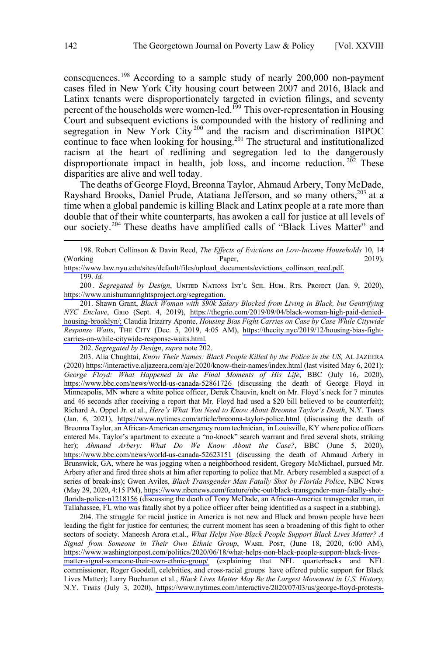consequences.<sup>198</sup> According to a sample study of nearly  $200,000$  non-payment cases filed in New York City housing court between 2007 and 2016, Black and Latinx tenants were disproportionately targeted in eviction filings, and seventy percent of the households were women-led.<sup>199</sup> This over-representation in Housing Court and subsequent evictions is compounded with the history of redlining and segregation in New York City<sup>200</sup> and the racism and discrimination BIPOC continue to face when looking for housing.<sup>201</sup> The structural and institutionalized racism at the heart of redlining and segregation led to the dangerously disproportionate impact in health, job loss, and income reduction.  $2\overline{02}$  These disparities are alive and well today.

The deaths of George Floyd, Breonna Taylor, Ahmaud Arbery, Tony McDade, Rayshard Brooks, Daniel Prude, Atatiana Jefferson, and so many others,<sup>203</sup> at a time when a global pandemic is killing Black and Latinx people at a rate more than double that of their white counterparts, has awoken a call for justice at all levels of our society.<sup>204</sup> These deaths have amplified calls of "Black Lives Matter" and

 $\overline{a}$ 

[https://www.law.nyu.edu/sites/default/files/upload\\_documents/evictions\\_collinson\\_reed.pdf.](https://www.law.nyu.edu/sites/default/files/upload_documents/evictions_collinson_reed.pdf) 199. *Id.*

200. Segregated by Design, UNITED NATIONS INT'L SCH. HUM. RTS. PROJECT (Jan. 9, 2020), [https://www.unishumanrightsproject.org/segregation.](https://www.unishumanrightsproject.org/segregation) 

201. Shawn Grant, *Black Woman with \$90k Salary Blocked from Living in Black, but Gentrifying NYC Enclave*, Gʀɪᴏ (Sept. 4, 2019), [https://thegrio.com/2019/09/04/black-woman-high-paid-denied](https://thegrio.com/2019/09/04/black-woman-high-paid-denied-housing-brooklyn/)[housing-brooklyn/;](https://thegrio.com/2019/09/04/black-woman-high-paid-denied-housing-brooklyn/) Claudia Irizarry Aponte, *Housing Bias Fight Carries on Case by Case While Citywide Response Waits*, THE CITY (Dec. 5, 2019, 4:05 AM), [https://thecity.nyc/2019/12/housing-bias-fight](https://thecity.nyc/2019/12/housing-bias-fight-carries-on-while-citywide-response-waits.html)[carries-on-while-citywide-response-waits.html.](https://thecity.nyc/2019/12/housing-bias-fight-carries-on-while-citywide-response-waits.html)

202. *Segregated by Design*, *supra* note 202.

203. Alia Chughtai, *Know Their Names: Black People Killed by the Police in the US, AL JAZEERA* (2020)<https://interactive.aljazeera.com/aje/2020/know-their-names/index.html>(last visited May 6, 2021); *George Floyd: What Happened in the Final Moments of His Life*, BBC (July 16, 2020), <https://www.bbc.com/news/world-us-canada-52861726>(discussing the death of George Floyd in Minneapolis, MN where a white police officer, Derek Chauvin, knelt on Mr. Floyd's neck for 7 minutes and 46 seconds after receiving a report that Mr. Floyd had used a \$20 bill believed to be counterfeit); Richard A. Oppel Jr. et al., *Here's What You Need to Know About Breonna Taylor's Death*, N.Y. TIMES (Jan. 6, 2021), <https://www.nytimes.com/article/breonna-taylor-police.html>(discussing the death of Breonna Taylor, an African-American emergency room technician, in Louisville, KY where police officers entered Ms. Taylor's apartment to execute a "no-knock" search warrant and fired several shots, striking her); *Ahmaud Arbery: What Do We Know About the Case?*, BBC (June 5, 2020), <https://www.bbc.com/news/world-us-canada-52623151>(discussing the death of Ahmaud Arbery in Brunswick, GA, where he was jogging when a neighborhood resident, Gregory McMichael, pursued Mr. Arbery after and fired three shots at him after reporting to police that Mr. Arbery resembled a suspect of a series of break-ins); Gwen Aviles, *Black Transgender Man Fatally Shot by Florida Police*, NBC NEws (May 29, 2020, 4:15 PM), [https://www.nbcnews.com/feature/nbc-out/black-transgender-man-fatally-shot](https://www.nbcnews.com/feature/nbc-out/black-transgender-man-fatally-shot-florida-police-n1218156)[florida-police-n1218156](https://www.nbcnews.com/feature/nbc-out/black-transgender-man-fatally-shot-florida-police-n1218156) (discussing the death of Tony McDade, an African-America transgender man, in Tallahassee, FL who was fatally shot by a police officer after being identified as a suspect in a stabbing).

204. The struggle for racial justice in America is not new and Black and brown people have been leading the fight for justice for centuries; the current moment has seen a broadening of this fight to other sectors of society. Maneesh Arora et.al., *What Helps Non-Black People Support Black Lives Matter? A*  Signal from Someone in Their Own Ethnic Group, WASH. Post, (June 18, 2020, 6:00 AM), [https://www.washingtonpost.com/politics/2020/06/18/what-helps-non-black-people-support-black-lives](https://www.washingtonpost.com/politics/2020/06/18/what-helps-non-black-people-support-black-lives-matter-signal-someone-their-own-ethnic-group/)[matter-signal-someone-their-own-ethnic-group/](https://www.washingtonpost.com/politics/2020/06/18/what-helps-non-black-people-support-black-lives-matter-signal-someone-their-own-ethnic-group/) (explaining that NFL quarterbacks and NFL commissioner, Roger Goodell, celebrities, and cross-racial groups have offered public support for Black Lives Matter); Larry Buchanan et al., *Black Lives Matter May Be the Largest Movement in U.S. History*, N.Y. TIMES (July 3, 2020), [https://www.nytimes.com/interactive/2020/07/03/us/george-floyd-protests-](https://www.nytimes.com/interactive/2020/07/03/us/george-floyd-protests-crowd-size.html)

<sup>198.</sup> Robert Collinson & Davin Reed, *The Effects of Evictions on Low-Income Households* 10, 14 (Working Paper, 2019),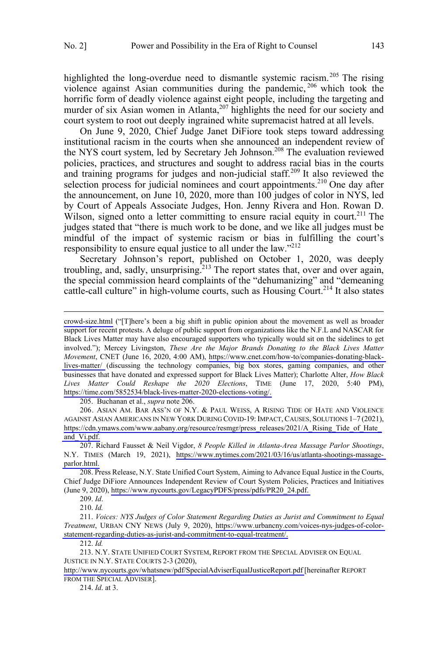$\overline{a}$ 

highlighted the long-overdue need to dismantle systemic racism.<sup>205</sup> The rising violence against Asian communities during the pandemic,<sup>206</sup> which took the horrific form of deadly violence against eight people, including the targeting and murder of six Asian women in Atlanta,  $207$  highlights the need for our society and court system to root out deeply ingrained white supremacist hatred at all levels.

On June 9, 2020, Chief Judge Janet DiFiore took steps toward addressing institutional racism in the courts when she announced an independent review of the NYS court system, led by Secretary Jeh Johnson.<sup>208</sup> The evaluation reviewed policies, practices, and structures and sought to address racial bias in the courts and training programs for judges and non-judicial staff.<sup>209</sup> It also reviewed the selection process for judicial nominees and court appointments.<sup>210</sup> One day after the announcement, on June 10, 2020, more than 100 judges of color in NYS, led by Court of Appeals Associate Judges, Hon. Jenny Rivera and Hon. Rowan D. Wilson, signed onto a letter committing to ensure racial equity in court.<sup>211</sup> The judges stated that "there is much work to be done, and we like all judges must be mindful of the impact of systemic racism or bias in fulfilling the court's responsibility to ensure equal justice to all under the law."<sup>212</sup>

Secretary Johnson's report, published on October 1, 2020, was deeply troubling, and, sadly, unsurprising.<sup>213</sup> The report states that, over and over again, the special commission heard complaints of the "dehumanizing" and "demeaning cattle-call culture" in high-volume courts, such as Housing Court.<sup>214</sup> It also states

 $\overline{a}$ 

205. Buchanan et al., *supra* note 206.

206. ASIAN AM. BAR ASS'N OF N.Y. & PAUL WEISS, A RISING TIDE OF HATE AND VIOLENCE AGAINST ASIAN AMERICANS IN NEW YORK DURING COVID-19: IMPACT, CAUSES, SOLUTIONS 1–7 (2021), [https://cdn.ymaws.com/www.aabany.org/resource/resmgr/press\\_releases/2021/A\\_Rising\\_Tide\\_of\\_Hate\\_](https://cdn.ymaws.com/www.aabany.org/resource/resmgr/press_releases/2021/A_Rising_Tide_of_Hate_and_Vi.pdf) [and\\_Vi.pdf.](https://cdn.ymaws.com/www.aabany.org/resource/resmgr/press_releases/2021/A_Rising_Tide_of_Hate_and_Vi.pdf)

209. *Id*.

214. *Id*. at 3.

[crowd-size.html](https://www.nytimes.com/interactive/2020/07/03/us/george-floyd-protests-crowd-size.html) ("[T]here's been a big shift in public opinion about the movement as well as broader support for recent protests. A deluge of public support from organizations like the N.F.L and NASCAR for Black Lives Matter may have also encouraged supporters who typically would sit on the sidelines to get involved."); Mercey Livingston, *These Are the Major Brands Donating to the Black Lives Matter Movement*, CNET (June 16, 2020, 4:00 AM), [https://www.cnet.com/how-to/companies-donating-black](https://www.cnet.com/how-to/companies-donating-black-lives-matter/)[lives-matter/](https://www.cnet.com/how-to/companies-donating-black-lives-matter/) (discussing the technology companies, big box stores, gaming companies, and other businesses that have donated and expressed support for Black Lives Matter); Charlotte Alter, *How Black Lives Matter Could Reshape the 2020 Elections*, TIME (June 17, 2020, 5:40 PM), [https://time.com/5852534/black-lives-matter-2020-elections-voting/.](https://time.com/5852534/black-lives-matter-2020-elections-voting/) 

<sup>207.</sup> Richard Fausset & Neil Vigdor, 8 People Killed in Atlanta-Area Massage Parlor Shootings, N.Y. TIMES (March 19, 2021), [https://www.nytimes.com/2021/03/16/us/atlanta-shootings-massage](https://www.nytimes.com/2021/03/16/us/atlanta-shootings-massage-parlor.html)[parlor.html.](https://www.nytimes.com/2021/03/16/us/atlanta-shootings-massage-parlor.html)

<sup>208.</sup> Press Release, N.Y. State Unified Court System, Aiming to Advance Equal Justice in the Courts, Chief Judge DiFiore Announces Independent Review of Court System Policies, Practices and Initiatives (June 9, 2020), [https://www.nycourts.gov/LegacyPDFS/press/pdfs/PR20\\_24.pdf.](https://www.nycourts.gov/LegacyPDFS/press/pdfs/PR20_24.pdf) 

<sup>210.</sup> *Id.*

<sup>211.</sup> Voices: NYS Judges of Color Statement Regarding Duties as Jurist and Commitment to Equal *Treatment*, URBAN CNY NEWS (July 9, 2020), [https://www.urbancny.com/voices-nys-judges-of-color](https://www.urbancny.com/voices-nys-judges-of-color-statement-regarding-duties-as-jurist-and-commitment-to-equal-treatment/)[statement-regarding-duties-as-jurist-and-commitment-to-equal-treatment/.](https://www.urbancny.com/voices-nys-judges-of-color-statement-regarding-duties-as-jurist-and-commitment-to-equal-treatment/)

<sup>212.</sup> *Id.*

<sup>213.</sup> N.Y. STATE UNIFIED COURT SYSTEM, REPORT FROM THE SPECIAL ADVISER ON EQUAL JUSTICE IN N.Y. STATE COURTS 2-3 (2020),

<http://www.nycourts.gov/whatsnew/pdf/SpecialAdviserEqualJusticeReport.pdf> [hereinafter REPORT FROM THE SPECIAL ADVISER].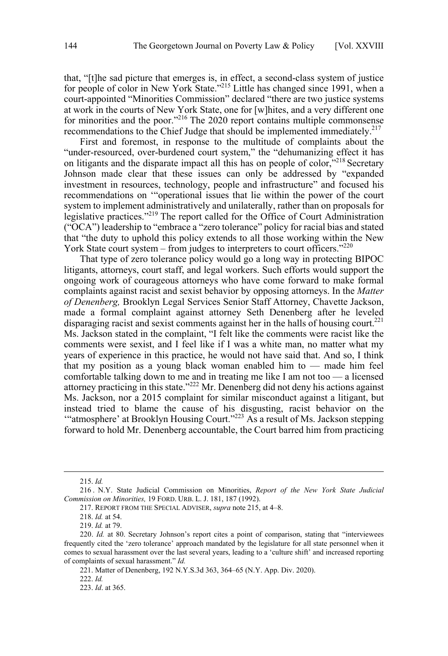that, "[t]he sad picture that emerges is, in effect, a second-class system of justice for people of color in New York State."<sup>215</sup> Little has changed since 1991, when a court-appointed "Minorities Commission" declared "there are two justice systems at work in the courts of New York State, one for [w]hites, and a very different one for minorities and the poor."<sup>216</sup> The 2020 report contains multiple commonsense recommendations to the Chief Judge that should be implemented immediately.<sup>217</sup>

First and foremost, in response to the multitude of complaints about the "under-resourced, over-burdened court system," the "dehumanizing effect it has on litigants and the disparate impact all this has on people of color,<sup>"218</sup> Secretary Johnson made clear that these issues can only be addressed by "expanded investment in resources, technology, people and infrastructure" and focused his recommendations on '"operational issues that lie within the power of the court system to implement administratively and unilaterally, rather than on proposals for legislative practices."<sup>219</sup> The report called for the Office of Court Administration ("OCA") leadership to "embrace a "zero tolerance" policy for racial bias and stated that "the duty to uphold this policy extends to all those working within the New York State court system – from judges to interpreters to court officers." $^{220}$ 

That type of zero tolerance policy would go a long way in protecting BIPOC litigants, attorneys, court staff, and legal workers. Such efforts would support the ongoing work of courageous attorneys who have come forward to make formal complaints against racist and sexist behavior by opposing attorneys. In the *Matter of Denenberg,* Brooklyn Legal Services Senior Staff Attorney, Chavette Jackson, made a formal complaint against attorney Seth Denenberg after he leveled disparaging racist and sexist comments against her in the halls of housing court.<sup>221</sup> Ms. Jackson stated in the complaint, "I felt like the comments were racist like the comments were sexist, and I feel like if I was a white man, no matter what my years of experience in this practice, he would not have said that. And so, I think that my position as a young black woman enabled him to  $-$  made him feel comfortable talking down to me and in treating me like I am not too — a licensed attorney practicing in this state."222 Mr. Denenberg did not deny his actions against Ms. Jackson, nor a 2015 complaint for similar misconduct against a litigant, but instead tried to blame the cause of his disgusting, racist behavior on the '"atmosphere' at Brooklyn Housing Court."223 As a result of Ms. Jackson stepping forward to hold Mr. Denenberg accountable, the Court barred him from practicing

 <sup>215.</sup> *Id.*

<sup>216 .</sup> N.Y. State Judicial Commission on Minorities, *Report of the New York State Judicial Commission on Minorities,* 19 FORD. URB. L. J. 181, 187 (1992).

<sup>217.</sup> REPORT FROM THE SPECIAL ADVISER, *supra* note 215, at 4–8.

<sup>218.</sup> *Id.* at 54.

<sup>219.</sup> *Id.* at 79.

<sup>220.</sup> *Id.* at 80. Secretary Johnson's report cites a point of comparison, stating that "interviewees frequently cited the 'zero tolerance' approach mandated by the legislature for all state personnel when it comes to sexual harassment over the last several years, leading to a 'culture shift' and increased reporting of complaints of sexual harassment." *Id.*

<sup>221.</sup> Matter of Denenberg, 192 N.Y.S.3d 363, 364–65 (N.Y. App. Div. 2020).

<sup>222.</sup> *Id.*

<sup>223.</sup> *Id*. at 365.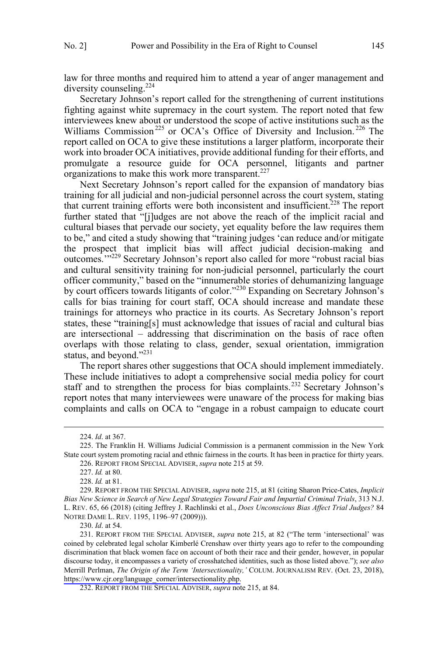law for three months and required him to attend a year of anger management and diversity counseling.<sup>224</sup>

Secretary Johnson's report called for the strengthening of current institutions fighting against white supremacy in the court system. The report noted that few interviewees knew about or understood the scope of active institutions such as the Williams Commission<sup>225</sup> or OCA's Office of Diversity and Inclusion.<sup>226</sup> The report called on OCA to give these institutions a larger platform, incorporate their work into broader OCA initiatives, provide additional funding for their efforts, and promulgate a resource guide for OCA personnel, litigants and partner organizations to make this work more transparent.<sup>227</sup>

Next Secretary Johnson's report called for the expansion of mandatory bias training for all judicial and non-judicial personnel across the court system, stating that current training efforts were both inconsistent and insufficient.<sup> $228$ </sup> The report further stated that "[j]udges are not above the reach of the implicit racial and cultural biases that pervade our society, yet equality before the law requires them to be," and cited a study showing that "training judges 'can reduce and/or mitigate the prospect that implicit bias will affect judicial decision-making and outcomes.'"229 Secretary Johnson's report also called for more "robust racial bias and cultural sensitivity training for non-judicial personnel, particularly the court officer community," based on the "innumerable stories of dehumanizing language by court officers towards litigants of color."<sup>230</sup> Expanding on Secretary Johnson's calls for bias training for court staff, OCA should increase and mandate these trainings for attorneys who practice in its courts. As Secretary Johnson's report states, these "training[s] must acknowledge that issues of racial and cultural bias are intersectional – addressing that discrimination on the basis of race often overlaps with those relating to class, gender, sexual orientation, immigration status, and beyond."<sup>231</sup>

The report shares other suggestions that OCA should implement immediately. These include initiatives to adopt a comprehensive social media policy for court staff and to strengthen the process for bias complaints.<sup>232</sup> Secretary Johnson's report notes that many interviewees were unaware of the process for making bias complaints and calls on OCA to "engage in a robust campaign to educate court

 <sup>224.</sup> *Id*. at 367.

<sup>225.</sup> The Franklin H. Williams Judicial Commission is a permanent commission in the New York State court system promoting racial and ethnic fairness in the courts. It has been in practice for thirty years.

<sup>226.</sup> REPORT FROM SPECIAL ADVISER, *supra* note 215 at 59.

<sup>227.</sup> *Id.* at 80.

<sup>228.</sup> *Id.* at 81.

<sup>229.</sup> REPORT FROM THE SPECIAL ADVISER, *supra* note 215, at 81 (citing Sharon Price-Cates, *Implicit*  Bias New Science in Search of New Legal Strategies Toward Fair and Impartial Criminal Trials, 313 N.J. L. REV. 65, 66 (2018) (citing Jeffrey J. Rachlinski et al., *Does Unconscious Bias Affect Trial Judges?* 84 NOTRE DAME L. REV. 1195, 1196–97 (2009))).

<sup>230.</sup> *Id*. at 54.

<sup>231.</sup> REPORT FROM THE SPECIAL ADVISER, *supra* note 215, at 82 ("The term 'intersectional' was coined by celebrated legal scholar Kimberlé Crenshaw over thirty years ago to refer to the compounding discrimination that black women face on account of both their race and their gender, however, in popular discourse today, it encompasses a variety of crosshatched identities, such as those listed above."); *see also* Merrill Perlman, *The Origin of the Term 'Intersectionality,'* COLUM. JOURNALISM REV. (Oct. 23, 2018), [https://www.cjr.org/language\\_corner/intersectionality.php.](https://www.cjr.org/language_corner/intersectionality.php)

<sup>232.</sup> REPORT FROM THE SPECIAL ADVISER, *supra* note 215, at 84.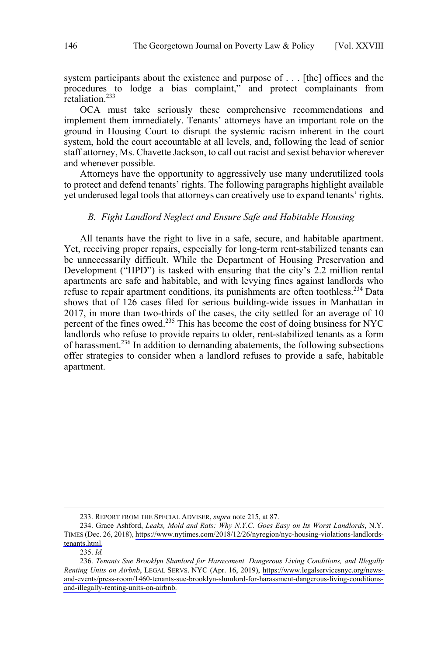<span id="page-29-0"></span>system participants about the existence and purpose of . . . [the] offices and the procedures to lodge a bias complaint," and protect complainants from retaliation.<sup>233</sup>

OCA must take seriously these comprehensive recommendations and implement them immediately. Tenants' attorneys have an important role on the ground in Housing Court to disrupt the systemic racism inherent in the court system, hold the court accountable at all levels, and, following the lead of senior staff attorney, Ms. Chavette Jackson, to call out racist and sexist behavior wherever and whenever possible.

Attorneys have the opportunity to aggressively use many underutilized tools to protect and defend tenants' rights. The following paragraphs highlight available yet underused legal tools that attorneys can creatively use to expand tenants' rights.

### *B. Fight Landlord Neglect and Ensure Safe and Habitable Housing*

All tenants have the right to live in a safe, secure, and habitable apartment. Yet, receiving proper repairs, especially for long-term rent-stabilized tenants can be unnecessarily difficult. While the Department of Housing Preservation and Development ("HPD") is tasked with ensuring that the city's 2.2 million rental apartments are safe and habitable, and with levying fines against landlords who refuse to repair apartment conditions, its punishments are often toothless.<sup>234</sup> Data shows that of 126 cases filed for serious building-wide issues in Manhattan in 2017, in more than two-thirds of the cases, the city settled for an average of 10 percent of the fines owed.<sup>235</sup> This has become the cost of doing business for NYC landlords who refuse to provide repairs to older, rent-stabilized tenants as a form of harassment.<sup>236</sup> In addition to demanding abatements, the following subsections offer strategies to consider when a landlord refuses to provide a safe, habitable apartment.

<sup>233.</sup> REPORT FROM THE SPECIAL ADVISER, *supra* note 215, at 87.

<sup>234.</sup> Grace Ashford, Leaks, Mold and Rats: Why N.Y.C. Goes Easy on Its Worst Landlords, N.Y. TIMES (Dec. 26, 2018), [https://www.nytimes.com/2018/12/26/nyregion/nyc-housing-violations-landlords](https://www.nytimes.com/2018/12/26/nyregion/nyc-housing-violations-landlords-tenants.html)[tenants.html.](https://www.nytimes.com/2018/12/26/nyregion/nyc-housing-violations-landlords-tenants.html)

<sup>235.</sup> *Id.* 

<sup>236.</sup> Tenants Sue Brooklyn Slumlord for Harassment, Dangerous Living Conditions, and Illegally *Renting Units on Airbnb*, LEGAL SERVS. NYC (Apr. 16, 2019), [https://www.legalservicesnyc.org/news](https://www.legalservicesnyc.org/news-and-events/press-room/1460-tenants-sue-brooklyn-slumlord-for-harassment-dangerous-living-conditions-and-illegally-renting-units-on-airbnb)[and-events/press-room/1460-tenants-sue-brooklyn-slumlord-for-harassment-dangerous-living-conditions](https://www.legalservicesnyc.org/news-and-events/press-room/1460-tenants-sue-brooklyn-slumlord-for-harassment-dangerous-living-conditions-and-illegally-renting-units-on-airbnb)[and-illegally-renting-units-on-airbnb.](https://www.legalservicesnyc.org/news-and-events/press-room/1460-tenants-sue-brooklyn-slumlord-for-harassment-dangerous-living-conditions-and-illegally-renting-units-on-airbnb)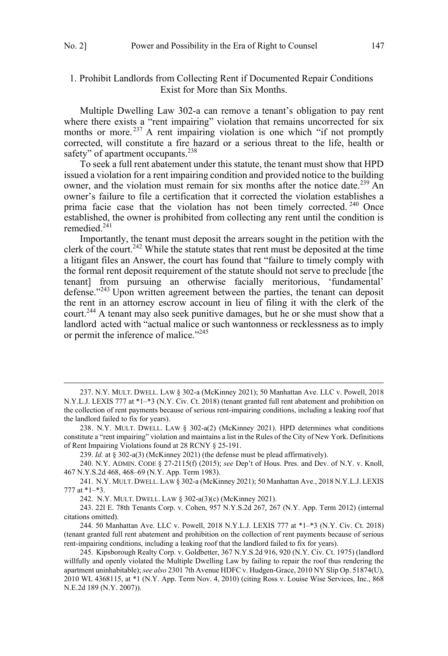## <span id="page-30-0"></span>1. Prohibit Landlords from Collecting Rent if Documented Repair Conditions Exist for More than Six Months.

Multiple Dwelling Law 302-a can remove a tenant's obligation to pay rent where there exists a "rent impairing" violation that remains uncorrected for six months or more.<sup>237</sup> A rent impairing violation is one which "if not promptly corrected, will constitute a fire hazard or a serious threat to the life, health or safety" of apartment occupants.<sup>238</sup>

To seek a full rent abatement under this statute, the tenant must show that HPD issued a violation for a rent impairing condition and provided notice to the building owner, and the violation must remain for six months after the notice date.<sup>239</sup> An owner's failure to file a certification that it corrected the violation establishes a prima facie case that the violation has not been timely corrected.<sup>240</sup> Once established, the owner is prohibited from collecting any rent until the condition is remedied.<sup>241</sup>

Importantly, the tenant must deposit the arrears sought in the petition with the clerk of the court.<sup>242</sup> While the statute states that rent must be deposited at the time a litigant files an Answer, the court has found that "failure to timely comply with the formal rent deposit requirement of the statute should not serve to preclude [the tenant] from pursuing an otherwise facially meritorious, 'fundamental' defense."<sup>243</sup> Upon written agreement between the parties, the tenant can deposit the rent in an attorney escrow account in lieu of filing it with the clerk of the court.<sup>244</sup> A tenant may also seek punitive damages, but he or she must show that a landlord acted with "actual malice or such wantonness or recklessness as to imply or permit the inference of malice."<sup>245</sup>

 <sup>237.</sup> N.Y. MULT. DWELL. LAW § 302-a (McKinney 2021); 50 Manhattan Ave. LLC v. Powell, 2018 N.Y.L.J. LEXIS 777 at \*1–\*3 (N.Y. Civ. Ct. 2018) (tenant granted full rent abatement and prohibition on the collection of rent payments because of serious rent-impairing conditions, including a leaking roof that the landlord failed to fix for years).

<sup>238.</sup> N.Y. MULT. DWELL. LAW § 302-a(2) (McKinney 2021). HPD determines what conditions constitute a "rent impairing" violation and maintains a list in the Rules of the City of New York. Definitions of Rent Impairing Violations found at 28 RCNY § 25-191.

<sup>239.</sup> *Id.* at § 302-a(3) (McKinney 2021) (the defense must be plead affirmatively).

<sup>240.</sup> N.Y. ADMIN. CODE § 27-2115(f) (2015); *see* Dep't of Hous. Pres. and Dev. of N.Y. v. Knoll, 467 N.Y.S.2d 468, 468–69 (N.Y. App. Term 1983).

<sup>241.</sup> N.Y. MULT. DWELL. LAW § 302-a (McKinney 2021); 50 Manhattan Ave., 2018 N.Y.L.J. LEXIS 777 at \*1–\*3.

<sup>242.</sup> N.Y. MULT. DWELL. LAW § 302-a(3)(c) (McKinney 2021).

<sup>243. 22</sup>l E. 78th Tenants Corp. v. Cohen, 957 N.Y.S.2d 267, 267 (N.Y. App. Term 2012) (internal citations omitted).

<sup>244. 50</sup> Manhattan Ave. LLC v. Powell, 2018 N.Y.L.J. LEXIS 777 at \*1–\*3 (N.Y. Civ. Ct. 2018) (tenant granted full rent abatement and prohibition on the collection of rent payments because of serious rent-impairing conditions, including a leaking roof that the landlord failed to fix for years).

<sup>245.</sup> Kipsborough Realty Corp. v. Goldbetter, 367 N.Y.S.2d 916, 920 (N.Y. Civ. Ct. 1975) (landlord willfully and openly violated the Multiple Dwelling Law by failing to repair the roof thus rendering the apartment uninhabitable); *see also* 2301 7th Avenue HDFC v. Hudgen-Grace, 2010 NY Slip Op. 51874(U), 2010 WL 4368115, at \*1 (N.Y. App. Term Nov. 4, 2010) (citing Ross v. Louise Wise Services, Inc., 868 N.E.2d 189 (N.Y. 2007)).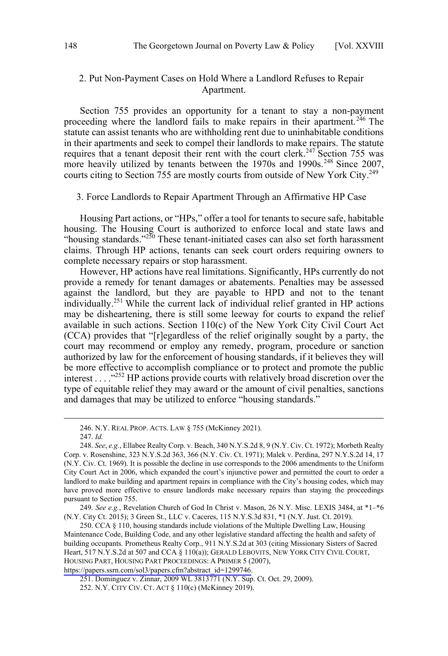### <span id="page-31-0"></span>2. Put Non-Payment Cases on Hold Where a Landlord Refuses to Repair Apartment.

Section 755 provides an opportunity for a tenant to stay a non-payment proceeding where the landlord fails to make repairs in their apartment.<sup>246</sup> The statute can assist tenants who are withholding rent due to uninhabitable conditions in their apartments and seek to compel their landlords to make repairs. The statute requires that a tenant deposit their rent with the court clerk.<sup>247</sup> Section 755 was more heavily utilized by tenants between the 1970s and 1990s.<sup>248</sup> Since 2007, courts citing to Section 755 are mostly courts from outside of New York City.<sup>249</sup>

#### 3. Force Landlords to Repair Apartment Through an Affirmative HP Case

Housing Part actions, or "HPs," offer a tool for tenants to secure safe, habitable housing. The Housing Court is authorized to enforce local and state laws and "housing standards."<sup>250</sup> These tenant-initiated cases can also set forth harassment claims. Through HP actions, tenants can seek court orders requiring owners to complete necessary repairs or stop harassment.

However, HP actions have real limitations. Significantly, HPs currently do not provide a remedy for tenant damages or abatements. Penalties may be assessed against the landlord, but they are payable to HPD and not to the tenant individually.251 While the current lack of individual relief granted in HP actions may be disheartening, there is still some leeway for courts to expand the relief available in such actions. Section 110(c) of the New York City Civil Court Act (CCA) provides that "[r]egardless of the relief originally sought by a party, the court may recommend or employ any remedy, program, procedure or sanction authorized by law for the enforcement of housing standards, if it believes they will be more effective to accomplish compliance or to protect and promote the public interest  $\dots$ <sup>252</sup> HP actions provide courts with relatively broad discretion over the type of equitable relief they may award or the amount of civil penalties, sanctions and damages that may be utilized to enforce "housing standards."

 $\overline{a}$ 

249. *See e.g.*, Revelation Church of God In Christ v. Mason, 26 N.Y. Misc. LEXIS 3484, at \*1–\*6 (N.Y. City Ct. 2015); 3 Green St., LLC v. Caceres, 115 N.Y.S.3d 831, \*1 (N.Y. Just. Ct. 2019).

250. CCA § 110, housing standards include violations of the Multiple Dwelling Law, Housing Maintenance Code, Building Code, and any other legislative standard affecting the health and safety of building occupants. Prometheus Realty Corp., 911 N.Y.S.2d at 303 (citing Missionary Sisters of Sacred Heart, 517 N.Y.S.2d at 507 and CCA § 110(a)); GERALD LEBOVITS, NEW YORK CITY CIVIL COURT, HOUSING PART, HOUSING PART PROCEEDINGS: A PRIMER 5 (2007), [https://papers.ssrn.com/sol3/papers.cfm?abstract\\_id=1299746.](https://papers.ssrn.com/sol3/papers.cfm?abstract_id=1299746)

251. Dominguez v. Zinnar, 2009 WL 3813771 (N.Y. Sup. Ct. Oct. 29, 2009).

 <sup>246.</sup> N.Y. REAL PROP. ACTS. LAW § 755 (McKinney 2021).

<sup>247.</sup> *Id.* 

<sup>248.</sup> *See*, *e.g.*, Ellabee Realty Corp. v. Beach, 340 N.Y.S.2d 8, 9 (N.Y. Civ. Ct. 1972); Morbeth Realty Corp. v. Rosenshine, 323 N.Y.S.2d 363, 366 (N.Y. Civ. Ct. 1971); Malek v. Perdina, 297 N.Y.S.2d 14, 17 (N.Y. Civ. Ct. 1969). It is possible the decline in use corresponds to the 2006 amendments to the Uniform City Court Act in 2006, which expanded the court's injunctive power and permitted the court to order a landlord to make building and apartment repairs in compliance with the City's housing codes, which may have proved more effective to ensure landlords make necessary repairs than staying the proceedings pursuant to Section 755.

<sup>252.</sup> N.Y. CITY CIV. CT. ACT § 110(c) (McKinney 2019).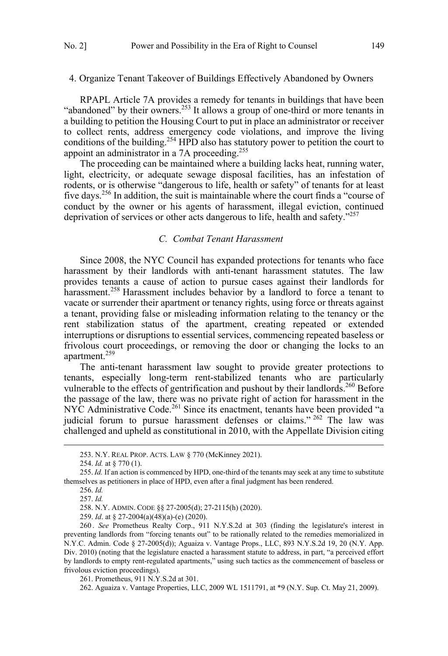#### <span id="page-32-0"></span>4. Organize Tenant Takeover of Buildings Effectively Abandoned by Owners

RPAPL Article 7A provides a remedy for tenants in buildings that have been "abandoned" by their owners.<sup>253</sup> It allows a group of one-third or more tenants in a building to petition the Housing Court to put in place an administrator or receiver to collect rents, address emergency code violations, and improve the living conditions of the building.<sup>254</sup> HPD also has statutory power to petition the court to appoint an administrator in a 7A proceeding.<sup>255</sup>

The proceeding can be maintained where a building lacks heat, running water, light, electricity, or adequate sewage disposal facilities, has an infestation of rodents, or is otherwise "dangerous to life, health or safety" of tenants for at least five days.256 In addition, the suit is maintainable where the court finds a "course of conduct by the owner or his agents of harassment, illegal eviction, continued deprivation of services or other acts dangerous to life, health and safety."<sup>257</sup>

### *C. Combat Tenant Harassment*

Since 2008, the NYC Council has expanded protections for tenants who face harassment by their landlords with anti-tenant harassment statutes. The law provides tenants a cause of action to pursue cases against their landlords for harassment.<sup>258</sup> Harassment includes behavior by a landlord to force a tenant to vacate or surrender their apartment or tenancy rights, using force or threats against a tenant, providing false or misleading information relating to the tenancy or the rent stabilization status of the apartment, creating repeated or extended interruptions or disruptions to essential services, commencing repeated baseless or frivolous court proceedings, or removing the door or changing the locks to an apartment.<sup>259</sup>

The anti-tenant harassment law sought to provide greater protections to tenants, especially long-term rent-stabilized tenants who are particularly vulnerable to the effects of gentrification and pushout by their landlords.<sup>260</sup> Before the passage of the law, there was no private right of action for harassment in the NYC Administrative Code.<sup>261</sup> Since its enactment, tenants have been provided "a judicial forum to pursue harassment defenses or claims." <sup>262</sup> The law was challenged and upheld as constitutional in 2010, with the Appellate Division citing

 $\overline{a}$ 

259. *Id*. at § 27-2004(a)(48)(a)-(e) (2020).

260 . *See* Prometheus Realty Corp., 911 N.Y.S.2d at 303 (finding the legislature's interest in preventing landlords from "forcing tenants out" to be rationally related to the remedies memorialized in N.Y.C. Admin. Code § 27-2005(d)); Aguaiza v. Vantage Props., LLC, 893 N.Y.S.2d 19, 20 (N.Y. App. Div. 2010) (noting that the legislature enacted a harassment statute to address, in part, "a perceived effort by landlords to empty rent-regulated apartments," using such tactics as the commencement of baseless or frivolous eviction proceedings).

261. Prometheus, 911 N.Y.S.2d at 301.

 <sup>253.</sup> N.Y. REAL PROP. ACTS. LAW § 770 (McKinney 2021).

<sup>254.</sup> *Id.* at § 770 (1).

<sup>255.</sup> *Id.* If an action is commenced by HPD, one-third of the tenants may seek at any time to substitute themselves as petitioners in place of HPD, even after a final judgment has been rendered.

<sup>256.</sup> *Id.*

<sup>257.</sup> *Id.* 

<sup>258.</sup> N.Y. ADMIN. CODE §§ 27-2005(d); 27-2115(h) (2020).

<sup>262.</sup> Aguaiza v. Vantage Properties, LLC, 2009 WL 1511791, at \*9 (N.Y. Sup. Ct. May 21, 2009).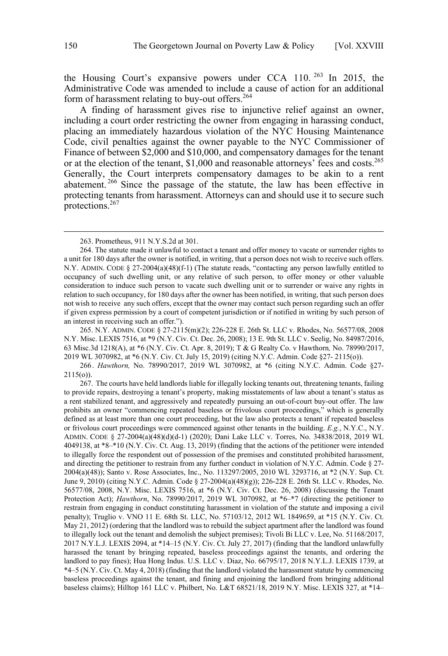the Housing Court's expansive powers under CCA 110. <sup>263</sup> In 2015, the Administrative Code was amended to include a cause of action for an additional form of harassment relating to buy-out offers.<sup>264</sup>

A finding of harassment gives rise to injunctive relief against an owner, including a court order restricting the owner from engaging in harassing conduct, placing an immediately hazardous violation of the NYC Housing Maintenance Code, civil penalties against the owner payable to the NYC Commissioner of Finance of between \$2,000 and \$10,000, and compensatory damages for the tenant or at the election of the tenant, \$1,000 and reasonable attorneys' fees and costs.<sup>265</sup> Generally, the Court interprets compensatory damages to be akin to a rent abatement.<sup>266</sup> Since the passage of the statute, the law has been effective in protecting tenants from harassment. Attorneys can and should use it to secure such protections.<sup>267</sup>

 $\overline{a}$ 

265. N.Y. ADMIN. CODE § 27-2115(m)(2); 226-228 E. 26th St. LLC v. Rhodes, No. 56577/08, 2008 N.Y. Misc. LEXIS 7516, at \*9 (N.Y. Civ. Ct. Dec. 26, 2008); 13 E. 9th St. LLC v. Seelig, No. 84987/2016, 63 Misc.3d 1218(A), at \*6 (N.Y. Civ. Ct. Apr. 8, 2019); T & G Realty Co. v Hawthorn*,* No. 78990/2017, 2019 WL 3070982, at \*6 (N.Y. Civ. Ct. July 15, 2019) (citing N.Y.C. Admin. Code §27- 2115(o)).

266. *Hawthorn,* No. 78990/2017, 2019 WL 3070982, at \*6 (citing N.Y.C. Admin. Code §27- 2115(o)).

 <sup>263.</sup> Prometheus, 911 N.Y.S.2d at 301.

<sup>264.</sup> The statute made it unlawful to contact a tenant and offer money to vacate or surrender rights to a unit for 180 days after the owner is notified, in writing, that a person does not wish to receive such offers. N.Y. ADMIN. CODE § 27-2004(a)(48)(f-1) (The statute reads, "contacting any person lawfully entitled to occupancy of such dwelling unit, or any relative of such person, to offer money or other valuable consideration to induce such person to vacate such dwelling unit or to surrender or waive any rights in relation to such occupancy, for 180 days after the owner has been notified, in writing, that such person does not wish to receive any such offers, except that the owner may contact such person regarding such an offer if given express permission by a court of competent jurisdiction or if notified in writing by such person of an interest in receiving such an offer.").

<sup>267.</sup> The courts have held landlords liable for illegally locking tenants out, threatening tenants, failing to provide repairs, destroying a tenant's property, making misstatements of law about a tenant's status as a rent stabilized tenant, and aggressively and repeatedly pursuing an out-of-court buy-out offer. The law prohibits an owner "commencing repeated baseless or frivolous court proceedings," which is generally defined as at least more than one court proceeding, but the law also protects a tenant if repeated baseless or frivolous court proceedings were commenced against other tenants in the building. *E.g.*, N.Y.C., N.Y. ADMIN. CODE § 27-2004(a)(48)(d)(d-1) (2020); Dani Lake LLC v. Torres, No. 34838/2018, 2019 WL 4049138, at \*8–\*10 (N.Y. Civ. Ct. Aug. 13, 2019) (finding that the actions of the petitioner were intended to illegally force the respondent out of possession of the premises and constituted prohibited harassment, and directing the petitioner to restrain from any further conduct in violation of N.Y.C. Admin. Code  $\S$  27-2004(a)(48)); Santo v. Rose Associates, Inc., No. 113297/2005, 2010 WL 3293716, at \*2 (N.Y. Sup. Ct. June 9, 2010) (citing N.Y.C. Admin. Code § 27-2004(a)(48)(g)); 226-228 E. 26th St. LLC v. Rhodes, No. 56577/08, 2008, N.Y. Misc. LEXIS 7516, at \*6 (N.Y. Civ. Ct. Dec. 26, 2008) (discussing the Tenant Protection Act); *Hawthorn*, No. 78990/2017, 2019 WL 3070982, at \*6–\*7 (directing the petitioner to restrain from engaging in conduct constituting harassment in violation of the statute and imposing a civil penalty); Truglio v. VNO 11 E. 68th St. LLC, No. 57103/12, 2012 WL 1849659, at \*15 (N.Y. Civ. Ct. May 21, 2012) (ordering that the landlord was to rebuild the subject apartment after the landlord was found to illegally lock out the tenant and demolish the subject premises); Tivoli Bi LLC v. Lee, No. 51168/2017, 2017 N.Y.L.J. LEXIS 2094, at \*14–15 (N.Y. Civ. Ct. July 27, 2017) (finding that the landlord unlawfully harassed the tenant by bringing repeated, baseless proceedings against the tenants, and ordering the landlord to pay fines); Hua Hong Indus. U.S. LLC v. Diaz, No. 66795/17, 2018 N.Y.L.J. LEXIS 1739, at \*4–5 (N.Y. Civ. Ct. May 4, 2018) (finding that the landlord violated the harassment statute by commencing baseless proceedings against the tenant, and fining and enjoining the landlord from bringing additional baseless claims); Hilltop 161 LLC v. Philbert, No. L&T 68521/18, 2019 N.Y. Misc. LEXIS 327, at \*14–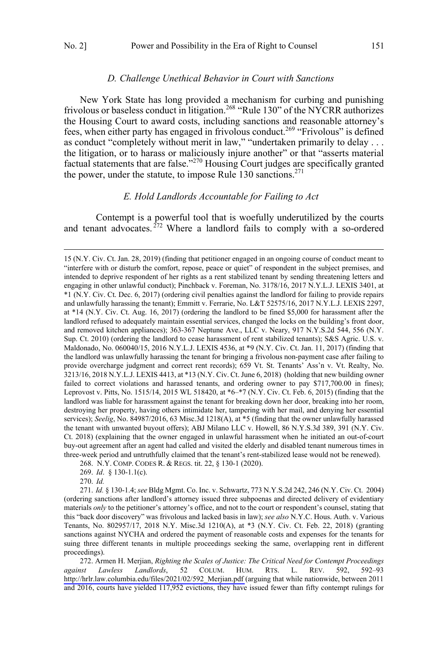$\overline{a}$ 

#### *D. Challenge Unethical Behavior in Court with Sanctions*

<span id="page-34-0"></span>New York State has long provided a mechanism for curbing and punishing frivolous or baseless conduct in litigation.<sup>268</sup> "Rule 130" of the NYCRR authorizes the Housing Court to award costs, including sanctions and reasonable attorney's fees, when either party has engaged in frivolous conduct.<sup>269</sup> "Frivolous" is defined as conduct "completely without merit in law," "undertaken primarily to delay . . . the litigation, or to harass or maliciously injure another" or that "asserts material factual statements that are false."<sup>270</sup> Housing Court judges are specifically granted the power, under the statute, to impose Rule  $130$  sanctions.<sup>271</sup>

### *E. Hold Landlords Accountable for Failing to Act*

Contempt is a powerful tool that is woefully underutilized by the courts and tenant advocates.<sup>272</sup> Where a landlord fails to comply with a so-ordered

 $\overline{a}$ 

270. *Id.*

271. *Id.* § 130-1.4; *see* Bldg Mgmt. Co. Inc. v. Schwartz, 773 N.Y.S.2d 242, 246 (N.Y. Civ. Ct. 2004) (ordering sanctions after landlord's attorney issued three subpoenas and directed delivery of evidentiary materials *only* to the petitioner's attorney's office, and not to the court or respondent's counsel, stating that this "back door discovery" was frivolous and lacked basis in law); *see also* N.Y.C. Hous. Auth. v. Various Tenants, No. 802957/17, 2018 N.Y. Misc.3d 1210(A), at \*3 (N.Y. Civ. Ct. Feb. 22, 2018) (granting sanctions against NYCHA and ordered the payment of reasonable costs and expenses for the tenants for suing three different tenants in multiple proceedings seeking the same, overlapping rent in different proceedings).

272. Armen H. Merjian, *Righting the Scales of Justice: The Critical Need for Contempt Proceedings against Lawless Landlords*, 52 COLUM. HUM. RTS. L. REV. 592, 592–93 [http://hrlr.law.columbia.edu/files/2021/02/592\\_Merjian.pdf](http://hrlr.law.columbia.edu/files/2021/02/592_Merjian.pdf) (arguing that while nationwide, between 2011 and 2016, courts have yielded 117,952 evictions, they have issued fewer than fifty contempt rulings for

<sup>15 (</sup>N.Y. Civ. Ct. Jan. 28, 2019) (finding that petitioner engaged in an ongoing course of conduct meant to "interfere with or disturb the comfort, repose, peace or quiet" of respondent in the subject premises, and intended to deprive respondent of her rights as a rent stabilized tenant by sending threatening letters and engaging in other unlawful conduct); Pinchback v. Foreman, No. 3178/16, 2017 N.Y.L.J. LEXIS 3401, at \*1 (N.Y. Civ. Ct. Dec. 6, 2017) (ordering civil penalties against the landlord for failing to provide repairs and unlawfully harassing the tenant); Emmitt v. Ferrarie, No. L&T 52575/16, 2017 N.Y.L.J. LEXIS 2297, at \*14 (N.Y. Civ. Ct. Aug. 16, 2017) (ordering the landlord to be fined \$5,000 for harassment after the landlord refused to adequately maintain essential services, changed the locks on the building's front door, and removed kitchen appliances); 363-367 Neptune Ave., LLC v. Neary, 917 N.Y.S.2d 544, 556 (N.Y. Sup. Ct. 2010) (ordering the landlord to cease harassment of rent stabilized tenants); S&S Agric. U.S. v. Maldonado, No. 060040/15, 2016 N.Y.L.J. LEXIS 4536, at \*9 (N.Y. Civ. Ct. Jan. 11, 2017) (finding that the landlord was unlawfully harassing the tenant for bringing a frivolous non-payment case after failing to provide overcharge judgment and correct rent records); 659 Vt. St. Tenants' Ass'n v. Vt. Realty, No. 3213/16, 2018 N.Y.L.J. LEXIS 4413, at \*13 (N.Y. Civ. Ct. June 6, 2018) (holding that new building owner failed to correct violations and harassed tenants, and ordering owner to pay \$717,700.00 in fines); Leprovost v. Pitts, No. 1515/14, 2015 WL 518420, at \*6–\*7 (N.Y. Civ. Ct. Feb. 6, 2015) (finding that the landlord was liable for harassment against the tenant for breaking down her door, breaking into her room, destroying her property, having others intimidate her, tampering with her mail, and denying her essential services); *Seelig*, No. 84987/2016, 63 Misc.3d 1218(A), at \*5 (finding that the owner unlawfully harassed the tenant with unwanted buyout offers); ABJ Milano LLC v. Howell, 86 N.Y.S.3d 389, 391 (N.Y. Civ. Ct. 2018) (explaining that the owner engaged in unlawful harassment when he initiated an out-of-court buy-out agreement after an agent had called and visited the elderly and disabled tenant numerous times in three-week period and untruthfully claimed that the tenant's rent-stabilized lease would not be renewed).

<sup>268.</sup> N.Y. COMP. CODES R. & REGS. tit. 22, § 130-1 (2020).

<sup>269.</sup> *Id*. § 130-1.1(c).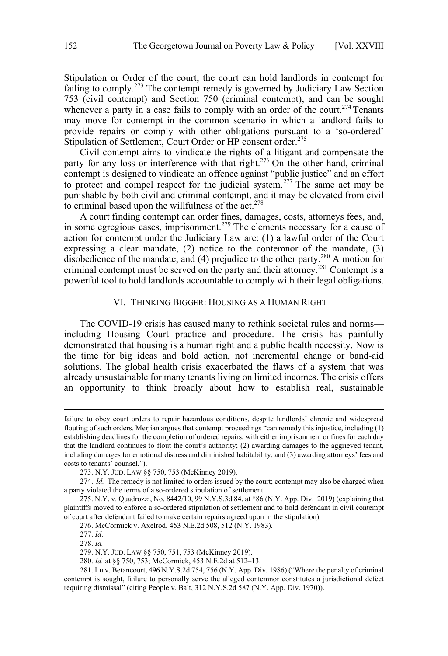<span id="page-35-0"></span>Stipulation or Order of the court, the court can hold landlords in contempt for failing to comply.<sup>273</sup> The contempt remedy is governed by Judiciary Law Section 753 (civil contempt) and Section 750 (criminal contempt), and can be sought whenever a party in a case fails to comply with an order of the court.<sup>274</sup> Tenants may move for contempt in the common scenario in which a landlord fails to provide repairs or comply with other obligations pursuant to a 'so-ordered' Stipulation of Settlement, Court Order or HP consent order.<sup>275</sup>

Civil contempt aims to vindicate the rights of a litigant and compensate the party for any loss or interference with that right.<sup>276</sup> On the other hand, criminal contempt is designed to vindicate an offence against "public justice" and an effort to protect and compel respect for the judicial system.<sup>277</sup> The same act may be punishable by both civil and criminal contempt, and it may be elevated from civil to criminal based upon the willfulness of the  $act.^{278}$ .

A court finding contempt can order fines, damages, costs, attorneys fees, and, in some egregious cases, imprisonment.<sup>279</sup> The elements necessary for a cause of action for contempt under the Judiciary Law are: (1) a lawful order of the Court expressing a clear mandate, (2) notice to the contemnor of the mandate, (3) disobedience of the mandate, and  $(4)$  prejudice to the other party.<sup>280</sup> A motion for criminal contempt must be served on the party and their attorney.<sup>281</sup> Contempt is a powerful tool to hold landlords accountable to comply with their legal obligations.

### VI. THINKING BIGGER: HOUSING AS A HUMAN RIGHT

The COVID-19 crisis has caused many to rethink societal rules and norms including Housing Court practice and procedure. The crisis has painfully demonstrated that housing is a human right and a public health necessity. Now is the time for big ideas and bold action, not incremental change or band-aid solutions. The global health crisis exacerbated the flaws of a system that was already unsustainable for many tenants living on limited incomes. The crisis offers an opportunity to think broadly about how to establish real, sustainable

 $\overline{a}$ 

failure to obey court orders to repair hazardous conditions, despite landlords' chronic and widespread flouting of such orders. Merjian argues that contempt proceedings "can remedy this injustice, including (1) establishing deadlines for the completion of ordered repairs, with either imprisonment or fines for each day that the landlord continues to flout the court's authority; (2) awarding damages to the aggrieved tenant, including damages for emotional distress and diminished habitability; and (3) awarding attorneys' fees and costs to tenants' counsel.").

<sup>273.</sup> N.Y. JUD. LAW §§ 750, 753 (McKinney 2019).

<sup>274.</sup> *Id.* The remedy is not limited to orders issued by the court; contempt may also be charged when a party violated the terms of a so-ordered stipulation of settlement.

<sup>275.</sup> N.Y. v. Quadrozzi, No. 8442/10, 99 N.Y.S.3d 84, at \*86 (N.Y. App. Div. 2019) (explaining that plaintiffs moved to enforce a so-ordered stipulation of settlement and to hold defendant in civil contempt of court after defendant failed to make certain repairs agreed upon in the stipulation).

<sup>276.</sup> McCormick v. Axelrod, 453 N.E.2d 508, 512 (N.Y. 1983).

<sup>277.</sup> *Id*.

<sup>278.</sup> *Id.* 

<sup>279.</sup> N.Y. JUD. LAW §§ 750, 751, 753 (McKinney 2019).

<sup>280.</sup> *Id.* at §§ 750, 753; McCormick, 453 N.E.2d at 512–13.

<sup>281.</sup> Lu v. Betancourt, 496 N.Y.S.2d 754, 756 (N.Y. App. Div. 1986) ("Where the penalty of criminal contempt is sought, failure to personally serve the alleged contemnor constitutes a jurisdictional defect requiring dismissal" (citing People v. Balt, 312 N.Y.S.2d 587 (N.Y. App. Div. 1970)).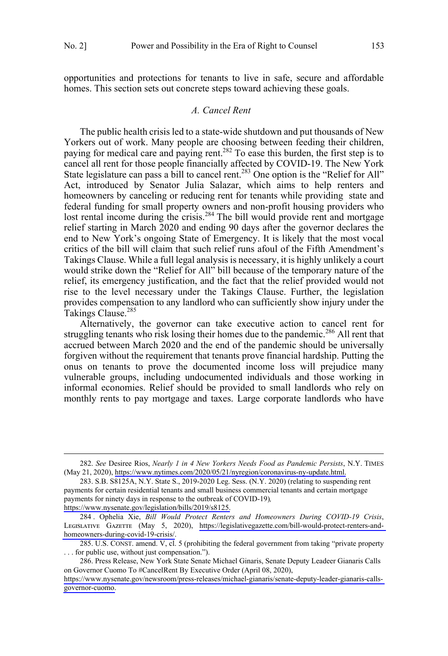<span id="page-36-0"></span>opportunities and protections for tenants to live in safe, secure and affordable homes. This section sets out concrete steps toward achieving these goals.

### *A. Cancel Rent*

The public health crisis led to a state-wide shutdown and put thousands of New Yorkers out of work. Many people are choosing between feeding their children, paying for medical care and paying rent.<sup>282</sup> To ease this burden, the first step is to cancel all rent for those people financially affected by COVID-19. The New York State legislature can pass a bill to cancel rent.<sup>283</sup> One option is the "Relief for All" Act, introduced by Senator Julia Salazar, which aims to help renters and homeowners by canceling or reducing rent for tenants while providing state and federal funding for small property owners and non-profit housing providers who lost rental income during the crisis.<sup>284</sup> The bill would provide rent and mortgage relief starting in March 2020 and ending 90 days after the governor declares the end to New York's ongoing State of Emergency. It is likely that the most vocal critics of the bill will claim that such relief runs afoul of the Fifth Amendment's Takings Clause. While a full legal analysis is necessary, it is highly unlikely a court would strike down the "Relief for All" bill because of the temporary nature of the relief, its emergency justification, and the fact that the relief provided would not rise to the level necessary under the Takings Clause. Further, the legislation provides compensation to any landlord who can sufficiently show injury under the Takings Clause.<sup>285</sup>

Alternatively, the governor can take executive action to cancel rent for struggling tenants who risk losing their homes due to the pandemic.<sup>286</sup> All rent that accrued between March 2020 and the end of the pandemic should be universally forgiven without the requirement that tenants prove financial hardship. Putting the onus on tenants to prove the documented income loss will prejudice many vulnerable groups, including undocumented individuals and those working in informal economies. Relief should be provided to small landlords who rely on monthly rents to pay mortgage and taxes. Large corporate landlords who have

 $\overline{a}$ 

[https://www.nysenate.gov/legislation/bills/2019/s8125.](https://www.nysenate.gov/legislation/bills/2019/s8125)

*See* Desiree Rios, *Nearly 1 in 4 New Yorkers Needs Food as Pandemic Persists*, N.Y. TIMES 282. (May 21, 2020), [https://www.nytimes.com/2020/05/21/nyregion/coronavirus-ny-update.html.](https://www.nytimes.com/2020/05/21/nyregion/coronavirus-ny-update.html)

<sup>283.</sup> S.B. S8125A, N.Y. State S., 2019-2020 Leg. Sess. (N.Y. 2020) (relating to suspending rent payments for certain residential tenants and small business commercial tenants and certain mortgage payments for ninety days in response to the outbreak of COVID-19)*,*

<sup>284.</sup> Ophelia Xie, *Bill Would Protect Renters and Homeowners During COVID-19 Crisis*, LEGISLATIVE GAZETTE (May 5, 2020), [https://legislativegazette.com/bill-would-protect-renters-and](https://legislativegazette.com/bill-would-protect-renters-and-homeowners-during-covid-19-crisis/)[homeowners-during-covid-19-crisis/.](https://legislativegazette.com/bill-would-protect-renters-and-homeowners-during-covid-19-crisis/)

<sup>285.</sup> U.S. CONST. amend. V, cl. 5 (prohibiting the federal government from taking "private property . . . for public use, without just compensation.").

<sup>286.</sup> Press Release, New York State Senate Michael Ginaris, Senate Deputy Leadeer Gianaris Calls on Governor Cuomo To #CancelRent By Executive Order (April 08, 2020),

[https://www.nysenate.gov/newsroom/press-releases/michael-gianaris/senate-deputy-leader-gianaris-calls](https://www.nysenate.gov/newsroom/press-releases/michael-gianaris/senate-deputy-leader-gianaris-calls-governor-cuomo)[governor-cuomo.](https://www.nysenate.gov/newsroom/press-releases/michael-gianaris/senate-deputy-leader-gianaris-calls-governor-cuomo)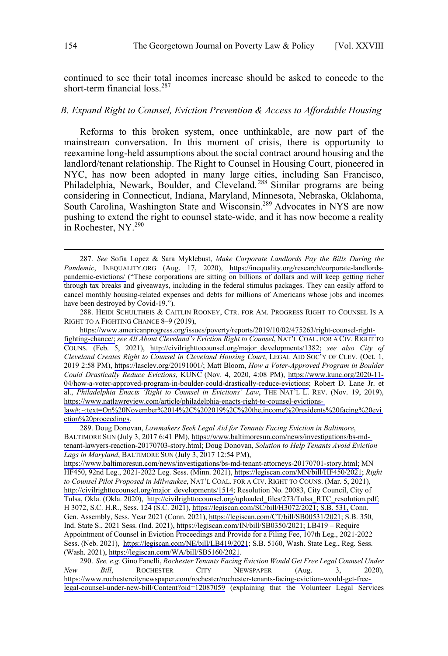<span id="page-37-0"></span>continued to see their total incomes increase should be asked to concede to the short-term financial loss.<sup>287</sup>

### *B. Expand Right to Counsel, Eviction Prevention & Access to Affordable Housing*

Reforms to this broken system, once unthinkable, are now part of the mainstream conversation. In this moment of crisis, there is opportunity to reexamine long-held assumptions about the social contract around housing and the landlord/tenant relationship. The Right to Counsel in Housing Court, pioneered in NYC, has now been adopted in many large cities, including San Francisco, Philadelphia, Newark, Boulder, and Cleveland.<sup>288</sup> Similar programs are being considering in Connecticut, Indiana, Maryland, Minnesota, Nebraska, Oklahoma, South Carolina, Washington State and Wisconsin.<sup>289</sup> Advocates in NYS are now pushing to extend the right to counsel state-wide, and it has now become a reality in Rochester, NY.<sup>290</sup>

 $\overline{a}$ 

288. HEIDI SCHULTHEIS & CAITLIN ROONEY, CTR. FOR AM. PROGRESS RIGHT TO COUNSEL IS A RIGHT TO A FIGHTING CHANCE 8–9 (2019),

[https://www.americanprogress.org/issues/poverty/reports/2019/10/02/475263/right-counsel-right](https://www.americanprogress.org/issues/poverty/reports/2019/10/02/475263/right-counsel-right-fighting-chance/)[fighting-chance/;](https://www.americanprogress.org/issues/poverty/reports/2019/10/02/475263/right-counsel-right-fighting-chance/) *see All About Cleveland's Eviction Right to Counsel*, NAT'L COAL. FOR A CIV. RIGHT TO COUNS. (Feb. 5, 2021), [http://civilrighttocounsel.org/major\\_developments/1382;](http://civilrighttocounsel.org/major_developments/1382) *see also City of Cleveland Creates Right to Counsel in Cleveland Housing Court*, LEGAL AID SOC'Y OF CLEV. (Oct. 1, 2019 2:58 PM), [https://lasclev.org/20191001/;](https://lasclev.org/20191001/) Matt Bloom, *How a Voter-Approved Program in Boulder Could Drastically Reduce Evictions*, KUNC (Nov. 4, 2020, 4:08 PM), [https://www.kunc.org/2020-11-](https://www.kunc.org/2020-11-04/how-a-voter-approved-program-in-boulder-could-drastically-reduce-evictions) [04/how-a-voter-approved-program-in-boulder-could-drastically-reduce-evictions;](https://www.kunc.org/2020-11-04/how-a-voter-approved-program-in-boulder-could-drastically-reduce-evictions) Robert D. Lane Jr. et al., *Philadelphia Enacts 'Right to Counsel in Evictions' Law*, THE NAT'L L. REV. (Nov. 19, 2019), [https://www.natlawreview.com/article/philadelphia-enacts-right-to-counsel-evictions](https://www.natlawreview.com/article/philadelphia-enacts-right-to-counsel-evictions-law#:~:text=On%20November%2014%2C%202019%2C%20the,income%20residents%20facing%20eviction%20proceedings.)[law#:~:text=On%20November%2014%2C%202019%2C%20the,income%20residents%20facing%20evi](https://www.natlawreview.com/article/philadelphia-enacts-right-to-counsel-evictions-law#:~:text=On%20November%2014%2C%202019%2C%20the,income%20residents%20facing%20eviction%20proceedings.) [ction%20proceedings.](https://www.natlawreview.com/article/philadelphia-enacts-right-to-counsel-evictions-law#:~:text=On%20November%2014%2C%202019%2C%20the,income%20residents%20facing%20eviction%20proceedings.)

289. Doug Donovan, Lawmakers Seek Legal Aid for Tenants Facing Eviction in Baltimore, BALTIMORE SUN (July 3, 2017 6:41 PM), [https://www.baltimoresun.com/news/investigations/bs-md](https://www.baltimoresun.com/news/investigations/bs-md-tenant-lawyers-reaction-20170703-story.html)[tenant-lawyers-reaction-20170703-story.html;](https://www.baltimoresun.com/news/investigations/bs-md-tenant-lawyers-reaction-20170703-story.html) Doug Donovan, *Solution to Help Tenants Avoid Eviction Lags in Maryland*, BALTIMORE SUN (July 3, 2017 12:54 PM),

[https://www.baltimoresun.com/news/investigations/bs-md-tenant-attorneys-20170701-story.html;](https://www.baltimoresun.com/news/investigations/bs-md-tenant-attorneys-20170701-story.html) MN HF450, 92nd Leg., 2021-2022 Leg. Sess. (Minn. 2021), [https://legiscan.com/MN/bill/HF450/2021;](https://legiscan.com/MN/bill/HF450/2021) *Right to Counsel Pilot Proposed in Milwaukee*, NAT'L COAL. FOR A CIV. RIGHT TO COUNS. (Mar. 5, 2021), [http://civilrighttocounsel.org/major\\_developments/1514;](http://civilrighttocounsel.org/major_developments/1514) Resolution No. 20083, City Council, City of Tulsa, Okla. (Okla. 2020), [http://civilrighttocounsel.org/uploaded\\_files/273/Tulsa\\_RTC\\_resolution.pdf;](http://civilrighttocounsel.org/uploaded_files/273/Tulsa_RTC_resolution.pdf)  H 3072, S.C. H.R., Sess. 124 (S.C. 2021), [https://legiscan.com/SC/bill/H3072/2021; S.B. 531,](https://legiscan.com/SC/bill/H3072/2021; S.B. 531) Conn. Gen. Assembly, Sess. Year 2021 (Conn. 2021),<https://legiscan.com/CT/bill/SB00531/2021>; S.B. 350, Ind. State S., 2021 Sess. (Ind. 2021), [https://legiscan.com/IN/bill/SB0350/2021;](https://legiscan.com/IN/bill/SB0350/2021) LB419 – Require Appointment of Counsel in Eviction Proceedings and Provide for a Filing Fee, 107th Leg., 2021-2022 Sess. (Neb. 2021), <https://legiscan.com/NE/bill/LB419/2021>; S.B. 5160, Wash. State Leg., Reg. Sess. (Wash. 2021), <https://legiscan.com/WA/bill/SB5160/2021>.

*See, e.g.* Gino Fanelli, *Rochester Tenants Facing Eviction Would Get Free Legal Counsel Under*  290. *New Bill*, ROCHESTER CITY NEWSPAPER (Aug. 3, 2020), [https://www.rochestercitynewspaper.com/rochester/rochester-tenants-facing-eviction-would-get-free](https://www.rochestercitynewspaper.com/rochester/rochester-tenants-facing-eviction-would-get-free-legal-counsel-under-new-bill/Content?oid=12087059)[legal-counsel-under-new-bill/Content?oid=12087059](https://www.rochestercitynewspaper.com/rochester/rochester-tenants-facing-eviction-would-get-free-legal-counsel-under-new-bill/Content?oid=12087059) (explaining that the Volunteer Legal Services

*See* Sofia Lopez & Sara Myklebust, *Make Corporate Landlords Pay the Bills During the*  287. *Pandemic*, INEQUALITY.ORG (Aug. 17, 2020), [https://inequality.org/research/corporate-landlords](https://inequality.org/research/corporate-landlords-pandemic-evictions/)[pandemic-evictions/](https://inequality.org/research/corporate-landlords-pandemic-evictions/) ("These corporations are sitting on billions of dollars and will keep getting richer through tax breaks and giveaways, including in the federal stimulus packages. They can easily afford to cancel monthly housing-related expenses and debts for millions of Americans whose jobs and incomes have been destroyed by Covid-19.").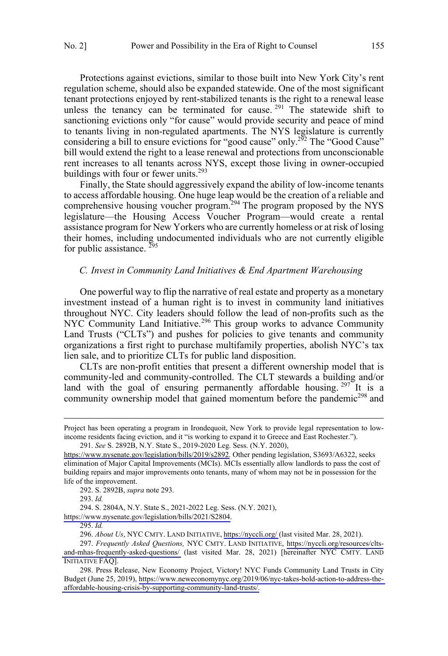<span id="page-38-0"></span>Protections against evictions, similar to those built into New York City's rent regulation scheme, should also be expanded statewide. One of the most significant tenant protections enjoyed by rent-stabilized tenants is the right to a renewal lease unless the tenancy can be terminated for cause.<sup>291</sup> The statewide shift to sanctioning evictions only "for cause" would provide security and peace of mind to tenants living in non-regulated apartments. The NYS legislature is currently considering a bill to ensure evictions for "good cause" only.<sup>252</sup> The "Good Cause" bill would extend the right to a lease renewal and protections from unconscionable rent increases to all tenants across NYS, except those living in owner-occupied buildings with four or fewer units.<sup>293</sup>

Finally, the State should aggressively expand the ability of low-income tenants to access affordable housing. One huge leap would be the creation of a reliable and comprehensive housing voucher program.<sup>294</sup> The program proposed by the NYS legislature—the Housing Access Voucher Program—would create a rental assistance program for New Yorkers who are currently homeless or at risk of losing their homes, including undocumented individuals who are not currently eligible for public assistance.  $^{295}$ 

#### *C. Invest in Community Land Initiatives & End Apartment Warehousing*

One powerful way to flip the narrative of real estate and property as a monetary investment instead of a human right is to invest in community land initiatives throughout NYC. City leaders should follow the lead of non-profits such as the NYC Community Land Initiative.<sup>296</sup> This group works to advance Community Land Trusts ("CLTs") and pushes for policies to give tenants and community organizations a first right to purchase multifamily properties, abolish NYC's tax lien sale, and to prioritize CLTs for public land disposition.

CLTs are non-profit entities that present a different ownership model that is community-led and community-controlled. The CLT stewards a building and/or land with the goal of ensuring permanently affordable housing. <sup>297</sup> It is a community ownership model that gained momentum before the pandemic<sup>298</sup> and

 $\overline{a}$ 

 $\overline{a}$ 

<https://www.nysenate.gov/legislation/bills/2021/S2804>.

295. *Id.*

Project has been operating a program in Irondequoit, New York to provide legal representation to lowincome residents facing eviction, and it "is working to expand it to Greece and East Rochester.").

*See* S. 2892B, N.Y. State S., 2019-2020 Leg. Sess. (N.Y. 2020), 291.

[https://www.nysenate.gov/legislation/bills/2019/s2892.](https://www.nysenate.gov/legislation/bills/2019/s2892) Other pending legislation, S3693/A6322, seeks elimination of Major Capital Improvements (MCIs). MCIs essentially allow landlords to pass the cost of building repairs and major improvements onto tenants, many of whom may not be in possession for the life of the improvement.

<sup>292.</sup> S. 2892B, *supra* note 293.

<sup>293.</sup> *Id.*

<sup>294.</sup> S. 2804A, N.Y. State S., 2021-2022 Leg. Sess. (N.Y. 2021),

*About Us*, NYC CMTY. LAND INITIATIVE, <https://nyccli.org/>(last visited Mar. 28, 2021). 296.

*Frequently Asked Questions,* NYC CMTY. LAND INITIATIVE, [https://nyccli.org/resources/clts-](https://nyccli.org/resources/clts-and-mhas-frequently-asked-questions/)297. [and-mhas-frequently-asked-questions/](https://nyccli.org/resources/clts-and-mhas-frequently-asked-questions/) (last visited Mar. 28, 2021) [hereinafter NYC CMTY. LAND INITIATIVE FAQ].

<sup>298.</sup> Press Release, New Economy Project, Victory! NYC Funds Community Land Trusts in City Budget (June 25, 2019), [https://www.neweconomynyc.org/2019/06/nyc-takes-bold-action-to-address-the](https://www.neweconomynyc.org/2019/06/nyc-takes-bold-action-to-address-the-affordable-housing-crisis-by-supporting-community-land-trusts/)[affordable-housing-crisis-by-supporting-community-land-trusts/.](https://www.neweconomynyc.org/2019/06/nyc-takes-bold-action-to-address-the-affordable-housing-crisis-by-supporting-community-land-trusts/)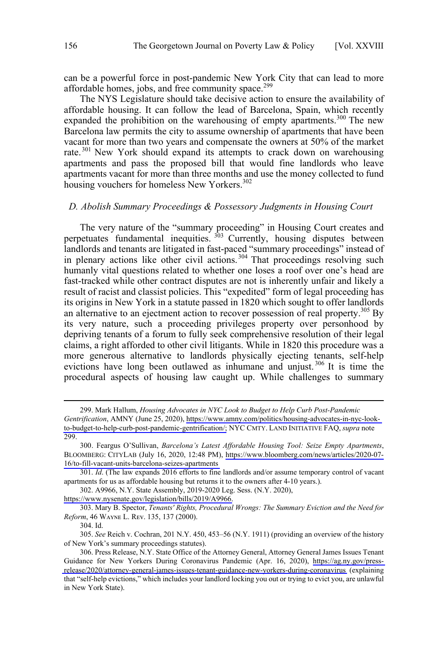<span id="page-39-0"></span>can be a powerful force in post-pandemic New York City that can lead to more affordable homes, jobs, and free community space.<sup>299</sup>

The NYS Legislature should take decisive action to ensure the availability of affordable housing. It can follow the lead of Barcelona, Spain, which recently expanded the prohibition on the warehousing of empty apartments.<sup>300</sup> The new Barcelona law permits the city to assume ownership of apartments that have been vacant for more than two years and compensate the owners at 50% of the market rate. <sup>301</sup> New York should expand its attempts to crack down on warehousing apartments and pass the proposed bill that would fine landlords who leave apartments vacant for more than three months and use the money collected to fund housing vouchers for homeless New Yorkers.<sup>302</sup>

### *D. Abolish Summary Proceedings & Possessory Judgments in Housing Court*

The very nature of the "summary proceeding" in Housing Court creates and perpetuates fundamental inequities. 303 Currently, housing disputes between landlords and tenants are litigated in fast-paced "summary proceedings" instead of in plenary actions like other civil actions.<sup>304</sup> That proceedings resolving such humanly vital questions related to whether one loses a roof over one's head are fast-tracked while other contract disputes are not is inherently unfair and likely a result of racist and classist policies. This "expedited" form of legal proceeding has its origins in New York in a statute passed in 1820 which sought to offer landlords an alternative to an ejectment action to recover possession of real property.<sup>305</sup> By its very nature, such a proceeding privileges property over personhood by depriving tenants of a forum to fully seek comprehensive resolution of their legal claims, a right afforded to other civil litigants. While in 1820 this procedure was a more generous alternative to landlords physically ejecting tenants, self-help evictions have long been outlawed as inhumane and unjust.<sup>306</sup> It is time the procedural aspects of housing law caught up. While challenges to summary

Mark Hallum, *Housing Advocates in NYC Look to Budget to Help Curb Post-Pandemic*  299.

*Gentrification*, AMNY (June 25, 2020), [https://www.amny.com/politics/housing-advocates-in-nyc-look](https://www.amny.com/politics/housing-advocates-in-nyc-look-to-budget-to-help-curb-post-pandemic-gentrification/;)[to-budget-to-help-curb-post-pandemic-gentrification/;](https://www.amny.com/politics/housing-advocates-in-nyc-look-to-budget-to-help-curb-post-pandemic-gentrification/) NYC CMTY. LAND INITIATIVE FAQ, *supra* note 299.

Feargus O'Sullivan, *Barcelona's Latest Affordable Housing Tool: Seize Empty Apartments*, 300. BLOOMBERG: CITYLAB (July 16, 2020, 12:48 PM), [https://www.bloomberg.com/news/articles/2020-07-](https://www.bloomberg.com/news/articles/2020-07-16/to-fill-vacant-units-barcelona-seizes-apartments) [16/to-fill-vacant-units-barcelona-seizes-apartments](https://www.bloomberg.com/news/articles/2020-07-16/to-fill-vacant-units-barcelona-seizes-apartments)

<sup>301.</sup> *Id*. (The law expands 2016 efforts to fine landlords and/or assume temporary control of vacant apartments for us as affordable housing but returns it to the owners after 4-10 years.).

<sup>302.</sup> A9966, N.Y. State Assembly, 2019-2020 Leg. Sess. (N.Y. 2020),

[https://www.nysenate.gov/legislation/bills/2019/A9966.](https://www.nysenate.gov/legislation/bills/2019/A9966)

<sup>303.</sup> Mary B. Spector, *Tenants' Rights, Procedural Wrongs: The Summary Eviction and the Need for Reform*, 46 WAYNE L. REV. 135, 137 (2000).

<sup>304.</sup> Id.

<sup>305.</sup> *See* Reich v. Cochran, 201 N.Y. 450, 453–56 (N.Y. 1911) (providing an overview of the history of New York's summary proceedings statutes).

<sup>306.</sup> Press Release, N.Y. State Office of the Attorney General, Attorney General James Issues Tenant Guidance for New Yorkers During Coronavirus Pandemic (Apr. 16, 2020), [https://ag.ny.gov/press](https://ag.ny.gov/press-release/2020/attorney-general-james-issues-tenant-guidance-new-yorkers-during-coronavirus)[release/2020/attorney-general-james-issues-tenant-guidance-new-yorkers-during-coronavirus](https://ag.ny.gov/press-release/2020/attorney-general-james-issues-tenant-guidance-new-yorkers-during-coronavirus) (explaining that "self-help evictions," which includes your landlord locking you out or trying to evict you, are unlawful in New York State).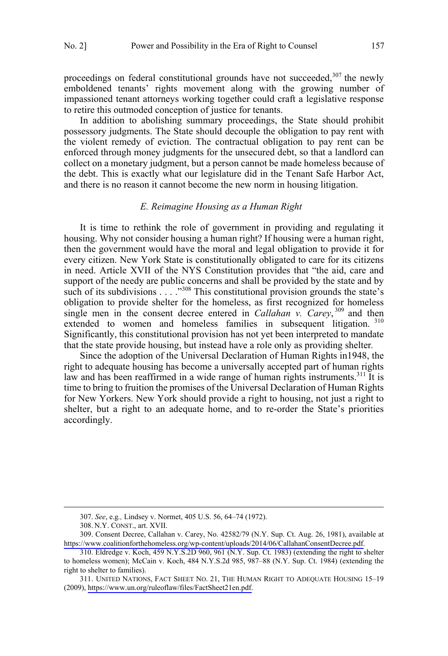<span id="page-40-0"></span>proceedings on federal constitutional grounds have not succeeded,  $307$  the newly emboldened tenants' rights movement along with the growing number of impassioned tenant attorneys working together could craft a legislative response to retire this outmoded conception of justice for tenants.

In addition to abolishing summary proceedings, the State should prohibit possessory judgments. The State should decouple the obligation to pay rent with the violent remedy of eviction. The contractual obligation to pay rent can be enforced through money judgments for the unsecured debt, so that a landlord can collect on a monetary judgment, but a person cannot be made homeless because of the debt. This is exactly what our legislature did in the Tenant Safe Harbor Act, and there is no reason it cannot become the new norm in housing litigation.

### *E. Reimagine Housing as a Human Right*

It is time to rethink the role of government in providing and regulating it housing. Why not consider housing a human right? If housing were a human right, then the government would have the moral and legal obligation to provide it for every citizen. New York State is constitutionally obligated to care for its citizens in need. Article XVII of the NYS Constitution provides that "the aid, care and support of the needy are public concerns and shall be provided by the state and by such of its subdivisions . . . .<sup>308</sup> This constitutional provision grounds the state's obligation to provide shelter for the homeless, as first recognized for homeless single men in the consent decree entered in *Callahan v. Carey*,  $309$  and then extended to women and homeless families in subsequent litigation. 310 Significantly, this constitutional provision has not yet been interpreted to mandate that the state provide housing, but instead have a role only as providing shelter*.*

Since the adoption of the Universal Declaration of Human Rights in1948, the right to adequate housing has become a universally accepted part of human rights law and has been reaffirmed in a wide range of human rights instruments.<sup>311</sup> It is time to bring to fruition the promises of the Universal Declaration of Human Rights for New Yorkers. New York should provide a right to housing, not just a right to shelter, but a right to an adequate home, and to re-order the State's priorities accordingly.

<sup>307.</sup> *See*, e.g*.,* Lindsey v. Normet, 405 U.S. 56, 64–74 (1972).

<sup>308.</sup> N.Y. CONST., art. XVII.

<sup>309.</sup> Consent Decree, Callahan v. Carey, No. 42582/79 (N.Y. Sup. Ct. Aug. 26, 1981), available at [https://www.coalitionforthehomeless.org/wp-content/uploads/2014/06/CallahanConsentDecree.pdf.](https://www.coalitionforthehomeless.org/wp-content/uploads/2014/06/CallahanConsentDecree.pdf)

<sup>310.</sup> Eldredge v. Koch, 459 N.Y.S.2D 960, 961 (N.Y. Sup. Ct. 1983) (extending the right to shelter to homeless women); McCain v. Koch, 484 N.Y.S.2d 985, 987–88 (N.Y. Sup. Ct. 1984) (extending the right to shelter to families).

<sup>311.</sup> UNITED NATIONS, FACT SHEET NO. 21, THE HUMAN RIGHT TO ADEQUATE HOUSING 15–19 (2009), [https://www.un.org/ruleoflaw/files/FactSheet21en.pdf.](https://www.un.org/ruleoflaw/files/FactSheet21en.pdf)